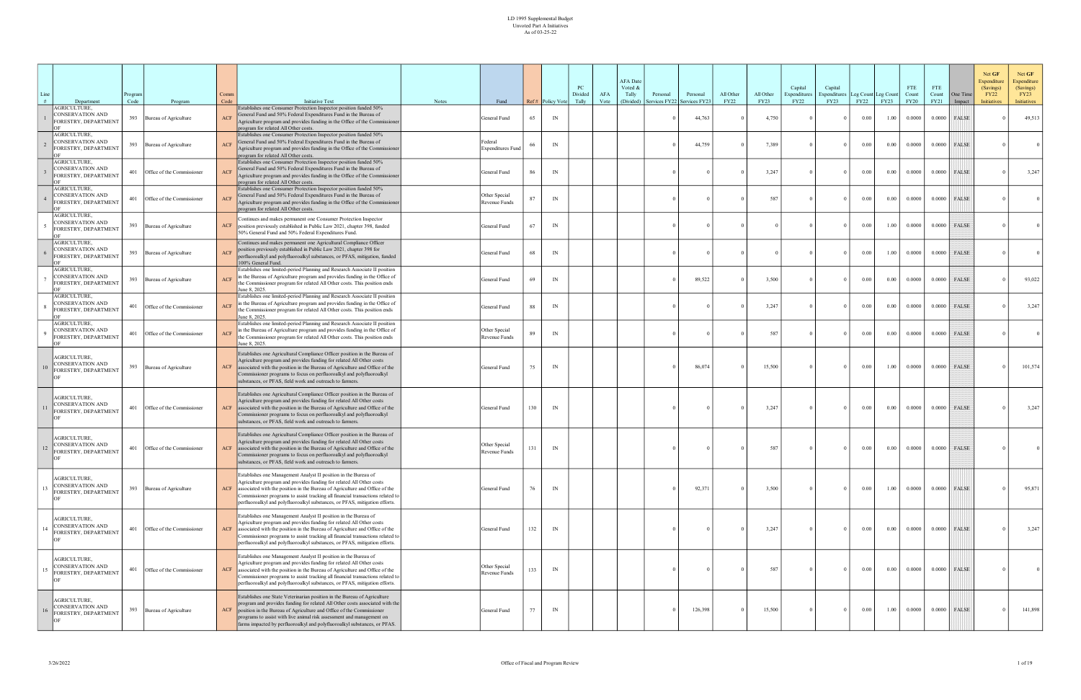| Line<br># | Department                                                            | rogram?<br>Code | Program                    | Comm<br>Code   | <b>Initiative Text</b>                                                                                                                                                                                                                                                                                                                                                                  | <b>Notes</b> | Fund                                |     | Ref# Policy Vote | PC<br>Divided<br>Tally | AFA<br>Vote | <b>AFA</b> Date<br>Voted &<br>Tally<br>(Divided) | Personal<br>Services FY22 | Personal<br>Services FY2. | All Other<br>FY22 | All Other<br>FY23 | Capital<br>Expenditures<br>FY22 | Capital<br>xpenditures<br>FY23 | Leg Count Leg Count<br>FY22 | <b>FY23</b> | <b>FTE</b><br>Count<br><b>FY20</b> | <b>FTE</b><br>Count<br>FY21 | One Time<br>Impact | Net GF<br>Expenditure<br>(Savings)<br><b>FY22</b><br><b>Initiatives</b> | Net GF<br>Expenditure<br>(Savings)<br>FY23<br>Initiatives |
|-----------|-----------------------------------------------------------------------|-----------------|----------------------------|----------------|-----------------------------------------------------------------------------------------------------------------------------------------------------------------------------------------------------------------------------------------------------------------------------------------------------------------------------------------------------------------------------------------|--------------|-------------------------------------|-----|------------------|------------------------|-------------|--------------------------------------------------|---------------------------|---------------------------|-------------------|-------------------|---------------------------------|--------------------------------|-----------------------------|-------------|------------------------------------|-----------------------------|--------------------|-------------------------------------------------------------------------|-----------------------------------------------------------|
|           | <b>AGRICULTURE,</b><br>CONSERVATION AND<br>FORESTRY, DEPARTMENT       | 393             | Bureau of Agriculture      | ACF            | Establishes one Consumer Protection Inspector position funded 50%<br>General Fund and 50% Federal Expenditures Fund in the Bureau of<br>Agriculture program and provides funding in the Office of the Commissioner<br>program for related All Other costs.                                                                                                                              |              | General Fund                        | 65  | IN               |                        |             |                                                  |                           | 44,763                    |                   | 4,750             |                                 |                                | 0.00                        | 1.00        | 0.0000                             | 0.0000                      | FALSE              |                                                                         | 49,513                                                    |
|           | AGRICULTURE,<br>CONSERVATION AND<br>FORESTRY, DEPARTMENT              | 393             | Bureau of Agriculture      | ACF            | Establishes one Consumer Protection Inspector position funded 50%<br>General Fund and 50% Federal Expenditures Fund in the Bureau of<br>Agriculture program and provides funding in the Office of the Commissioner<br>program for related All Other costs.                                                                                                                              |              | Federal<br><b>Expenditures Fund</b> | 66  | IN               |                        |             |                                                  |                           | 44,759                    |                   | 7,389             |                                 |                                | 0.00                        | 0.00        | 0.0000                             | 0.0000                      | FALSE              |                                                                         |                                                           |
|           | AGRICULTURE,<br>CONSERVATION AND<br>FORESTRY, DEPARTMENT              | 401             | Office of the Commissioner | <b>ACF</b>     | Establishes one Consumer Protection Inspector position funded 50%<br>General Fund and 50% Federal Expenditures Fund in the Bureau of<br>Agriculture program and provides funding in the Office of the Commissioner<br>program for related All Other costs.                                                                                                                              |              | General Fund                        | 86  | IN               |                        |             |                                                  |                           |                           |                   | 3,247             |                                 |                                | 0.00                        | 0.00        | 0.0000                             | 0.0000                      | <b>FALSE</b>       |                                                                         | 3,247                                                     |
|           | AGRICULTURE,<br>CONSERVATION AND<br>FORESTRY, DEPARTMENT              | 401             | Office of the Commissioner | <b>ACF</b>     | Establishes one Consumer Protection Inspector position funded 50%<br>General Fund and 50% Federal Expenditures Fund in the Bureau of<br>Agriculture program and provides funding in the Office of the Commissioner<br>program for related All Other costs.                                                                                                                              |              | Other Special<br>Revenue Funds      |     | IN               |                        |             |                                                  |                           |                           |                   | 587               |                                 |                                | 0.00                        | 0.00        | 0.0000                             | 0.0000                      | <b>FALSE</b>       |                                                                         |                                                           |
|           | AGRICULTURE,<br>CONSERVATION AND<br>FORESTRY, DEPARTMENT              | 393             | Bureau of Agriculture      | ACF            | Continues and makes permanent one Consumer Protection Inspector<br>position previously established in Public Law 2021, chapter 398, funded<br>50% General Fund and 50% Federal Expenditures Fund.                                                                                                                                                                                       |              | General Fund                        | 67  | IN               |                        |             |                                                  |                           |                           |                   |                   |                                 |                                | 0.00                        | 1.00        | 0.0000                             | 0.0000                      | <b>FALSE</b>       |                                                                         |                                                           |
|           | AGRICULTURE,<br>CONSERVATION AND<br>FORESTRY, DEPARTMENT              | 393             | Bureau of Agriculture      | ACF            | Continues and makes permanent one Agricultural Compliance Officer<br>position previously established in Public Law 2021, chapter 398 for<br>perfluoroalkyl and polyfluoroalkyl substances, or PFAS, mitigation, funded<br>100% General Fund.                                                                                                                                            |              | General Fund                        | 68  | IN               |                        |             |                                                  |                           |                           |                   |                   |                                 |                                | 0.00                        | 1.00        | 0.0000                             | 0.0000                      | <b>FALSE</b>       |                                                                         |                                                           |
|           | AGRICULTURE,<br>CONSERVATION AND<br>FORESTRY, DEPARTMENT              | 393             | Bureau of Agriculture      | <b>ACF</b>     | Establishes one limited-period Planning and Research Associate II position<br>in the Bureau of Agriculture program and provides funding in the Office of<br>the Commissioner program for related All Other costs. This position ends<br>June 8, 2025.                                                                                                                                   |              | General Fund                        | 69  | IN               |                        |             |                                                  |                           | 89,522                    |                   | 3,500             |                                 | $\Omega$                       | 0.00                        | 0.00        | 0.0000                             | 0.0000                      | <b>FALSE</b>       |                                                                         | 93,022                                                    |
|           | AGRICULTURE,<br>CONSERVATION AND<br>FORESTRY, DEPARTMENT              | 401             | Office of the Commissioner | <b>ACF</b>     | Establishes one limited-period Planning and Research Associate II position<br>in the Bureau of Agriculture program and provides funding in the Office of<br>the Commissioner program for related All Other costs. This position ends<br>June 8, 2025.                                                                                                                                   |              | General Fund                        | 88  | IN               |                        |             |                                                  |                           |                           |                   | 3,247             |                                 | $\Omega$                       | 0.00                        | 0.00        | 0.0000                             | 0.0000                      | <b>FALSE</b>       |                                                                         | 3,247                                                     |
|           | AGRICULTURE,<br>CONSERVATION AND<br>FORESTRY, DEPARTMENT              | 401             | Office of the Commissioner | ACF            | Establishes one limited-period Planning and Research Associate II position<br>in the Bureau of Agriculture program and provides funding in the Office of<br>the Commissioner program for related All Other costs. This position ends<br>June 8, 2025.                                                                                                                                   |              | Other Special<br>Revenue Funds      | 89  | IN               |                        |             |                                                  |                           |                           |                   | 587               |                                 |                                | 0.00                        | 0.00        | 0.0000                             | 0.0000                      | FALSE              |                                                                         |                                                           |
|           | AGRICULTURE,<br>CONSERVATION AND<br>ORESTRY, DEPARTMENT               | 393             | Bureau of Agriculture      | $\mathbf{ACF}$ | Establishes one Agricultural Compliance Officer position in the Bureau of<br>Agriculture program and provides funding for related All Other costs<br>associated with the position in the Bureau of Agriculture and Office of the<br>Commissioner programs to focus on perfluoroalkyl and polyfluoroalkyl<br>substances, or PFAS, field work and outreach to farmers.                    |              | General Fund                        | 75  | IN               |                        |             |                                                  |                           | 86,074                    |                   | 15,500            |                                 | $\Omega$                       | 0.00                        | 1.00        | 0.0000                             |                             | $0.0000$ FALSE     |                                                                         | 101,574                                                   |
|           | <b>AGRICULTURE.</b><br>CONSERVATION AND<br>ORESTRY, DEPARTMENT        | 401             | Office of the Commissioner | <b>ACF</b>     | Establishes one Agricultural Compliance Officer position in the Bureau of<br>Agriculture program and provides funding for related All Other costs<br>associated with the position in the Bureau of Agriculture and Office of the<br>Commissioner programs to focus on perfluoroalkyl and polyfluoroalkyl<br>substances, or PFAS, field work and outreach to farmers.                    |              | General Fund                        | 130 | IN               |                        |             |                                                  |                           |                           |                   | 3,247             |                                 | $\Omega$                       | 0.00                        | 0.00        | 0.0000                             | 0.0000                      | FALSE              |                                                                         | 3,247                                                     |
| 12        | <b>AGRICULTURE,</b><br>CONSERVATION AND<br>FORESTRY, DEPARTMENT       | 401             | Office of the Commissioner | ACF            | Establishes one Agricultural Compliance Officer position in the Bureau of<br>Agriculture program and provides funding for related All Other costs<br>associated with the position in the Bureau of Agriculture and Office of the<br>Commissioner programs to focus on perfluoroalkyl and polyfluoroalkyl<br>substances, or PFAS, field work and outreach to farmers.                    |              | Other Special<br>Revenue Funds      |     | IN               |                        |             |                                                  |                           |                           |                   | 587               |                                 |                                | 0.00                        | $0.00\,$    | 0.0000                             | 0.0000                      | <b>FALSE</b>       |                                                                         |                                                           |
|           | AGRICULTURE.<br><b>CONSERVATION AND</b><br>ORESTRY, DEPARTMENT        | 393             | Bureau of Agriculture      | ACF            | Establishes one Management Analyst II position in the Bureau of<br>Agriculture program and provides funding for related All Other costs<br>associated with the position in the Bureau of Agriculture and Office of the<br>Commissioner programs to assist tracking all financial transactions related to<br>perfluoroalkyl and polyfluoroalkyl substances, or PFAS, mitigation efforts. |              | General Fund                        | 76  | IN               |                        |             |                                                  |                           | 92,371                    |                   | 3,500             |                                 | $\theta$                       | $0.00\,$                    | 1.00        | 0.0000                             |                             | $0.0000$ FALSE     |                                                                         | 95,871                                                    |
|           | AGRICULTURE,<br><b>CONSERVATION AND</b><br>FORESTRY, DEPARTMENT       | 401             | Office of the Commissioner | <b>ACF</b>     | Establishes one Management Analyst II position in the Bureau of<br>Agriculture program and provides funding for related All Other costs<br>associated with the position in the Bureau of Agriculture and Office of the<br>Commissioner programs to assist tracking all financial transactions related to<br>perfluoroalkyl and polyfluoroalkyl substances, or PFAS, mitigation efforts. |              | General Fund                        | 132 | IN               |                        |             |                                                  |                           |                           |                   | 3,247             |                                 | $\Omega$                       | 0.00                        | 0.00        | 0.0000                             | 0.0000                      | FALSE              |                                                                         | 3,247                                                     |
|           | AGRICULTURE,<br>CONSERVATION AND<br>FORESTRY, DEPARTMENT              | 401             | Office of the Commissioner | ACF            | Establishes one Management Analyst II position in the Bureau of<br>Agriculture program and provides funding for related All Other costs<br>associated with the position in the Bureau of Agriculture and Office of the<br>Commissioner programs to assist tracking all financial transactions related to<br>perfluoroalkyl and polyfluoroalkyl substances, or PFAS, mitigation efforts. |              | Other Special<br>Revenue Funds      | 133 | IN               |                        |             |                                                  |                           |                           |                   | 587               |                                 | $\Omega$                       | $0.00\,$                    | $0.00\,$    | 0.0000                             |                             | $0.0000$ FALSE     |                                                                         | 0 <sup>1</sup>                                            |
|           | <b>AGRICULTURE,</b><br><b>CONSERVATION AND</b><br>ORESTRY, DEPARTMENT | 393             | Bureau of Agriculture      | ACF            | Establishes one State Veterinarian position in the Bureau of Agriculture<br>program and provides funding for related All Other costs associated with the<br>position in the Bureau of Agriculture and Office of the Commissioner<br>programs to assist with live animal risk assessment and management on<br>farms impacted by perfluoroalkyl and polyfluoroalkyl substances, or PFAS.  |              | General Fund                        | 77  | IN               |                        |             |                                                  |                           | 126,398                   |                   | 15,500            |                                 | $\Omega$                       | $0.00\,$                    | 1.00        | 0.0000                             | 0.0000                      | FALSE              |                                                                         | 141,898                                                   |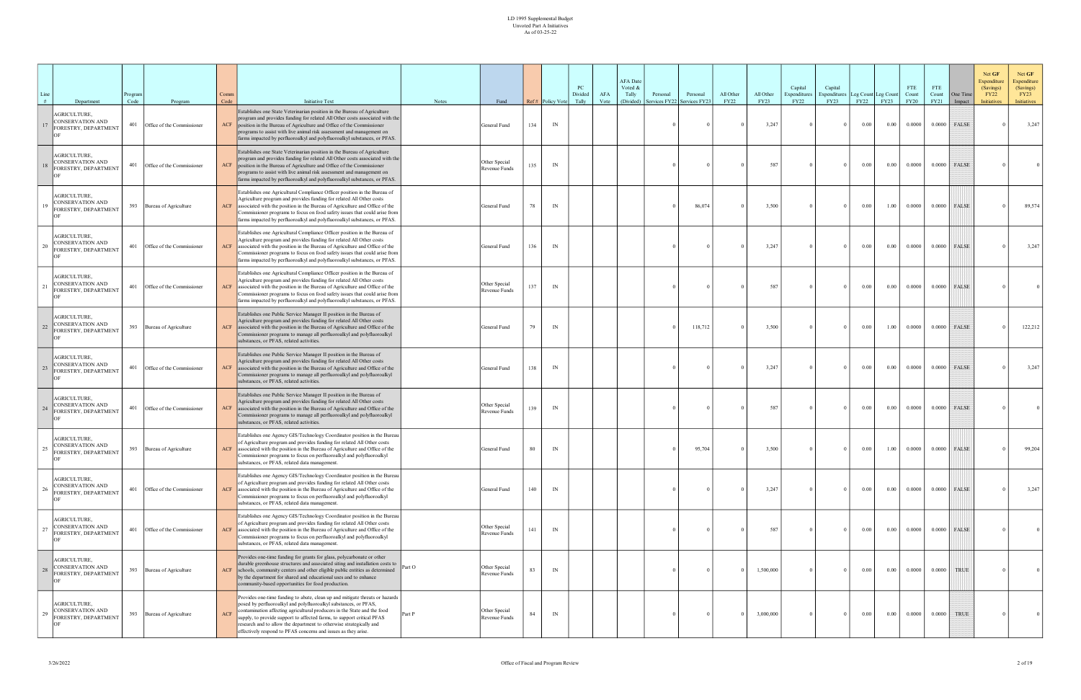| Line<br># | Department                                                            | rogram?<br>Code | Program                    | Comm<br>Code | <b>Initiative Text</b>                                                                                                                                                                                                                                                                                                                                                                                                                          | Notes  | Fund                           |     | Ref# Policy Vote | PC<br>Divided<br>Tally | AFA<br>Vote | <b>AFA</b> Date<br>Voted &<br>Tally<br>(Divided) | Personal<br>ervices FY22 | Personal<br>Services FY2. | All Other<br><b>FY22</b> | All Other<br><b>FY23</b> | Capital<br>Expenditures<br><b>FY22</b> | Capital<br>xpenditures<br>FY23 | Leg Count Leg Count<br>FY22 | <b>FY23</b> | <b>FTE</b><br>Count<br><b>FY20</b> | FTE<br>Count<br>FY21 | One Time<br>Impact | Net GF<br>Expenditure<br>(Savings)<br><b>FY22</b><br><b>Initiatives</b> | Net GF<br>Expenditure<br>(Savings)<br>FY23<br><b>Initiatives</b> |
|-----------|-----------------------------------------------------------------------|-----------------|----------------------------|--------------|-------------------------------------------------------------------------------------------------------------------------------------------------------------------------------------------------------------------------------------------------------------------------------------------------------------------------------------------------------------------------------------------------------------------------------------------------|--------|--------------------------------|-----|------------------|------------------------|-------------|--------------------------------------------------|--------------------------|---------------------------|--------------------------|--------------------------|----------------------------------------|--------------------------------|-----------------------------|-------------|------------------------------------|----------------------|--------------------|-------------------------------------------------------------------------|------------------------------------------------------------------|
| 17        | AGRICULTURE,<br><b>CONSERVATION AND</b><br>FORESTRY, DEPARTMENT       | 401             | Office of the Commissioner | ACF          | Establishes one State Veterinarian position in the Bureau of Agriculture<br>program and provides funding for related All Other costs associated with the<br>position in the Bureau of Agriculture and Office of the Commissioner<br>programs to assist with live animal risk assessment and management on<br>farms impacted by perfluoroalkyl and polyfluoroalkyl substances, or PFAS.                                                          |        | General Fund                   | 134 | IN               |                        |             |                                                  |                          |                           |                          | 3,247                    |                                        | $\Omega$                       | 0.00                        | 0.00        | 0.0000                             |                      | $0.0000$ FALSE     |                                                                         | 3,247                                                            |
|           | <b>AGRICULTURE.</b><br>CONSERVATION AND<br>ORESTRY, DEPARTMENT        | 401             | Office of the Commissioner | <b>ACF</b>   | Establishes one State Veterinarian position in the Bureau of Agriculture<br>program and provides funding for related All Other costs associated with the<br>position in the Bureau of Agriculture and Office of the Commissioner<br>programs to assist with live animal risk assessment and management on<br>farms impacted by perfluoroalkyl and polyfluoroalkyl substances, or PFAS.                                                          |        | Other Special<br>Revenue Funds | 135 | IN               |                        |             |                                                  |                          |                           |                          | 587                      |                                        | $\Omega$                       | $0.00\,$                    | 0.00        | 0.0000                             | 0.0000               | FALSE              |                                                                         |                                                                  |
| 19        | AGRICULTURE,<br><b>CONSERVATION AND</b><br>ORESTRY, DEPARTMENT        | 393             | Bureau of Agriculture      | <b>ACF</b>   | Establishes one Agricultural Compliance Officer position in the Bureau of<br>Agriculture program and provides funding for related All Other costs<br>associated with the position in the Bureau of Agriculture and Office of the<br>Commissioner programs to focus on food safety issues that could arise from<br>farms impacted by perfluoroalkyl and polyfluoroalkyl substances, or PFAS.                                                     |        | General Fund                   | 78  | IN               |                        |             |                                                  |                          | 86,074                    |                          | 3,500                    |                                        | $\Omega$                       | 0.00                        | 1.00        | 0.0000                             | 0.0000               | <b>FALSE</b>       |                                                                         | 89,574                                                           |
|           | AGRICULTURE,<br>CONSERVATION AND<br>FORESTRY, DEPARTMENT              | 401             | Office of the Commissioner | <b>ACF</b>   | Establishes one Agricultural Compliance Officer position in the Bureau of<br>Agriculture program and provides funding for related All Other costs<br>associated with the position in the Bureau of Agriculture and Office of the<br>Commissioner programs to focus on food safety issues that could arise from<br>farms impacted by perfluoroalkyl and polyfluoroalkyl substances, or PFAS.                                                     |        | General Fund                   | 136 | IN               |                        |             |                                                  |                          |                           |                          | 3,247                    |                                        | $\Omega$                       | $0.00\,$                    | 0.00        | 0.0000                             | 0.0000               | FALSE              |                                                                         | 3,247                                                            |
| $^{21}$   | AGRICULTURE,<br><b>CONSERVATION AND</b><br>ORESTRY, DEPARTMENT        | 401             | Office of the Commissioner | <b>ACF</b>   | Establishes one Agricultural Compliance Officer position in the Bureau of<br>Agriculture program and provides funding for related All Other costs<br>associated with the position in the Bureau of Agriculture and Office of the<br>Commissioner programs to focus on food safety issues that could arise from<br>farms impacted by perfluoroalkyl and polyfluoroalkyl substances, or PFAS.                                                     |        | Other Special<br>Revenue Funds | 137 | IN               |                        |             |                                                  |                          |                           |                          | 587                      |                                        |                                | 0.00                        | 0.00        | 0.0000                             | 0.0000               | FALSE              |                                                                         |                                                                  |
| 22        | AGRICULTURE,<br>CONSERVATION AND<br>FORESTRY, DEPARTMENT              | 393             | Bureau of Agriculture      | ACF          | Establishes one Public Service Manager II position in the Bureau of<br>Agriculture program and provides funding for related All Other costs<br>associated with the position in the Bureau of Agriculture and Office of the<br>Commissioner programs to manage all perfluoroalkyl and polyfluoroalkyl<br>substances, or PFAS, related activities.                                                                                                |        | General Fund                   | 79  | IN               |                        |             |                                                  |                          | 118,712                   |                          | 3,500                    |                                        | $\Omega$                       | $0.00\,$                    | 1.00        | 0.0000                             | 0.0000               | <b>FALSE</b>       |                                                                         | 122,212                                                          |
|           | <b>AGRICULTURE,</b><br>CONSERVATION AND<br>ORESTRY, DEPARTMENT        | 401             | Office of the Commissioner | ACF          | Establishes one Public Service Manager II position in the Bureau of<br>Agriculture program and provides funding for related All Other costs<br>associated with the position in the Bureau of Agriculture and Office of the<br>Commissioner programs to manage all perfluoroalkyl and polyfluoroalkyl<br>substances, or PFAS, related activities.                                                                                                |        | General Fund                   | 138 | IN               |                        |             |                                                  |                          |                           |                          | 3,247                    |                                        | $\Omega$                       | 0.00                        | 0.00        | 0.0000                             |                      | $0.0000$ FALSE     |                                                                         | 3,247                                                            |
| 24        | AGRICULTURE,<br>CONSERVATION AND<br>ORESTRY, DEPARTMENT               | 401             | Office of the Commissioner | <b>ACF</b>   | Establishes one Public Service Manager II position in the Bureau of<br>Agriculture program and provides funding for related All Other costs<br>associated with the position in the Bureau of Agriculture and Office of the<br>Commissioner programs to manage all perfluoroalkyl and polyfluoroalkyl<br>substances, or PFAS, related activities.                                                                                                |        | Other Special<br>Revenue Funds | 139 | IN               |                        |             |                                                  |                          |                           |                          | 587                      |                                        | $\Omega$                       | $0.00\,$                    | $0.00\,$    | 0.0000                             | 0.0000               | FALSE              |                                                                         |                                                                  |
| 25        | AGRICULTURE,<br>CONSERVATION AND<br>FORESTRY, DEPARTMENT              |                 | 393 Bureau of Agriculture  |              | Establishes one Agency GIS/Technology Coordinator position in the Bureau<br>of Agriculture program and provides funding for related All Other costs<br>ACF associated with the position in the Bureau of Agriculture and Office of the<br>Commissioner programs to focus on perfluoroalkyl and polyfluoroalkyl<br>substances, or PFAS, related data management.                                                                                 |        | General Fund                   | 80  | IN               |                        |             |                                                  |                          | 95,704                    |                          | 3,500                    |                                        | $\Omega$                       | 0.00                        | 1.00        | 0.0000                             | 0.0000               | FALSE              |                                                                         | 99,204                                                           |
|           | AGRICULTURE.<br><b>CONSERVATION AND</b><br>ORESTRY, DEPARTMENT        | 401             | Office of the Commissioner | ACF          | Establishes one Agency GIS/Technology Coordinator position in the Bureau<br>of Agriculture program and provides funding for related All Other costs<br>associated with the position in the Bureau of Agriculture and Office of the<br>Commissioner programs to focus on perfluoroalkyl and polyfluoroalkyl<br>substances, or PFAS, related data management.                                                                                     |        | General Fund                   | 140 | IN               |                        |             |                                                  |                          |                           |                          | 3,247                    |                                        | $\Omega$                       | 0.00                        | 0.00        | 0.0000                             |                      | $0.0000$ FALSE     |                                                                         | 3,247                                                            |
| 27        | <b>AGRICULTURE.</b><br><b>CONSERVATION AND</b><br>ORESTRY, DEPARTMENT | 401             | Office of the Commissioner | <b>ACF</b>   | Establishes one Agency GIS/Technology Coordinator position in the Bureau<br>of Agriculture program and provides funding for related All Other costs<br>associated with the position in the Bureau of Agriculture and Office of the<br>Commissioner programs to focus on perfluoroalkyl and polyfluoroalkyl<br>substances, or PFAS, related data management.                                                                                     |        | Other Special<br>Revenue Funds |     | IN               |                        |             |                                                  |                          |                           |                          | 587                      |                                        | $\Omega$                       | 0.00                        | 0.00        | 0.0000                             | 0.0000               | FALSE              |                                                                         |                                                                  |
| 28        | AGRICULTURE,<br>CONSERVATION AND<br>FORESTRY, DEPARTMENT              |                 | 393 Bureau of Agriculture  |              | Provides one-time funding for grants for glass, polycarbonate or other<br>durable greenhouse structures and associated siting and installation costs to<br>ACF schools, community centers and other eligible public entities as determined<br>by the department for shared and educational uses and to enhance<br>community-based opportunities for food production.                                                                            | Part O | Other Special<br>Revenue Funds |     | IN               |                        |             |                                                  |                          |                           |                          | 1,500,000                |                                        | $\Omega$                       | $0.00\,$                    | 0.00        | 0.0000                             | 0.0000               | TRUE               |                                                                         |                                                                  |
| 29        | AGRICULTURE,<br>CONSERVATION AND<br>ORESTRY, DEPARTMENT               |                 | 393 Bureau of Agriculture  | <b>ACF</b>   | Provides one-time funding to abate, clean up and mitigate threats or hazards<br>posed by perfluoroalkyl and polyfluoroalkyl substances, or PFAS,<br>contamination affecting agricultural producers in the State and the food<br>supply, to provide support to affected farms, to support critical PFAS<br>research and to allow the department to otherwise strategically and<br>effectively respond to PFAS concerns and issues as they arise. | Part P | Other Special<br>Revenue Funds |     | IN               |                        |             |                                                  |                          |                           |                          | 3,000,000                |                                        | $\Omega$                       | 0.00                        | 0.00        | 0.0000                             | 0.0000               | <b>TRUE</b>        |                                                                         |                                                                  |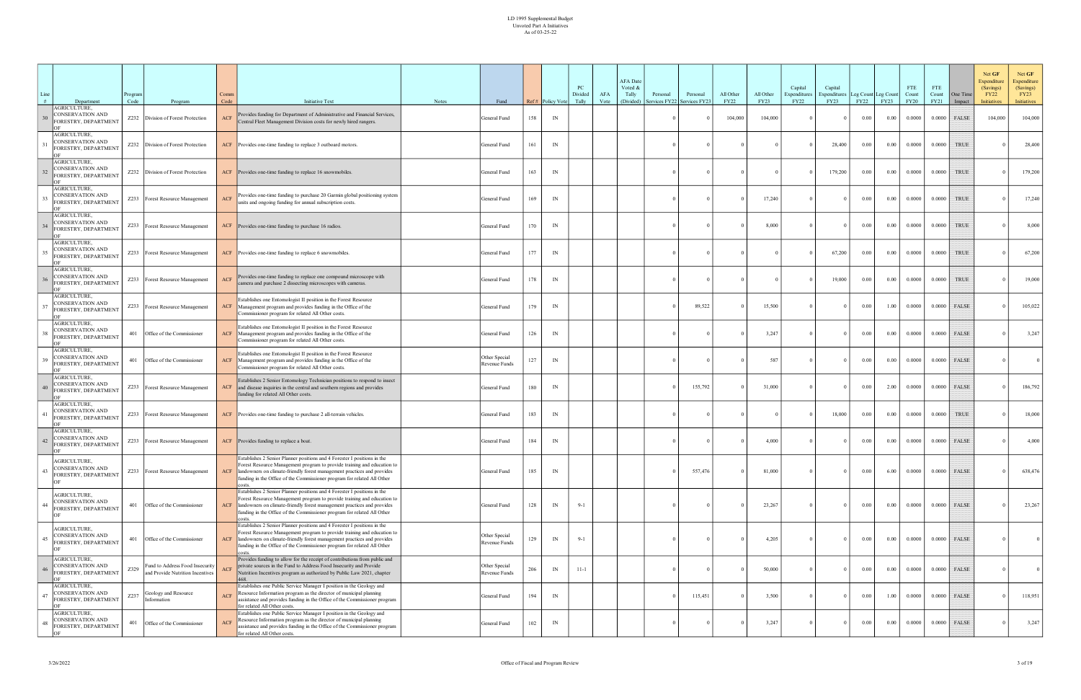| Line | Department                                                     | Program<br>Code | Program                                                             | Comm<br>Code   | <b>Initiative Text</b>                                                                                                                                                                                                                                                                                              | Notes | Fund                           |     | Ref# Policy Vote         | PC<br>Divided<br>Tally | AFA<br>Vote | <b>AFA</b> Date<br>Voted &<br>Tally<br>(Divided) | Personal<br>Services FY22 | Personal<br>Services FY23 | All Other<br><b>FY22</b> | All Other<br>FY23 | Capital<br>Expenditures<br><b>FY22</b> | Capital<br>xpenditures<br>FY23 | Leg Count Leg Count<br>FY22 | <b>FY23</b> | <b>FTE</b><br>Count<br><b>FY20</b> | FTE<br>Count<br>FY21 | One Time<br>Impact | Net GF<br>Expenditure<br>(Savings)<br><b>FY22</b><br><b>Initiatives</b> | Net GF<br>Expenditure<br>(Savings)<br>FY23<br>Initiatives |
|------|----------------------------------------------------------------|-----------------|---------------------------------------------------------------------|----------------|---------------------------------------------------------------------------------------------------------------------------------------------------------------------------------------------------------------------------------------------------------------------------------------------------------------------|-------|--------------------------------|-----|--------------------------|------------------------|-------------|--------------------------------------------------|---------------------------|---------------------------|--------------------------|-------------------|----------------------------------------|--------------------------------|-----------------------------|-------------|------------------------------------|----------------------|--------------------|-------------------------------------------------------------------------|-----------------------------------------------------------|
|      | <b>AGRICULTURE,</b><br>ONSERVATION AND<br>ORESTRY, DEPARTMENT  |                 | Z232 Division of Forest Protection                                  | <b>ACF</b>     | Provides funding for Department of Administrative and Financial Services,<br>Central Fleet Management Division costs for newly hired rangers.                                                                                                                                                                       |       | General Fund                   | 158 | $\ensuremath{\text{IN}}$ |                        |             |                                                  |                           |                           | 104,000                  | 104,000           |                                        | $\Omega$                       | 0.00                        | 0.00        | 0.0000                             | 0.0000               | FALSE              | 104,000                                                                 | 104,000                                                   |
|      | AGRICULTURE,<br>CONSERVATION AND<br>ORESTRY, DEPARTMENT        |                 | Z232 Division of Forest Protection                                  |                | ACF Provides one-time funding to replace 3 outboard motors.                                                                                                                                                                                                                                                         |       | General Fund                   | 161 | $\ensuremath{\text{IN}}$ |                        |             |                                                  |                           |                           |                          |                   |                                        | 28,400                         | 0.00                        | 0.00        | 0.0000                             | 0.0000               | <b>TRUE</b>        |                                                                         | 28,400                                                    |
|      | AGRICULTURE,<br>ONSERVATION AND<br>ORESTRY, DEPARTMENT         |                 | Z232 Division of Forest Protection                                  |                | ACF Provides one-time funding to replace 16 snowmobiles.                                                                                                                                                                                                                                                            |       | General Fund                   | 163 | IN                       |                        |             |                                                  |                           |                           |                          |                   |                                        | 179,200                        | 0.00                        | 0.00        | 0.0000                             | 0.0000               | <b>TRUE</b>        |                                                                         | 179,200                                                   |
|      | AGRICULTURE,<br>CONSERVATION AND<br>ORESTRY, DEPARTMENT        |                 | Z233   Forest Resource Management                                   | ACF            | Provides one-time funding to purchase 20 Garmin global positioning system<br>units and ongoing funding for annual subscription costs.                                                                                                                                                                               |       | General Fund                   | 169 | $\ensuremath{\text{IN}}$ |                        |             |                                                  |                           |                           |                          | 17,240            |                                        | $\Omega$                       | $0.00\,$                    | 0.00        | 0.0000                             | 0.0000               | TRUE               |                                                                         | 17,240                                                    |
|      | AGRICULTURE,<br>CONSERVATION AND<br>ORESTRY, DEPARTMENT        |                 | Z233 Forest Resource Management                                     |                | ACF Provides one-time funding to purchase 16 radios.                                                                                                                                                                                                                                                                |       | General Fund                   | 170 | $\ensuremath{\text{IN}}$ |                        |             |                                                  |                           |                           |                          | 8,000             |                                        | $\Omega$                       | 0.00                        | 0.00        | 0.0000                             | 0.0000               | TRUE               |                                                                         | 8,000                                                     |
|      | AGRICULTURE,<br>CONSERVATION AND<br>ORESTRY, DEPARTMENT        |                 | Z233   Forest Resource Management                                   | ACF            | Provides one-time funding to replace 6 snowmobiles.                                                                                                                                                                                                                                                                 |       | General Fund                   | 177 | $\ensuremath{\text{IN}}$ |                        |             |                                                  |                           |                           |                          |                   |                                        | 67,200                         | $0.00\,$                    | 0.00        | 0.0000                             | 0.0000               | TRUE               |                                                                         | 67,200                                                    |
|      | AGRICULTURE,<br>CONSERVATION AND<br>ORESTRY, DEPARTMENT        |                 | Z233   Forest Resource Management                                   | ACF            | Provides one-time funding to replace one compound microscope with<br>camera and purchase 2 dissecting microscopes with cameras.                                                                                                                                                                                     |       | General Fund                   | 178 | IN                       |                        |             |                                                  |                           |                           |                          |                   |                                        | 19,000                         | 0.00                        | 0.00        | 0.0000                             | 0.0000               | <b>TRUE</b>        |                                                                         | 19,000                                                    |
|      | AGRICULTURE,<br>CONSERVATION AND<br>ORESTRY, DEPARTMENT        |                 | Z233   Forest Resource Management                                   | $\mathbf{ACF}$ | Establishes one Entomologist II position in the Forest Resource<br>Management program and provides funding in the Office of the<br>Commissioner program for related All Other costs.                                                                                                                                |       | General Fund                   | 179 | IN                       |                        |             |                                                  |                           | 89,522                    |                          | 15,500            |                                        | $\Omega$                       | 0.00                        | 1.00        | 0.0000                             | 0.0000               | <b>FALSE</b>       |                                                                         | 105,022                                                   |
|      | <b>AGRICULTURE,</b><br>ONSERVATION AND<br>ORESTRY, DEPARTMENT  |                 | 401 Office of the Commissioner                                      | <b>ACF</b>     | Establishes one Entomologist II position in the Forest Resource<br>Management program and provides funding in the Office of the<br>Commissioner program for related All Other costs.                                                                                                                                |       | General Fund                   | 126 | IN                       |                        |             |                                                  |                           |                           |                          | 3,247             |                                        | $\Omega$                       | 0.00                        | 0.00        | 0.0000                             | 0.0000               | <b>FALSE</b>       |                                                                         | 3,247                                                     |
|      | <b>AGRICULTURE,</b><br>CONSERVATION AND<br>ORESTRY, DEPARTMENT |                 | 401 Office of the Commissioner                                      | ACF            | Establishes one Entomologist II position in the Forest Resource<br>Management program and provides funding in the Office of the<br>Commissioner program for related All Other costs.                                                                                                                                |       | Other Special<br>Revenue Funds | 127 | $\ensuremath{\text{IN}}$ |                        |             |                                                  |                           |                           |                          | 587               |                                        | $\Omega$                       | 0.00                        | 0.00        | 0.0000                             | 0.0000               | FALSE              |                                                                         |                                                           |
|      | AGRICULTURE,<br>CONSERVATION AND<br>ORESTRY, DEPARTMENT        |                 | Z233   Forest Resource Management                                   | <b>ACF</b>     | Establishes 2 Senior Entomology Technician positions to respond to insect<br>and disease inquiries in the central and southern regions and provides<br>funding for related All Other costs.                                                                                                                         |       | General Fund                   | 180 | IN                       |                        |             |                                                  |                           | 155,792                   |                          | 31,000            |                                        | $\Omega$                       | 0.00                        | 2.00        | 0.0000                             | 0.0000               | FALSE              |                                                                         | 186,792                                                   |
|      | AGRICULTURE,<br>CONSERVATION AND<br>ORESTRY, DEPARTMENT        |                 | Z233   Forest Resource Management                                   | ACF            | Provides one-time funding to purchase 2 all-terrain vehicles.                                                                                                                                                                                                                                                       |       | General Fund                   | 183 | IN                       |                        |             |                                                  |                           |                           |                          |                   |                                        | 18,000                         | 0.00                        | 0.00        | 0.0000                             | 0.0000               | <b>TRUE</b>        |                                                                         | 18,000                                                    |
|      | AGRICULTURE,<br>CONSERVATION AND<br>ORESTRY, DEPARTMENT        |                 | Z233   Forest Resource Management                                   |                | ACF Provides funding to replace a boat.                                                                                                                                                                                                                                                                             |       | General Fund                   | 184 | IN                       |                        |             |                                                  |                           |                           |                          | 4.000             |                                        | $\Omega$                       | $0.00\,$                    | 0.00        | 0.0000                             | 0.0000               | FALSE              |                                                                         | 4,000                                                     |
| 43   | AGRICULTURE,<br>CONSERVATION AND<br>ORESTRY, DEPARTMENT        |                 | Z233   Forest Resource Management                                   | ACF            | Establishes 2 Senior Planner positions and 4 Forester I positions in the<br>Forest Resource Management program to provide training and education to<br>landowners on climate-friendly forest management practices and provides<br>funding in the Office of the Commissioner program for related All Other<br>costs. |       | General Fund                   | 185 | IN                       |                        |             |                                                  |                           | 557,476                   |                          | 81,000            |                                        | $\Omega$                       | $0.00\,$                    | 6.00        | 0.0000                             |                      | $0.0000$ FALSE     |                                                                         | 638,476                                                   |
|      | AGRICULTURE,<br>CONSERVATION AND<br>ORESTRY, DEPARTMENT        |                 | 401 Office of the Commissioner                                      | ACF            | Establishes 2 Senior Planner positions and 4 Forester I positions in the<br>Forest Resource Management program to provide training and education to<br>landowners on climate-friendly forest management practices and provides<br>funding in the Office of the Commissioner program for related All Other<br>asts.  |       | General Fund                   | 128 | IN                       | $9 - 1$                |             |                                                  |                           |                           |                          | 23,267            |                                        | $\Omega$                       | $0.00\,$                    | 0.00        | 0.0000                             |                      | $0.0000$ FALSE     |                                                                         | 23,267                                                    |
| 45   | <b>AGRICULTURE,</b><br>CONSERVATION AND<br>ORESTRY, DEPARTMENT | 401             | Office of the Commissioner                                          | ACF            | Establishes 2 Senior Planner positions and 4 Forester I positions in the<br>Forest Resource Management program to provide training and education to<br>landowners on climate-friendly forest management practices and provides<br>funding in the Office of the Commissioner program for related All Other           |       | Other Special<br>Revenue Funds | 129 | IN                       | $9 - 1$                |             |                                                  |                           |                           |                          | 4,205             |                                        | $\Omega$                       | $0.00\,$                    | 0.00        | 0.0000                             |                      | $0.0000$ FALSE     |                                                                         | $\overline{0}$                                            |
|      | AGRICULTURE,<br>CONSERVATION AND<br>ORESTRY, DEPARTMENT        | Z329            | Fund to Address Food Insecurity<br>and Provide Nutrition Incentives |                | Provides funding to allow for the receipt of contributions from public and<br>private sources in the Fund to Address Food Insecurity and Provide<br>Nutrition Incentives program as authorized by Public Law 2021, chapter                                                                                          |       | Other Special<br>Revenue Funds | 206 | $\ensuremath{\text{IN}}$ | $11 - 1$               |             |                                                  |                           |                           |                          | 50,000            |                                        | $\Omega$                       | $0.00\,$                    | 0.00        | 0.0000                             |                      | $0.0000$ FALSE     |                                                                         | $\overline{0}$                                            |
| 47   | AGRICULTURE,<br>CONSERVATION AND<br>ORESTRY, DEPARTMENT        | Z237            | Geology and Resource<br>Information                                 | <b>ACF</b>     | Establishes one Public Service Manager I position in the Geology and<br>Resource Information program as the director of municipal planning<br>assistance and provides funding in the Office of the Commissioner program<br>for related All Other costs.                                                             |       | General Fund                   | 194 | IN                       |                        |             |                                                  |                           | 115,451                   |                          | 3,500             |                                        | $\overline{0}$                 | $0.00\,$                    | 1.00        | 0.0000                             |                      | $0.0000$ FALSE     |                                                                         | 118,951                                                   |
|      | AGRICULTURE,<br>CONSERVATION AND<br>FORESTRY, DEPARTMENT       |                 | 401 Office of the Commissioner                                      | <b>ACF</b>     | Establishes one Public Service Manager I position in the Geology and<br>Resource Information program as the director of municipal planning<br>assistance and provides funding in the Office of the Commissioner program<br>for related All Other costs.                                                             |       | General Fund                   | 102 | $\ensuremath{\text{IN}}$ |                        |             |                                                  |                           |                           |                          | 3,247             |                                        | $\Omega$                       | $0.00\,$                    | 0.00        | 0.0000                             |                      | $0.0000$ FALSE     |                                                                         | 3,247                                                     |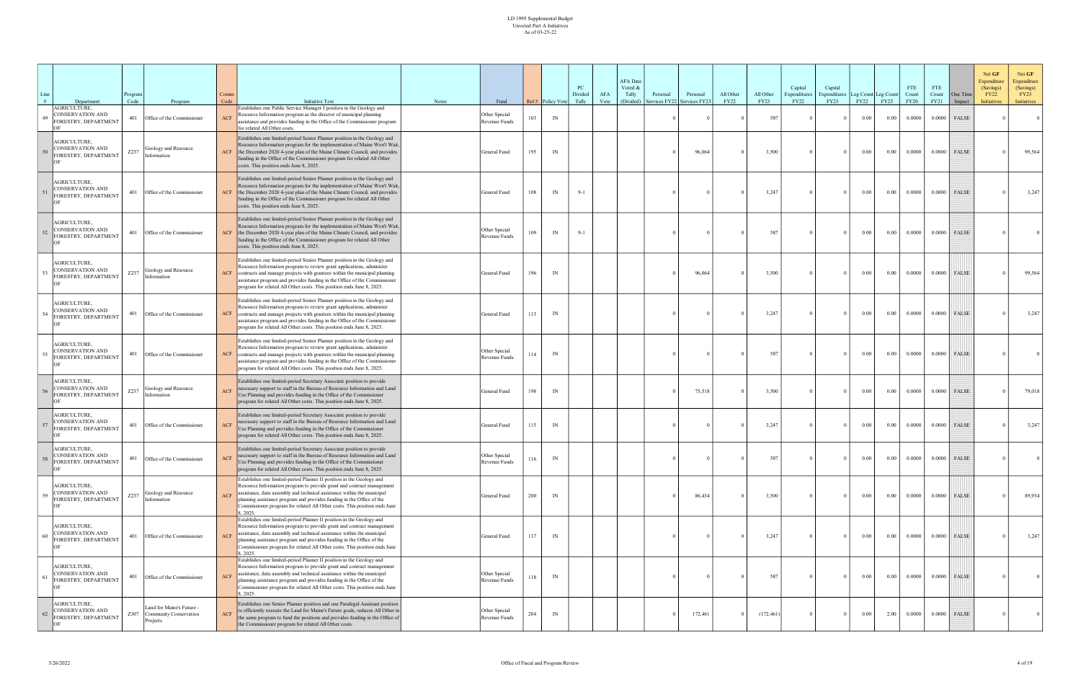| Line<br># | Department<br>AGRICULTURE,                                      | Program<br>Code | Program                                                              | Comm<br>Code | <b>Initiative Text</b><br>Establishes one Public Service Manager I position in the Geology and                                                                                                                                                                                                                                                                                              | <b>Notes</b> | Fund                           |     | Ref# Policy Vote | PC<br>Divided<br>Tally | AFA<br>Vote | <b>AFA</b> Date<br>Voted &<br>Tally<br>(Divided) | Personal<br>ervices FY22 | Personal<br>Services FY2. | All Other<br><b>FY22</b> | All Other<br><b>FY23</b> | Capital<br>Expenditures<br><b>FY22</b> | Capital<br>Expenditures<br>FY23 | Leg Count Leg Count<br>FY22 | <b>FY23</b> | <b>FTE</b><br>Count<br><b>FY20</b> | <b>FTE</b><br>Count<br>FY21 | One Time<br>Impact | Net GF<br><b>Expenditure</b><br>(Savings)<br><b>FY22</b><br><b>Initiatives</b> | Net GF<br>Expenditure<br>(Savings)<br>FY23<br>Initiatives |
|-----------|-----------------------------------------------------------------|-----------------|----------------------------------------------------------------------|--------------|---------------------------------------------------------------------------------------------------------------------------------------------------------------------------------------------------------------------------------------------------------------------------------------------------------------------------------------------------------------------------------------------|--------------|--------------------------------|-----|------------------|------------------------|-------------|--------------------------------------------------|--------------------------|---------------------------|--------------------------|--------------------------|----------------------------------------|---------------------------------|-----------------------------|-------------|------------------------------------|-----------------------------|--------------------|--------------------------------------------------------------------------------|-----------------------------------------------------------|
|           | ONSERVATION AND<br>FORESTRY, DEPARTMENT                         | 401             | Office of the Commissioner                                           |              | Resource Information program as the director of municipal planning<br>assistance and provides funding in the Office of the Commissioner program<br>for related All Other costs.                                                                                                                                                                                                             |              | Other Special<br>Revenue Funds | 103 | IN               |                        |             |                                                  |                          |                           |                          | 587                      |                                        |                                 | 0.00                        | 0.00        | 0.0000                             | 0.0000                      | FALSE              |                                                                                | $\overline{0}$                                            |
|           | AGRICULTURE,<br><b>CONSERVATION AND</b><br>FORESTRY, DEPARTMENT | Z237            | Geology and Resource<br>Information                                  | <b>ACF</b>   | Establishes one limited-period Senior Planner position in the Geology and<br>Resource Information program for the implementation of Maine Won't Wait,<br>the December 2020 4-year plan of the Maine Climate Council, and provides<br>funding in the Office of the Commissioner program for related All Other<br>costs. This position ends June 8, 2025.                                     |              | General Fund                   | 195 | IN               |                        |             |                                                  |                          | 96,064                    |                          | 3,500                    |                                        | $\mathbf{0}$                    | $0.00\,$                    | 0.00        | 0.0000                             | 0.0000                      | FALSE              |                                                                                | 99,564                                                    |
|           | AGRICULTURE,<br><b>CONSERVATION AND</b><br>FORESTRY, DEPARTMENT | 401             | Office of the Commissioner                                           | <b>ACF</b>   | Establishes one limited-period Senior Planner position in the Geology and<br>Resource Information program for the implementation of Maine Won't Wait,<br>the December 2020 4-year plan of the Maine Climate Council, and provides<br>funding in the Office of the Commissioner program for related All Other<br>costs. This position ends June 8, 2025.                                     |              | General Fund                   | 108 | IN               | $9 - 1$                |             |                                                  |                          |                           |                          | 3,247                    |                                        | $\Omega$                        | 0.00                        | 0.00        | 0.0000                             | 0.0000                      | FALSE              |                                                                                | 3,247                                                     |
| 52        | AGRICULTURE,<br>CONSERVATION AND<br>ORESTRY, DEPARTMENT         | 401             | Office of the Commissioner                                           | ACF          | Establishes one limited-period Senior Planner position in the Geology and<br>Resource Information program for the implementation of Maine Won't Wait,<br>the December 2020 4-year plan of the Maine Climate Council, and provides<br>funding in the Office of the Commissioner program for related All Other<br>costs. This position ends June 8, 2025.                                     |              | Other Special<br>Revenue Funds | 109 | IN               | $9 - 1$                |             |                                                  |                          |                           |                          | 587                      |                                        | $\Omega$                        | $0.00\,$                    | 0.00        | 0.0000                             | 0.0000                      | FALSE              |                                                                                |                                                           |
|           | AGRICULTURE,<br>CONSERVATION AND<br>FORESTRY, DEPARTMENT        | Z237            | Geology and Resource<br>Information                                  | ACF          | Establishes one limited-period Senior Planner position in the Geology and<br>Resource Information program to review grant applications, administer<br>contracts and manage projects with grantees within the municipal planning<br>assistance program and provides funding in the Office of the Commissioner<br>program for related All Other costs. This position ends June 8, 2025.       |              | General Fund                   | 196 | IN               |                        |             |                                                  |                          | 96,064                    |                          | 3,500                    |                                        | $\Omega$                        | 0.00                        | 0.00        | 0.0000                             |                             | $0.0000$ FALSE     |                                                                                | 99,564                                                    |
|           | <b>AGRICULTURE.</b><br>CONSERVATION AND<br>ORESTRY, DEPARTMENT  | 401             | Office of the Commissioner                                           | ACF          | Establishes one limited-period Senior Planner position in the Geology and<br>Resource Information program to review grant applications, administer<br>contracts and manage projects with grantees within the municipal planning<br>assistance program and provides funding in the Office of the Commissioner<br>program for related All Other costs. This position ends June 8, 2025.       |              | General Fund                   | 113 | IN               |                        |             |                                                  |                          |                           |                          | 3,247                    |                                        | $\Omega$                        | $0.00\,$                    | $0.00\,$    | 0.0000                             |                             | $0.0000$ FALSE     |                                                                                | 3,247                                                     |
| 55        | AGRICULTURE,<br>CONSERVATION AND<br>FORESTRY, DEPARTMENT        | 401             | Office of the Commissioner                                           | ACF          | Establishes one limited-period Senior Planner position in the Geology and<br>Resource Information program to review grant applications, administer<br>contracts and manage projects with grantees within the municipal planning<br>assistance program and provides funding in the Office of the Commissioner<br>program for related All Other costs. This position ends June 8, 2025.       |              | Other Special<br>Revenue Funds | 114 | IN               |                        |             |                                                  |                          |                           |                          | 587                      |                                        | $\Omega$                        | 0.00                        | 0.00        | 0.0000                             | 0.0000                      | FALSE              |                                                                                |                                                           |
|           | AGRICULTURE,<br>CONSERVATION AND<br>FORESTRY, DEPARTMENT        | Z237            | Geology and Resource<br>Information                                  | <b>ACF</b>   | Establishes one limited-period Secretary Associate position to provide<br>necessary support to staff in the Bureau of Resource Information and Land<br>Use Planning and provides funding in the Office of the Commissioner<br>program for related All Other costs. This position ends June 8, 2025.                                                                                         |              | General Fund                   | 198 | IN               |                        |             |                                                  |                          | 75,518                    |                          | 3,500                    |                                        | $\Omega$                        | $0.00\,$                    | 0.00        | 0.0000                             | 0.0000                      | <b>FALSE</b>       |                                                                                | 79,018                                                    |
|           | AGRICULTURE,<br>CONSERVATION AND<br>FORESTRY, DEPARTMENT        | 401             | Office of the Commissioner                                           | <b>ACF</b>   | Establishes one limited-period Secretary Associate position to provide<br>necessary support to staff in the Bureau of Resource Information and Land<br>Use Planning and provides funding in the Office of the Commissioner<br>program for related All Other costs. This position ends June 8, 2025.                                                                                         |              | General Fund                   | 115 | IN               |                        |             |                                                  |                          |                           |                          | 3,247                    |                                        | $\Omega$                        | $0.00\,$                    | 0.00        | 0.0000                             | 0.0000                      | FALSE              |                                                                                | 3,247                                                     |
|           | AGRICULTURE,<br>CONSERVATION AND<br>FORESTRY, DEPARTMENT        | 401             | Office of the Commissioner                                           | ACF          | Establishes one limited-period Secretary Associate position to provide<br>necessary support to staff in the Bureau of Resource Information and Land<br>Use Planning and provides funding in the Office of the Commissioner<br>program for related All Other costs. This position ends June 8, 2025.                                                                                         |              | Other Special<br>Revenue Funds | 116 | IN               |                        |             |                                                  |                          |                           |                          | 587                      |                                        | $\Omega$                        | $0.00\text{ }$              |             | $0.00$   0.0000                    |                             | $0.0000$ FALSE     |                                                                                |                                                           |
|           | AGRICULTURE,<br>CONSERVATION AND<br>FORESTRY, DEPARTMENT        |                 | $Z237$ Geology and Resource<br>Information                           | <b>ACF</b>   | Establishes one limited-period Planner II position in the Geology and<br>Resource Information program to provide grant and contract management<br>assistance, data assembly and technical assistance within the municipal<br>planning assistance program and provides funding in the Office of the<br>Commissioner program for related All Other costs. This position ends June<br>8.2025.  |              | General Fund                   | 200 | IN               |                        |             |                                                  |                          | 86,434                    |                          | 3,500                    |                                        | $\Omega$                        | $0.00\,$                    | $0.00\,$    | 0.0000                             |                             | $0.0000$ FALSE     |                                                                                | 89,934                                                    |
| 60        | AGRICULTURE,<br>CONSERVATION AND<br>FORESTRY, DEPARTMENT        | 401             | Office of the Commissioner                                           | <b>ACF</b>   | Establishes one limited-period Planner II position in the Geology and<br>Resource Information program to provide grant and contract management<br>assistance, data assembly and technical assistance within the municipal<br>planning assistance program and provides funding in the Office of the<br>Commissioner program for related All Other costs. This position ends June<br>8, 2025. |              | General Fund                   | 117 | IN               |                        |             |                                                  |                          |                           |                          | 3,247                    |                                        | $\Omega$                        | $0.00\,$                    | 0.00        | 0.0000                             |                             | $0.0000$ FALSE     |                                                                                | 3,247                                                     |
|           | AGRICULTURE,<br>CONSERVATION AND<br>FORESTRY, DEPARTMENT        | 401             | Office of the Commissioner                                           | <b>ACF</b>   | Establishes one limited-period Planner II position in the Geology and<br>Resource Information program to provide grant and contract management<br>assistance, data assembly and technical assistance within the municipal<br>planning assistance program and provides funding in the Office of the<br>Commissioner program for related All Other costs. This position ends June<br>8.2025.  |              | Other Special<br>Revenue Funds | 118 | IN               |                        |             |                                                  |                          |                           |                          | 587                      |                                        | $\Omega$                        | $0.00\,$                    | 0.00        | 0.0000                             | 0.0000                      | FALSE              |                                                                                |                                                           |
|           | AGRICULTURE,<br><b>CONSERVATION AND</b><br>FORESTRY, DEPARTMENT |                 | Land for Maine's Future -<br>Z307 Community Conservation<br>Projects | <b>ACF</b>   | Establishes one Senior Planner position and one Paralegal Assistant position<br>to efficiently execute the Land for Maine's Future goals, reduces All Other in<br>the same program to fund the positions and provides funding in the Office of<br>the Commissioner program for related All Other costs.                                                                                     |              | Other Special<br>Revenue Funds | 204 | IN               |                        |             |                                                  |                          | 172,461                   |                          | (172, 461)               |                                        | $\Omega$                        | $0.00\,$                    | 2.00        | 0.0000                             | 0.0000                      | FALSE              |                                                                                | $\overline{0}$                                            |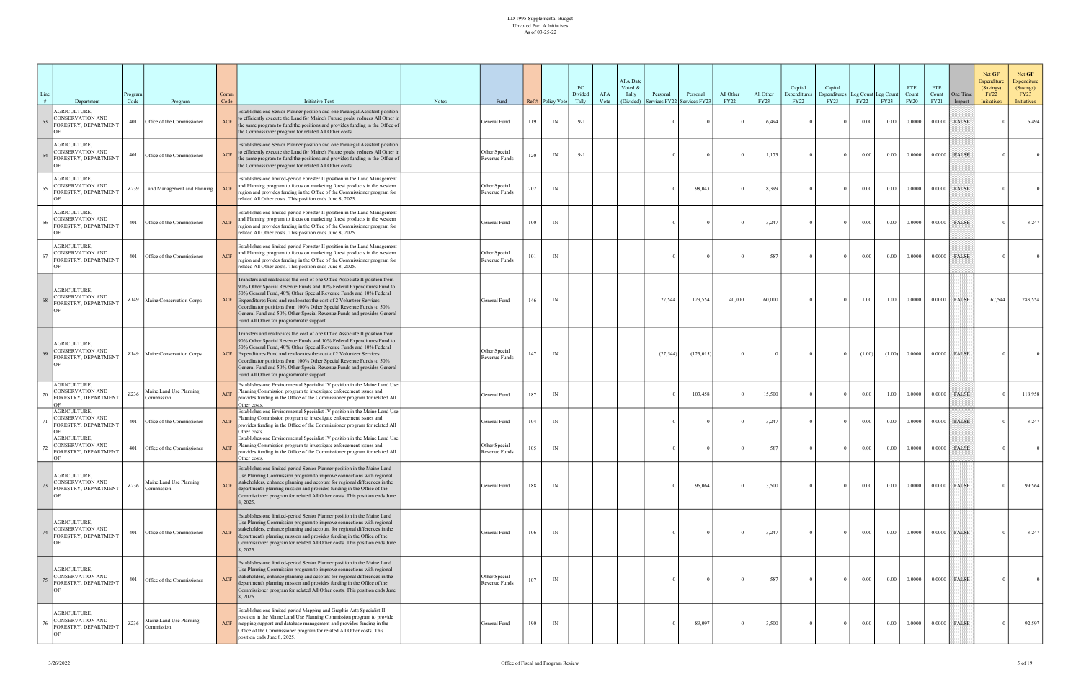| Line | Department                                                          | Program<br>Code | Program                               | Comm<br>Code | <b>Initiative Text</b>                                                                                                                                                                                                                                                                                                                                                                                                                                                                    | <b>Notes</b> | Fund                           |     | Ref# Policy Vote         | PC<br>Divided<br>Tally | AFA<br>Vote | <b>AFA</b> Date<br>Voted &<br>Tally<br>(Divided) | Personal<br>ervices FY22 | Personal<br>Services FY23 | All Other<br><b>FY22</b> | All Other<br>FY23 | Capital<br>Expenditures<br>FY22 | Capital<br><b>Expenditures</b><br>FY23 | Leg Count Leg Count<br>FY22 | FY23     | <b>FTE</b><br>Count<br><b>FY20</b> | <b>FTE</b><br>Count<br><b>FY21</b> | One Time<br>Impact | Net GF<br>Expenditure<br>(Savings)<br><b>FY22</b><br><b>Initiatives</b> | Net GF<br>Expenditure<br>(Savings)<br><b>FY23</b><br>Initiatives |
|------|---------------------------------------------------------------------|-----------------|---------------------------------------|--------------|-------------------------------------------------------------------------------------------------------------------------------------------------------------------------------------------------------------------------------------------------------------------------------------------------------------------------------------------------------------------------------------------------------------------------------------------------------------------------------------------|--------------|--------------------------------|-----|--------------------------|------------------------|-------------|--------------------------------------------------|--------------------------|---------------------------|--------------------------|-------------------|---------------------------------|----------------------------------------|-----------------------------|----------|------------------------------------|------------------------------------|--------------------|-------------------------------------------------------------------------|------------------------------------------------------------------|
| 63   | <b>AGRICULTURE,</b><br>ONSERVATION AND<br>ORESTRY, DEPARTMENT       | 401             | Office of the Commissioner            | ACF          | Establishes one Senior Planner position and one Paralegal Assistant position<br>to efficiently execute the Land for Maine's Future goals, reduces All Other in<br>the same program to fund the positions and provides funding in the Office of<br>the Commissioner program for related All Other costs.                                                                                                                                                                                   |              | General Fund                   | 119 | IN                       | $9 - 1$                |             |                                                  |                          |                           |                          | 6,494             |                                 | $\Omega$                               | $0.00\,$                    | 0.00     | 0.0000                             | 0.0000                             | FALSE              |                                                                         | 6,494                                                            |
| 64   | <b>AGRICULTURE,</b><br>CONSERVATION AND<br>ORESTRY, DEPARTMENT      |                 | 401 Office of the Commissioner        |              | Establishes one Senior Planner position and one Paralegal Assistant position<br>o efficiently execute the Land for Maine's Future goals, reduces All Other in<br>the same program to fund the positions and provides funding in the Office of<br>the Commissioner program for related All Other costs.                                                                                                                                                                                    |              | Other Special<br>Revenue Funds | 120 | IN                       | $9 - 1$                |             |                                                  |                          |                           |                          | 1,173             |                                 | $\Omega$                               | $0.00\,$                    | 0.00     | 0.0000                             | 0.0000                             | <b>FALSE</b>       |                                                                         |                                                                  |
|      | <b>AGRICULTURE,</b><br>CONSERVATION AND<br>ORESTRY, DEPARTMENT      |                 | Z239 Land Management and Planning     |              | Establishes one limited-period Forester II position in the Land Management<br>and Planning program to focus on marketing forest products in the western<br>region and provides funding in the Office of the Commissioner program for<br>related All Other costs. This position ends June 8, 2025.                                                                                                                                                                                         |              | Other Special<br>Revenue Funds | 202 | $\ensuremath{\text{IN}}$ |                        |             |                                                  |                          | 98,043                    |                          | 8,399             |                                 | $\Omega$                               | $0.00\,$                    | 0.00     | 0.0000                             | 0.0000                             | <b>FALSE</b>       |                                                                         |                                                                  |
|      | <b>AGRICULTURE,</b><br>ONSERVATION AND<br>ORESTRY, DEPARTMENT       | 401             | Office of the Commissioner            | <b>ACF</b>   | Establishes one limited-period Forester II position in the Land Management<br>and Planning program to focus on marketing forest products in the western<br>region and provides funding in the Office of the Commissioner program for<br>related All Other costs. This position ends June 8, 2025.                                                                                                                                                                                         |              | General Fund                   | 100 | IN                       |                        |             |                                                  |                          |                           |                          | 3,247             |                                 |                                        | 0.00                        | 0.00     | 0.0000                             | 0.0000                             | FALSE              |                                                                         | 3,247                                                            |
| 67   | <b>AGRICULTURE,</b><br>ONSERVATION AND<br>ORESTRY, DEPARTMENT       |                 | 401 Office of the Commissioner        |              | Establishes one limited-period Forester II position in the Land Management<br>and Planning program to focus on marketing forest products in the western<br>region and provides funding in the Office of the Commissioner program for<br>related All Other costs. This position ends June 8, 2025.                                                                                                                                                                                         |              | Other Special<br>Revenue Funds | 101 | $\ensuremath{\text{IN}}$ |                        |             |                                                  |                          |                           |                          | 587               |                                 | $\Omega$                               | $0.00\,$                    | 0.00     | 0.0000                             | 0.0000                             | FALSE              |                                                                         |                                                                  |
|      | <b>AGRICULTURE,</b><br>ONSERVATION AND<br>ORESTRY, DEPARTMENT       |                 | Z149 Maine Conservation Corps         | ACF          | Transfers and reallocates the cost of one Office Associate II position from<br>90% Other Special Revenue Funds and 10% Federal Expenditures Fund to<br>50% General Fund, 40% Other Special Revenue Funds and 10% Federal<br>Expenditures Fund and reallocates the cost of 2 Volunteer Services<br>Coordinator positions from 100% Other Special Revenue Funds to 50%<br>General Fund and 50% Other Special Revenue Funds and provides General<br>Fund All Other for programmatic support. |              | General Fund                   | 146 | IN                       |                        |             |                                                  | 27,544                   | 123,554                   | 40,000                   | 160,000           |                                 | $\Omega$                               | 1.00                        | 1.00     | 0.0000                             | 0.0000                             | <b>FALSE</b>       | 67,544                                                                  | 283,554                                                          |
|      | <b>GRICULTURE,</b><br><b>ONSERVATION AND</b><br>ORESTRY, DEPARTMENT |                 | Z149 Maine Conservation Corps         | <b>ACF</b>   | Transfers and reallocates the cost of one Office Associate II position from<br>90% Other Special Revenue Funds and 10% Federal Expenditures Fund to<br>50% General Fund, 40% Other Special Revenue Funds and 10% Federal<br>Expenditures Fund and reallocates the cost of 2 Volunteer Services<br>Coordinator positions from 100% Other Special Revenue Funds to 50%<br>General Fund and 50% Other Special Revenue Funds and provides General<br>Fund All Other for programmatic support. |              | Other Special<br>Revenue Funds | 147 | $\ensuremath{\text{IN}}$ |                        |             |                                                  | (27, 544)                | (123, 015)                |                          |                   |                                 | $\Omega$                               | (1.00)                      | (1.00)   | 0.0000                             |                                    | $0.0000$ FALSE     |                                                                         |                                                                  |
|      | <b>AGRICULTURE,</b><br>CONSERVATION AND<br>FORESTRY, DEPARTMENT     | Z236            | Maine Land Use Planning<br>Commission | <b>ACF</b>   | Establishes one Environmental Specialist IV position in the Maine Land Use<br>Planning Commission program to investigate enforcement issues and<br>provides funding in the Office of the Commissioner program for related All<br>Other costs.                                                                                                                                                                                                                                             |              | General Fund                   | 187 | IN                       |                        |             |                                                  |                          | 103,458                   |                          | 15,500            |                                 | $\Omega$                               | $0.00\,$                    | 1.00     | 0.0000                             |                                    | $0.0000$ FALSE     |                                                                         | 118,958                                                          |
|      | <b>AGRICULTURE,</b><br>CONSERVATION AND<br>ORESTRY, DEPARTMENT      |                 | 401 Office of the Commissioner        | <b>ACF</b>   | Establishes one Environmental Specialist IV position in the Maine Land Use<br>Planning Commission program to investigate enforcement issues and<br>provides funding in the Office of the Commissioner program for related All<br>Other costs.                                                                                                                                                                                                                                             |              | General Fund                   | 104 | $\ensuremath{\text{IN}}$ |                        |             |                                                  |                          |                           |                          | 3,247             |                                 | $\Omega$                               | $0.00\,$                    | 0.00     | 0.0000                             | 0.0000                             | <b>FALSE</b>       |                                                                         | 3,247                                                            |
|      | AGRICULTURE.<br>CONSERVATION AND<br>ORESTRY, DEPARTMENT             |                 | 401 Office of the Commissioner        | ACF          | Establishes one Environmental Specialist IV position in the Maine Land Use<br>Planning Commission program to investigate enforcement issues and<br>provides funding in the Office of the Commissioner program for related All<br>Ther costs                                                                                                                                                                                                                                               |              | Other Special<br>Revenue Funds | 105 | IN                       |                        |             |                                                  |                          |                           |                          | 587               |                                 | $\Omega$                               | $0.00\,$                    | 0.00     | 0.0000                             | 0.0000                             | FALSE              |                                                                         |                                                                  |
|      | <b>AGRICULTURE,</b><br>CONSERVATION AND<br>ORESTRY, DEPARTMENT      | Z236            | Maine Land Use Planning<br>Commission | ACF          | Establishes one limited-period Senior Planner position in the Maine Land<br>Use Planning Commission program to improve connections with regional<br>stakeholders, enhance planning and account for regional differences in the<br>department's planning mission and provides funding in the Office of the<br>Commissioner program for related All Other costs. This position ends June<br>8, 2025.                                                                                        |              | General Fund                   | 188 | IN                       |                        |             |                                                  |                          | 96,064                    |                          | 3,500             | $\Omega$                        | $\mathbf{0}$                           | $0.00\,$                    | 0.00     | 0.0000                             |                                    | $0.0000$ FALSE     |                                                                         | 99,564                                                           |
|      | <b>AGRICULTURE,</b><br>CONSERVATION AND<br>ORESTRY, DEPARTMENT      | 401             | Office of the Commissioner            | <b>ACF</b>   | Establishes one limited-period Senior Planner position in the Maine Land<br>Use Planning Commission program to improve connections with regional<br>stakeholders, enhance planning and account for regional differences in the<br>department's planning mission and provides funding in the Office of the<br>Commissioner program for related All Other costs. This position ends June<br>8, 2025.                                                                                        |              | General Fund                   | 106 | IN                       |                        |             |                                                  |                          |                           |                          | 3,247             |                                 | $\Omega$                               | 0.00                        | $0.00\,$ | 0.0000                             |                                    | $0.0000$ FALSE     |                                                                         | 3,247                                                            |
| 75   | <b>AGRICULTURE.</b><br>CONSERVATION AND<br>ORESTRY, DEPARTMENT      | 401             | Office of the Commissioner            | <b>ACF</b>   | Establishes one limited-period Senior Planner position in the Maine Land<br>Use Planning Commission program to improve connections with regional<br>stakeholders, enhance planning and account for regional differences in the<br>department's planning mission and provides funding in the Office of the<br>Commissioner program for related All Other costs. This position ends June<br>8, 2025.                                                                                        |              | Other Special<br>Revenue Funds | 107 | $\ensuremath{\text{IN}}$ |                        |             |                                                  |                          |                           |                          | 587               |                                 | $\Omega$                               | $0.00\,$                    | 0.00     | 0.0000                             |                                    | $0.0000$ FALSE     |                                                                         |                                                                  |
| 76   | AGRICULTURE,<br>CONSERVATION AND<br>ORESTRY, DEPARTMENT             | Z236            | Maine Land Use Planning<br>Commission | ACF          | Establishes one limited-period Mapping and Graphic Arts Specialist II<br>position in the Maine Land Use Planning Commission program to provide<br>mapping support and database management and provides funding in the<br>Office of the Commissioner program for related All Other costs. This<br>position ends June 8, 2025.                                                                                                                                                              |              | General Fund                   | 190 | IN                       |                        |             |                                                  |                          | 89,097                    |                          | 3,500             |                                 | $\Omega$                               | 0.00                        | 0.00     | 0.0000                             | 0.0000                             | <b>FALSE</b>       |                                                                         | 92,597                                                           |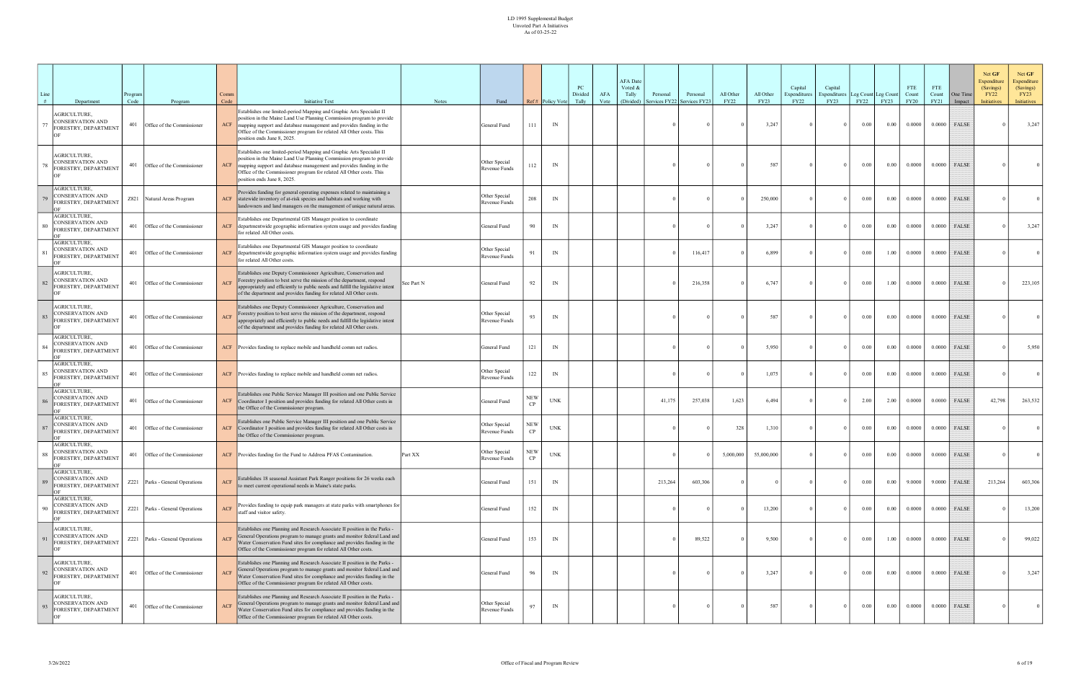| Line<br># | Department                                                      | rogram<br>Code | Program                         | Comm<br>Code                | <b>Initiative Text</b>                                                                                                                                                                                                                                                                                                       | <b>Notes</b> | Fund                           |                  | Ref# Policy Vote          | PC<br>Divided<br>Tally | AFA<br>Vote | <b>AFA</b> Date<br>Voted &<br>Tally<br>(Divided) | Personal<br>ervices FY22 | Personal<br>Services FY23 | All Other<br><b>FY22</b> | All Other<br>FY23 | Capital<br>Expenditures<br><b>FY22</b> | Capital<br><b>Expenditures</b><br>FY23 | Leg Count Leg Count<br>FY22 | <b>FY23</b> | <b>FTE</b><br>Count<br><b>FY20</b> | FTE<br>Count<br>FY21 | One Time<br>Impact | Net GF<br>Expenditure<br>(Savings)<br><b>FY22</b><br>Initiatives | Net GF<br>Expenditure<br>(Savings)<br><b>FY23</b><br>Initiatives |
|-----------|-----------------------------------------------------------------|----------------|---------------------------------|-----------------------------|------------------------------------------------------------------------------------------------------------------------------------------------------------------------------------------------------------------------------------------------------------------------------------------------------------------------------|--------------|--------------------------------|------------------|---------------------------|------------------------|-------------|--------------------------------------------------|--------------------------|---------------------------|--------------------------|-------------------|----------------------------------------|----------------------------------------|-----------------------------|-------------|------------------------------------|----------------------|--------------------|------------------------------------------------------------------|------------------------------------------------------------------|
|           | <b>AGRICULTURE.</b><br>CONSERVATION AND<br>ORESTRY, DEPARTMENT  | 401            | Office of the Commissioner      | $\ensuremath{\mathsf{ACF}}$ | Establishes one limited-period Mapping and Graphic Arts Specialist II<br>position in the Maine Land Use Planning Commission program to provide<br>mapping support and database management and provides funding in the<br>Office of the Commissioner program for related All Other costs. This<br>position ends June 8, 2025. |              | General Fund                   | 111              | IN                        |                        |             |                                                  |                          |                           |                          | 3,247             |                                        | $\Omega$                               | 0.00                        | 0.00        | 0.0000                             |                      | $0.0000$ FALSE     |                                                                  | 3,247                                                            |
|           | <b>AGRICULTURE,</b><br>CONSERVATION AND<br>ORESTRY, DEPARTMENT  | 401            | Office of the Commissioner      | <b>ACF</b>                  | Establishes one limited-period Mapping and Graphic Arts Specialist II<br>position in the Maine Land Use Planning Commission program to provide<br>mapping support and database management and provides funding in the<br>Office of the Commissioner program for related All Other costs. This<br>position ends June 8, 2025. |              | Other Special<br>Revenue Funds | 112              | IN                        |                        |             |                                                  |                          |                           |                          | 587               |                                        |                                        | $0.00\,$                    | 0.00        | 0.0000                             | 0.0000               | FALSE              |                                                                  |                                                                  |
|           | <b>AGRICULTURE,</b><br>CONSERVATION AND<br>FORESTRY, DEPARTMENT |                | Z821 Natural Areas Program      |                             | Provides funding for general operating expenses related to maintaining a<br>ACF statewide inventory of at-risk species and habitats and working with<br>landowners and land managers on the management of unique natural areas.                                                                                              |              | Other Special<br>Revenue Funds | 208              | IN                        |                        |             |                                                  |                          |                           |                          | 250,000           |                                        | $\Omega$                               | $0.00\,$                    | 0.00        | 0.0000                             | 0.0000               | FALSE              |                                                                  |                                                                  |
|           | AGRICULTURE,<br>CONSERVATION AND<br>FORESTRY, DEPARTMENT        | 401            | Office of the Commissioner      |                             | Establishes one Departmental GIS Manager position to coordinate<br>ACF departmentwide geographic information system usage and provides funding<br>for related All Other costs.                                                                                                                                               |              | General Fund                   | 90               | IN                        |                        |             |                                                  |                          |                           |                          | 3,247             |                                        |                                        | 0.00                        | 0.00        | 0.0000                             | 0.0000               | <b>FALSE</b>       |                                                                  | 3,247                                                            |
|           | AGRICULTURE,<br>CONSERVATION AND<br>FORESTRY, DEPARTMENT        | 401            | Office of the Commissioner      |                             | Establishes one Departmental GIS Manager position to coordinate<br>ACF departmentwide geographic information system usage and provides funding<br>for related All Other costs.                                                                                                                                               |              | Other Special<br>Revenue Funds |                  | IN                        |                        |             |                                                  |                          | 116,417                   |                          | 6,899             |                                        | $\theta$                               | $0.00\,$                    | 1.00        | 0.0000                             | 0.0000               | <b>FALSE</b>       |                                                                  |                                                                  |
|           | <b>AGRICULTURE,</b><br>CONSERVATION AND<br>ORESTRY, DEPARTMENT  | 401            | Office of the Commissioner      | <b>ACF</b>                  | Establishes one Deputy Commissioner Agriculture, Conservation and<br>Forestry position to best serve the mission of the department, respond<br>appropriately and efficiently to public needs and fulfill the legislative intent<br>of the department and provides funding for related All Other costs.                       | See Part N   | General Fund                   | 92               | IN                        |                        |             |                                                  |                          | 216,358                   |                          | 6,747             |                                        | $\Omega$                               | $0.00\,$                    | 1.00        | 0.0000                             | 0.0000               | <b>FALSE</b>       |                                                                  | 223,105                                                          |
|           | <b>AGRICULTURE.</b><br>CONSERVATION AND<br>FORESTRY, DEPARTMENT | 401            | Office of the Commissioner      | <b>ACF</b>                  | Establishes one Deputy Commissioner Agriculture, Conservation and<br>Forestry position to best serve the mission of the department, respond<br>appropriately and efficiently to public needs and fulfill the legislative intent<br>of the department and provides funding for related All Other costs.                       |              | Other Special<br>Revenue Funds | 93               | IN                        |                        |             |                                                  |                          |                           |                          | 587               |                                        | $\Omega$                               | $0.00\,$                    | 0.00        | 0.0000                             | 0.0000               | <b>FALSE</b>       |                                                                  |                                                                  |
|           | <b>AGRICULTURE,</b><br>CONSERVATION AND<br>FORESTRY, DEPARTMENT | 401            | Office of the Commissioner      |                             | ACF Provides funding to replace mobile and handheld comm net radios.                                                                                                                                                                                                                                                         |              | General Fund                   | 121              | IN                        |                        |             |                                                  |                          |                           |                          | 5,950             |                                        | $\Omega$                               | $0.00\,$                    | 0.00        | 0.0000                             | 0.0000               | FALSE              |                                                                  | 5,950                                                            |
|           | AGRICULTURE,<br>CONSERVATION AND<br>FORESTRY, DEPARTMENT        | 401            | Office of the Commissioner      |                             | ACF Provides funding to replace mobile and handheld comm net radios.                                                                                                                                                                                                                                                         |              | Other Special<br>Revenue Funds | 122              | IN                        |                        |             |                                                  |                          |                           |                          | 1,075             |                                        |                                        | 0.00                        | 0.00        | 0.0000                             | 0.0000               | FALSE              |                                                                  |                                                                  |
|           | AGRICULTURE,<br>CONSERVATION AND<br>FORESTRY, DEPARTMENT        | 401            | Office of the Commissioner      |                             | Establishes one Public Service Manager III position and one Public Service<br>ACF Coordinator I position and provides funding for related All Other costs in<br>the Office of the Commissioner program.                                                                                                                      |              | General Fund                   | NEW<br>$\cap$    | $\ensuremath{\text{UNK}}$ |                        |             |                                                  | 41,175                   | 257,038                   | 1,623                    | 6,494             |                                        | $\Omega$                               | 2.00                        | 2.00        | 0.0000                             | 0.0000               | <b>FALSE</b>       | 42,798                                                           | 263,532                                                          |
| 87        | AGRICULTURE,<br>CONSERVATION AND<br>FORESTRY, DEPARTMENT        | 401            | Office of the Commissioner      | ACF                         | Establishes one Public Service Manager III position and one Public Service<br>Coordinator I position and provides funding for related All Other costs in<br>the Office of the Commissioner program.                                                                                                                          |              | Other Special<br>Revenue Funds | NEW<br>$\rm CP$  | $\ensuremath{\text{UNK}}$ |                        |             |                                                  |                          |                           | 328                      | 1,310             |                                        | $\Omega$                               | $0.00\,$                    | 0.00        | 0.0000                             | 0.0000               | FALSE              |                                                                  |                                                                  |
| 88        | AGRICULTURE,<br>CONSERVATION AND<br>FORESTRY, DEPARTMENT<br>OF  | 401            | Office of the Commissioner      |                             | ACF Provides funding for the Fund to Address PFAS Contamination.                                                                                                                                                                                                                                                             | Part XX      | Other Special<br>Revenue Funds | <b>NEW</b><br>CP | <b>UNK</b>                |                        |             |                                                  |                          |                           | 5,000,000                | 55,000,000        |                                        | $\Omega$                               | $0.00\,$                    | 0.00        | 0.0000                             | 0.0000               | FALSE              |                                                                  |                                                                  |
| 89        | AGRICULTURE,<br><b>CONSERVATION AND</b><br>FORESTRY, DEPARTMENT |                | Z221 Parks - General Operations | ACF                         | Establishes 18 seasonal Assistant Park Ranger positions for 26 weeks each<br>to meet current operational needs in Maine's state parks.                                                                                                                                                                                       |              | General Fund                   | 151              | IN                        |                        |             |                                                  | 213,264                  | 603,306                   |                          |                   |                                        | $\Omega$                               | 0.00                        | 0.00        | 9.0000                             | 9.0000               | FALSE              | 213,264                                                          | 603,306                                                          |
| 90        | AGRICULTURE,<br><b>CONSERVATION AND</b><br>FORESTRY, DEPARTMENT |                | Z221 Parks - General Operations | <b>ACF</b>                  | Provides funding to equip park managers at state parks with smartphones for<br>staff and visitor safety.                                                                                                                                                                                                                     |              | General Fund                   | 152              | IN                        |                        |             |                                                  |                          |                           |                          | 13,200            |                                        | $\Omega$                               | 0.00                        | 0.00        | 0.0000                             | 0.0000               | FALSE              |                                                                  | 13,200                                                           |
|           | AGRICULTURE,<br><b>CONSERVATION AND</b><br>FORESTRY, DEPARTMENT |                | Z221 Parks - General Operations | <b>ACF</b>                  | Establishes one Planning and Research Associate II position in the Parks -<br>General Operations program to manage grants and monitor federal Land and<br>Water Conservation Fund sites for compliance and provides funding in the<br>Office of the Commissioner program for related All Other costs.                        |              | General Fund                   | 153              | IN                        |                        |             |                                                  |                          | 89,522                    |                          | 9,500             |                                        | $\Omega$                               | $0.00\,$                    | 1.00        | 0.0000                             | 0.0000               | FALSE              |                                                                  | 99,022                                                           |
| 92        | AGRICULTURE,<br>CONSERVATION AND<br>FORESTRY, DEPARTMENT        | 401            | Office of the Commissioner      | <b>ACF</b>                  | Establishes one Planning and Research Associate II position in the Parks -<br>General Operations program to manage grants and monitor federal Land and<br>Water Conservation Fund sites for compliance and provides funding in the<br>Office of the Commissioner program for related All Other costs.                        |              | General Fund                   | 96               | IN                        |                        |             |                                                  |                          |                           |                          | 3,247             |                                        |                                        | 0.00                        | 0.00        | 0.0000                             | 0.0000               | FALSE              |                                                                  | 3,247                                                            |
|           | <b>AGRICULTURE,</b><br>CONSERVATION AND<br>ORESTRY, DEPARTMENT  | 401            | Office of the Commissioner      | <b>ACF</b>                  | Establishes one Planning and Research Associate II position in the Parks -<br>General Operations program to manage grants and monitor federal Land and<br>Water Conservation Fund sites for compliance and provides funding in the<br>Office of the Commissioner program for related All Other costs.                        |              | Other Special<br>Revenue Funds | 97               | IN                        |                        |             |                                                  |                          |                           |                          | 587               |                                        | $\Omega$                               | $0.00\,$                    | $0.00\,$    | 0.0000                             | 0.0000               | FALSE              |                                                                  | $\overline{0}$                                                   |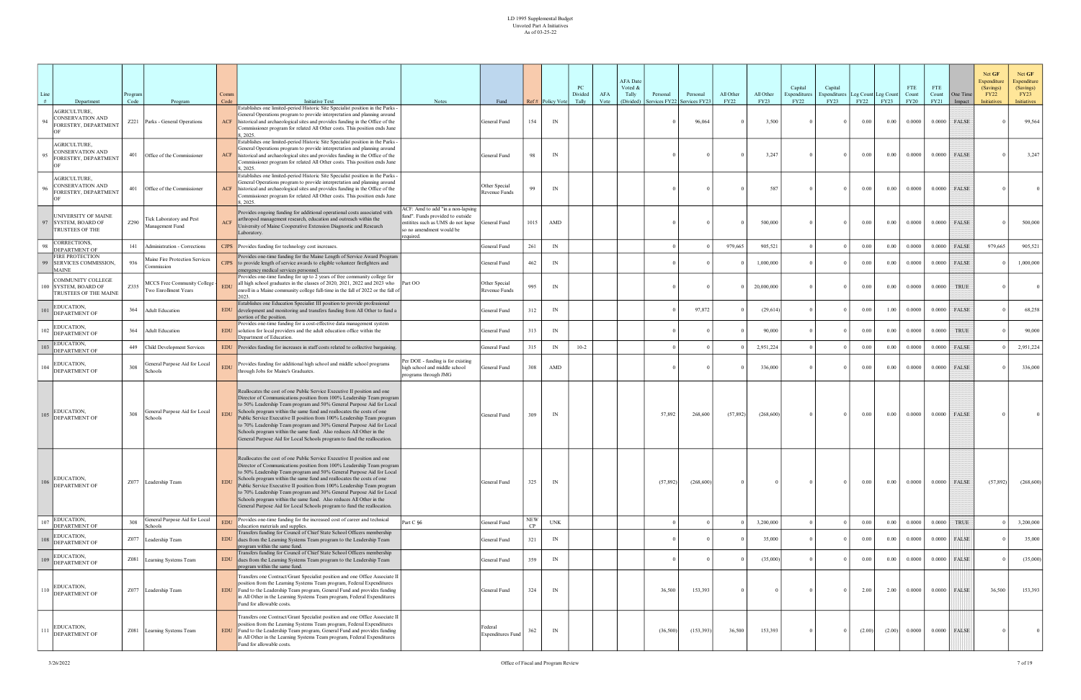| Line<br># | Department                                                           | Program<br>Code | Program                                               | Comm<br>Code | <b>Initiative Text</b>                                                                                                                                                                                                                                                                                                                                                                                                                                                                                                                                                                                 | <b>Notes</b>                                                                                                                                         | Fund                                |                  | Ref# Policy Vote | PC<br>Divided<br>Tally | AFA<br>Vote | <b>AFA</b> Date<br>Voted &<br>Tally<br>(Divided) | Personal<br>Services FY22 | Personal<br>Services FY2 | All Other<br><b>FY22</b> | All Other<br><b>FY23</b> | Capital<br>Expenditures<br>FY22 | Capital<br>xpenditures<br>FY23 | Leg Count Leg Count<br>FY22 | FY23   | <b>FTE</b><br>Count<br><b>FY20</b> | <b>FTE</b><br>Count<br>FY21 | One Time<br>Impact | Net GF<br>Expenditure<br>(Savings)<br><b>FY22</b><br><b>Initiatives</b> | Net GF<br>Expenditure<br>(Savings)<br>FY23<br>Initiatives |
|-----------|----------------------------------------------------------------------|-----------------|-------------------------------------------------------|--------------|--------------------------------------------------------------------------------------------------------------------------------------------------------------------------------------------------------------------------------------------------------------------------------------------------------------------------------------------------------------------------------------------------------------------------------------------------------------------------------------------------------------------------------------------------------------------------------------------------------|------------------------------------------------------------------------------------------------------------------------------------------------------|-------------------------------------|------------------|------------------|------------------------|-------------|--------------------------------------------------|---------------------------|--------------------------|--------------------------|--------------------------|---------------------------------|--------------------------------|-----------------------------|--------|------------------------------------|-----------------------------|--------------------|-------------------------------------------------------------------------|-----------------------------------------------------------|
|           | <b>AGRICULTURE.</b><br>CONSERVATION AND<br>ORESTRY, DEPARTMENT       |                 | Z221 Parks - General Operations                       | <b>ACF</b>   | Establishes one limited-period Historic Site Specialist position in the Parks -<br>General Operations program to provide interpretation and planning around<br>historical and archaeological sites and provides funding in the Office of the<br>Commissioner program for related All Other costs. This position ends June<br>8.2025.                                                                                                                                                                                                                                                                   |                                                                                                                                                      | General Fund                        | 154              | IN               |                        |             |                                                  |                           | 96,064                   |                          | 3,500                    |                                 | $\Omega$                       | $0.00\,$                    | 0.00   | 0.0000                             | 0.0000                      | FALSE              |                                                                         | 99,564                                                    |
|           | <b>AGRICULTURE,</b><br>CONSERVATION AND<br>FORESTRY, DEPARTMENT      | 401             | Office of the Commissioner                            | ACF          | Establishes one limited-period Historic Site Specialist position in the Parks -<br>General Operations program to provide interpretation and planning around<br>historical and archaeological sites and provides funding in the Office of the<br>Commissioner program for related All Other costs. This position ends June<br>8, 2025.                                                                                                                                                                                                                                                                  |                                                                                                                                                      | General Fund                        | 98               | IN               |                        |             |                                                  |                           |                          |                          | 3,247                    |                                 | $\Omega$                       | 0.00                        | 0.00   | 0.0000                             | 0.0000                      | FALSE              |                                                                         | 3,247                                                     |
|           | <b>AGRICULTURE,</b><br>CONSERVATION AND<br>ORESTRY, DEPARTMENT       | 401             | Office of the Commissioner                            | <b>ACF</b>   | Establishes one limited-period Historic Site Specialist position in the Parks -<br>General Operations program to provide interpretation and planning around<br>historical and archaeological sites and provides funding in the Office of the<br>Commissioner program for related All Other costs. This position ends June<br>8.2025.                                                                                                                                                                                                                                                                   |                                                                                                                                                      | Other Special<br>Revenue Funds      | 99               | IN               |                        |             |                                                  |                           |                          |                          | 587                      |                                 | $\Omega$                       | $0.00\,$                    | 0.00   | 0.0000                             | 0.0000                      | <b>FALSE</b>       |                                                                         |                                                           |
|           | <b>JNIVERSITY OF MAINE</b><br>97 SYSTEM, BOARD OF<br>TRUSTEES OF THE | Z290            | Tick Laboratory and Pest<br>Management Fund           | <b>ACF</b>   | Provides ongoing funding for additional operational costs associated with<br>arthropod management research, education and outreach within the<br>University of Maine Cooperative Extension Diagnostic and Research<br>Laboratory.                                                                                                                                                                                                                                                                                                                                                                      | ACF: Amd to add "in a non-lapsing<br>fund". Funds provided to outside<br>entitites such as UMS do not lapse<br>so no amendment would be<br>required. | General Fund                        | 1015             | AMD              |                        |             |                                                  |                           |                          |                          | 500,000                  |                                 |                                | $0.00\,$                    | 0.00   | 0.0000                             | 0.0000                      | FALSE              |                                                                         | 500,000                                                   |
|           | CORRECTIONS,<br>DEPARTMENT OF                                        | 141             | Administration - Corrections                          |              | CJPS Provides funding for technology cost increases.                                                                                                                                                                                                                                                                                                                                                                                                                                                                                                                                                   |                                                                                                                                                      | General Fund                        | 261              | IN               |                        |             |                                                  |                           |                          | 979,665                  | 905,521                  |                                 |                                | 0.00                        | 0.00   | 0.0000                             | 0.0000                      | FALSE              | 979,665                                                                 | 905,521                                                   |
|           | FIRE PROTECTION<br>99 SERVICES COMMISSION,<br><b>MAINE</b>           | 936             | Maine Fire Protection Services<br>ommission           |              | Provides one-time funding for the Maine Length of Service Award Program<br>CJPS to provide length of service awards to eligible volunteer firefighters and<br>emergency medical services personnel.                                                                                                                                                                                                                                                                                                                                                                                                    |                                                                                                                                                      | General Fund                        | 462              | IN               |                        |             |                                                  |                           |                          |                          | 1,000,000                |                                 | $\Omega$                       | $0.00\,$                    | 0.00   | 0.0000                             |                             | $0.0000$ FALSE     |                                                                         | 1,000,000                                                 |
|           | COMMUNITY COLLEGE<br>00 SYSTEM, BOARD OF<br>TRUSTEES OF THE MAINE    | Z335            | MCCS Free Community College -<br>Two Enrollment Years | <b>EDU</b>   | Provides one-time funding for up to 2 years of free community college for<br>all high school graduates in the classes of 2020, 2021, 2022 and 2023 who<br>enroll in a Maine community college full-time in the fall of 2022 or the fall of<br>2023.                                                                                                                                                                                                                                                                                                                                                    | Part OO                                                                                                                                              | Other Special<br>Revenue Funds      | 995              | IN               |                        |             |                                                  |                           |                          |                          | 20,000,000               |                                 | $\Omega$                       | 0.00                        | 0.00   | 0.0000                             | 0.0000                      | <b>TRUE</b>        |                                                                         |                                                           |
|           | EDUCATION,<br>DEPARTMENT OF                                          | 364             | <b>Adult Education</b>                                | <b>EDU</b>   | Establishes one Education Specialist III position to provide professional<br>development and monitoring and transfers funding from All Other to fund a<br>portion of the position.                                                                                                                                                                                                                                                                                                                                                                                                                     |                                                                                                                                                      | General Fund                        | 312              | IN               |                        |             |                                                  |                           | 97,872                   |                          | (29,614)                 |                                 | $\Omega$                       | $0.00\,$                    | 1.00   | 0.0000                             | 0.0000                      | <b>FALSE</b>       |                                                                         | 68,258                                                    |
|           | EDUCATION,<br>DEPARTMENT OF                                          | 364             | <b>Adult Education</b>                                | <b>EDU</b>   | Provides one-time funding for a cost-effective data management system<br>solution for local providers and the adult education office within the<br>Department of Education.                                                                                                                                                                                                                                                                                                                                                                                                                            |                                                                                                                                                      | General Fund                        | 313              | IN               |                        |             |                                                  |                           |                          |                          | 90,000                   |                                 |                                | 0.00                        | 0.00   | 0.0000                             | 0.0000                      | <b>TRUE</b>        |                                                                         | 90,000                                                    |
|           | EDUCATION,<br>DEPARTMENT OF                                          |                 | 449 Child Development Services                        | <b>EDU</b>   | Provides funding for increases in staff costs related to collective bargaining.                                                                                                                                                                                                                                                                                                                                                                                                                                                                                                                        |                                                                                                                                                      | General Fund                        | 315              | IN               | $10 - 2$               |             |                                                  |                           |                          |                          | 2,951,224                |                                 |                                | 0.00                        | 0.00   | 0.0000                             | 0.0000                      | <b>FALSE</b>       |                                                                         | 2,951,224                                                 |
|           | EDUCATION,<br>DEPARTMENT OF                                          | 308             | General Purpose Aid for Local<br>Schools              | <b>EDU</b>   | Provides funding for additional high school and middle school programs<br>through Jobs for Maine's Graduates.                                                                                                                                                                                                                                                                                                                                                                                                                                                                                          | Per DOE - funding is for existing<br>nigh school and middle school<br>programs through JMG                                                           | General Fund                        | 308              | AMD              |                        |             |                                                  |                           |                          |                          | 336,000                  |                                 |                                | 0.00                        | 0.00   | 0.0000                             | 0.0000                      | FALSE              |                                                                         | 336,000                                                   |
|           | EDUCATION,<br><b>DEPARTMENT OF</b>                                   | 308             | General Purpose Aid for Local<br>Schools              | <b>EDU</b>   | Reallocates the cost of one Public Service Executive II position and one<br>Director of Communications position from 100% Leadership Team program<br>to 50% Leadership Team program and 50% General Purpose Aid for Local<br>Schools program within the same fund and reallocates the costs of one<br>Public Service Executive II position from 100% Leadership Team program<br>to 70% Leadership Team program and 30% General Purpose Aid for Local<br>Schools program within the same fund. Also reduces All Other in the<br>General Purpose Aid for Local Schools program to fund the reallocation. |                                                                                                                                                      | General Fund                        | 309              | IN               |                        |             |                                                  | 57,892                    | 268,600                  | (57, 892)                | (268, 600)               |                                 | $\mathbf{0}$                   | $0.00\,$                    | 0.00   | 0.0000                             | 0.0000                      | FALSE              |                                                                         |                                                           |
| 106       | EDUCATION,<br>DEPARTMENT OF                                          |                 | Z077 Leadership Team                                  | <b>EDU</b>   | Reallocates the cost of one Public Service Executive II position and one<br>Director of Communications position from 100% Leadership Team program<br>to 50% Leadership Team program and 50% General Purpose Aid for Local<br>Schools program within the same fund and reallocates the costs of one<br>Public Service Executive II position from 100% Leadership Team program<br>to 70% Leadership Team program and 30% General Purpose Aid for Local<br>Schools program within the same fund. Also reduces All Other in the<br>General Purpose Aid for Local Schools program to fund the reallocation. |                                                                                                                                                      | General Fund                        | 325              | IN               |                        |             |                                                  | (57, 892)                 | (268, 600)               |                          |                          |                                 | $\Omega$                       | 0.00                        | 0.00   | 0.0000                             |                             | $0.0000$ FALSE     | (57, 892)                                                               | (268,600)                                                 |
| 107       | EDUCATION,<br>DEPARTMENT OF                                          | 308             | General Purpose Aid for Local<br>Schools              |              | Provides one-time funding for the increased cost of career and technical<br>education materials and supplies.                                                                                                                                                                                                                                                                                                                                                                                                                                                                                          | Part C §6                                                                                                                                            | General Fund                        | <b>NEW</b><br>CP | <b>UNK</b>       |                        |             |                                                  |                           |                          |                          | 3,200,000                |                                 |                                | $0.00\,$                    | 0.00   | 0.0000                             | 0.0000                      | <b>TRUE</b>        |                                                                         | 3,200,000                                                 |
|           | EDUCATION,<br><b>DEPARTMENT OF</b>                                   |                 | Z077 Leadership Team                                  | <b>EDU</b>   | Transfers funding for Council of Chief State School Officers membership<br>dues from the Learning Systems Team program to the Leadership Team<br>program within the same fund.                                                                                                                                                                                                                                                                                                                                                                                                                         |                                                                                                                                                      | General Fund                        | 321              | IN               |                        |             |                                                  |                           |                          |                          | 35,000                   |                                 | $\Omega$                       | $0.00\,$                    | 0.00   | 0.0000                             | 0.0000                      | <b>FALSE</b>       |                                                                         | 35,000                                                    |
|           | EDUCATION,<br>DEPARTMENT OF                                          |                 | Z081 Learning Systems Team                            | <b>EDU</b>   | Transfers funding for Council of Chief State School Officers membership<br>dues from the Learning Systems Team program to the Leadership Team<br>program within the same fund.                                                                                                                                                                                                                                                                                                                                                                                                                         |                                                                                                                                                      | General Fund                        | 359              | IN               |                        |             |                                                  |                           |                          |                          | (35,000)                 |                                 | $\Omega$                       | $0.00\,$                    | 0.00   | 0.0000                             |                             | $0.0000$ FALSE     |                                                                         | (35,000)                                                  |
|           | EDUCATION,<br>DEPARTMENT OF                                          |                 | Z077 Leadership Team                                  | <b>EDU</b>   | Transfers one Contract/Grant Specialist position and one Office Associate II<br>position from the Learning Systems Team program, Federal Expenditures<br>Fund to the Leadership Team program, General Fund and provides funding<br>in All Other in the Learning Systems Team program, Federal Expenditures<br>Fund for allowable costs.                                                                                                                                                                                                                                                                |                                                                                                                                                      | General Fund                        | 324              | IN               |                        |             |                                                  | 36,500                    | 153,393                  |                          |                          |                                 | $\Omega$                       | 2.00                        | 2.00   | 0.0000                             |                             | $0.0000$ FALSE     | 36,500                                                                  | 153,393                                                   |
| 111       | EDUCATION,<br>DEPARTMENT OF                                          |                 | Z081 Learning Systems Team                            | <b>EDU</b>   | Transfers one Contract/Grant Specialist position and one Office Associate II<br>position from the Learning Systems Team program, Federal Expenditures<br>Fund to the Leadership Team program, General Fund and provides funding<br>in All Other in the Learning Systems Team program, Federal Expenditures<br>Fund for allowable costs.                                                                                                                                                                                                                                                                |                                                                                                                                                      | Federal<br><b>Expenditures Fund</b> | 362              | IN               |                        |             |                                                  | (36,500)                  | (153, 393)               | 36,500                   | 153,393                  |                                 | $\bf{0}$                       | (2.00)                      | (2.00) | 0.0000                             |                             | $0.0000$ FALSE     |                                                                         |                                                           |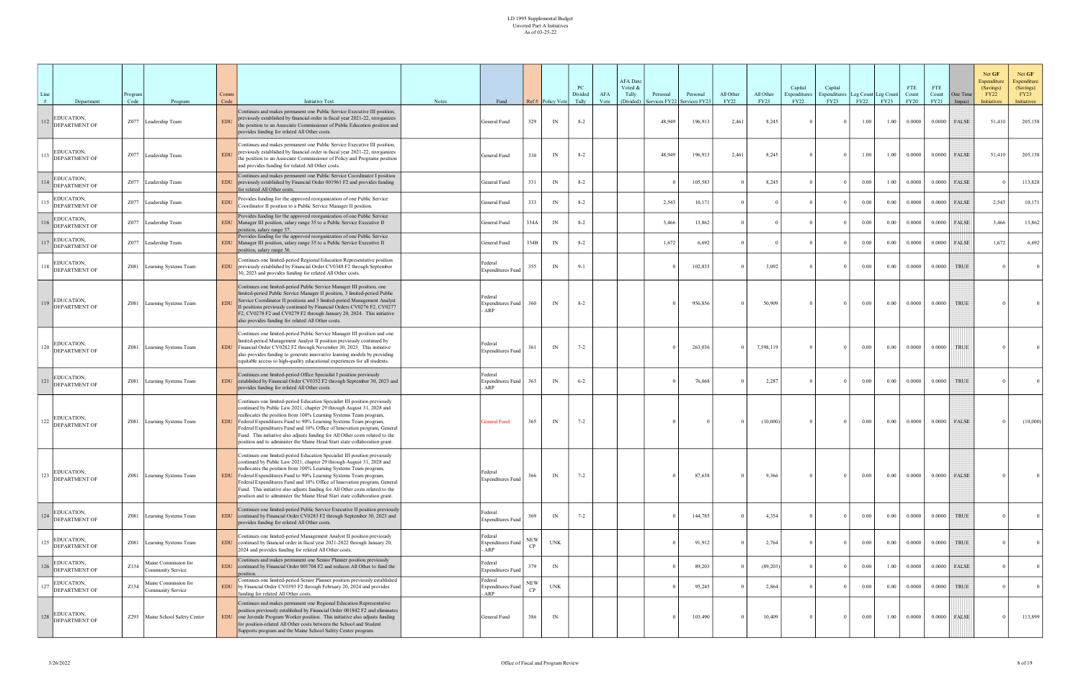| Line<br># | Department                         | Program<br>Code | Program                                   | Comm<br>Code | <b>Initiative Text</b>                                                                                                                                                                                                                                                                                                                                                                                                                                                                                                              | <b>Notes</b> | Fund                                       |                  | Ref# Policy Vote         | PC<br>Divided<br>Tally | AFA<br>Vote | <b>AFA</b> Date<br>Voted &<br>Tally<br>(Divided) | Personal<br>ervices FY22 | Personal<br>Services FY2. | All Other<br><b>FY22</b> | All Other<br>FY23 | Capital<br>Expenditures<br><b>FY22</b> | Capital<br>Expenditures<br>FY23 | Leg Count Leg Count<br>FY22 | FY23     | <b>FTE</b><br>Count<br><b>FY20</b> | FTE<br>Count<br>FY21 | One Time<br>Impact | Net GF<br>Expenditure<br>(Savings)<br><b>FY22</b><br><b>Initiatives</b> | Net GF<br>Expenditure<br>(Savings)<br>FY23<br>Initiatives |
|-----------|------------------------------------|-----------------|-------------------------------------------|--------------|-------------------------------------------------------------------------------------------------------------------------------------------------------------------------------------------------------------------------------------------------------------------------------------------------------------------------------------------------------------------------------------------------------------------------------------------------------------------------------------------------------------------------------------|--------------|--------------------------------------------|------------------|--------------------------|------------------------|-------------|--------------------------------------------------|--------------------------|---------------------------|--------------------------|-------------------|----------------------------------------|---------------------------------|-----------------------------|----------|------------------------------------|----------------------|--------------------|-------------------------------------------------------------------------|-----------------------------------------------------------|
| 112       | <b>DUCATION,</b><br>DEPARTMENT OF  |                 | Z077 Leadership Team                      | <b>EDU</b>   | Continues and makes permanent one Public Service Executive III position,<br>previously established by financial order in fiscal year 2021-22, reorganizes<br>the position to an Associate Commissioner of Public Education position and<br>provides funding for related All Other costs.                                                                                                                                                                                                                                            |              | General Fund                               | 329              | IN                       | $8 - 2$                |             |                                                  | 48,949                   | 196,913                   | 2,461                    | 8,245             |                                        | $\Omega$                        | 1.00                        | 1.00     | 0.0000                             | 0.0000               | <b>FALSE</b>       | 51,410                                                                  | 205,158                                                   |
|           | DUCATION,<br><b>DEPARTMENT OF</b>  |                 | Z077 Leadership Team                      | <b>EDU</b>   | Continues and makes permanent one Public Service Executive III position,<br>previously established by financial order in fiscal year 2021-22, reorganizes<br>the position to an Associate Commissioner of Policy and Programs position<br>and provides funding for related All Other costs.                                                                                                                                                                                                                                         |              | General Fund                               | 330              | IN                       | $8 - 2$                |             |                                                  | 48,949                   | 196,913                   | 2,461                    | 8,245             |                                        | $\Omega$                        | 1.00                        | 1.00     | 0.0000                             |                      | $0.0000$ FALSE     | 51,410                                                                  | 205,158                                                   |
|           | EDUCATION,<br>DEPARTMENT OF        |                 | Z077 Leadership Team                      | <b>EDU</b>   | Continues and makes permanent one Public Service Coordinator I position<br>previously established by Financial Order 001961 F2 and provides funding<br>for related All Other costs.                                                                                                                                                                                                                                                                                                                                                 |              | General Fund                               | 331              | IN                       | $8 - 2$                |             |                                                  |                          | 105,583                   |                          | 8,245             |                                        | $^{\circ}$                      | 0.00                        | 1.00     | 0.0000                             | 0.0000               | FALSE              |                                                                         | 113,828                                                   |
|           | DUCATION,<br>DEPARTMENT OF         |                 | Z077 Leadership Team                      | <b>EDU</b>   | Provides funding for the approved reorganization of one Public Service<br>Coordinator II position to a Public Service Manager II position.                                                                                                                                                                                                                                                                                                                                                                                          |              | General Fund                               | 333              | IN                       | $8 - 2$                |             |                                                  | 2,543                    | 10,171                    |                          |                   |                                        | $^{\circ}$                      | 0.00                        | 0.00     | 0.0000                             | 0.0000               | FALSE              | 2,543                                                                   | 10,171                                                    |
|           | <b>DUCATION,</b><br>DEPARTMENT OF  |                 | Z077 Leadership Team                      | <b>EDU</b>   | Provides funding for the approved reorganization of one Public Service<br>Manager III position, salary range 35 to a Public Service Executive II<br>position, salary range 37.                                                                                                                                                                                                                                                                                                                                                      |              | General Fund                               | 334A             | IN                       | $8 - 2$                |             |                                                  | 3,466                    | 13,862                    |                          |                   |                                        | $\Omega$                        | 0.00                        | 0.00     | 0.0000                             | 0.0000               | FALSE              | 3,466                                                                   | 13,862                                                    |
|           | EDUCATION,<br>DEPARTMENT OF        |                 | Z077 Leadership Team                      | <b>EDU</b>   | Provides funding for the approved reorganization of one Public Service<br>Manager III position, salary range 35 to a Public Service Executive II<br>position, salary range 36.                                                                                                                                                                                                                                                                                                                                                      |              | General Fund                               | 334B             | IN                       | $8 - 2$                |             |                                                  | 1,672                    | 6,692                     |                          |                   |                                        | $\Omega$                        | 0.00                        | 0.00     | 0.0000                             | 0.0000               | FALSE              | 1,672                                                                   | 6,692                                                     |
|           | EDUCATION,<br>DEPARTMENT OF        |                 | Z081 Learning Systems Team                | <b>EDU</b>   | Continues one limited-period Regional Education Representative position<br>previously established by Financial Order CV0348 F2 through September<br>30, 2023 and provides funding for related All Other costs.                                                                                                                                                                                                                                                                                                                      |              | Federal<br><b>Expenditures Fund</b>        | 355              | IN                       | $9 - 1$                |             |                                                  |                          | 102,835                   |                          | 3,092             |                                        | $\Omega$                        | 0.00                        | 0.00     | 0.0000                             | 0.0000               | <b>TRUE</b>        |                                                                         |                                                           |
|           | EDUCATION,<br>DEPARTMENT OF        |                 | Z081 Learning Systems Team                | <b>EDU</b>   | Continues one limited-period Public Service Manager III position, one<br>limited-period Public Service Manager II position, 3 limited-period Public<br>Service Coordinator II positions and 3 limited-period Management Analyst<br>Il positions previously continued by Financial Orders CV0276 F2, CV0277<br>F2, CV0278 F2 and CV0279 F2 through January 20, 2024. This initiative<br>also provides funding for related All Other costs.                                                                                           |              | Federal<br><b>Expenditures Fund</b><br>ARP | 360              | IN                       | $8 - 2$                |             |                                                  |                          | 956,856                   |                          | 50,909            |                                        | $\Omega$                        | $0.00\,$                    | 0.00     | 0.0000                             | 0.0000               | <b>TRUE</b>        |                                                                         |                                                           |
| 120       | EDUCATION,<br><b>DEPARTMENT OF</b> |                 | Z081 Learning Systems Team                | <b>EDU</b>   | Continues one limited-period Public Service Manager III position and one<br>limited-period Management Analyst II position previously continued by<br>Financial Order CV0282 F2 through November 30, 2023. This initiative<br>also provides funding to generate innovative learning models by providing<br>equitable access to high-quality educational experiences for all students.                                                                                                                                                |              | Federal<br><b>Expenditures Fund</b>        | 361              | IN                       | $7 - 2$                |             |                                                  |                          | 263,036                   |                          | 7,598,119         |                                        | $\Omega$                        | $0.00\,$                    | $0.00\,$ | 0.0000                             | 0.0000               | TRUE               |                                                                         |                                                           |
|           | EDUCATION,<br>DEPARTMENT OF        |                 | Z081 Learning Systems Team                | <b>EDU</b>   | Continues one limited-period Office Specialist I position previously<br>established by Financial Order CV0352 F2 through September 30, 2023 and<br>provides funding for related All Other costs.                                                                                                                                                                                                                                                                                                                                    |              | Federal<br><b>Expenditures Fund</b><br>ARP | 363              | IN                       | $6 - 2$                |             |                                                  |                          | 76,068                    |                          | 2,287             |                                        | $\Omega$                        | 0.00                        | 0.00     | 0.0000                             | 0.0000               | <b>TRUE</b>        |                                                                         |                                                           |
| 122       | EDUCATION,<br>DEPARTMENT OF        |                 | Z081 Learning Systems Team                | <b>EDU</b>   | Continues one limited-period Education Specialist III position previously<br>continued by Public Law 2021, chapter 29 through August 31, 2028 and<br>reallocates the position from 100% Learning Systems Team program,<br>Federal Expenditures Fund to 90% Learning Systems Team program,<br>Federal Expenditures Fund and 10% Office of Innovation program, General<br>Fund. This initiative also adjusts funding for All Other costs related to the<br>position and to administer the Maine Head Start state collaboration grant. |              | <b>General Fund</b>                        | 365              | IN                       | $7 - 2$                |             |                                                  |                          |                           |                          | (10,000)          |                                        | $\Omega$                        | $0.00\,$                    | 0.00     | 0.0000                             |                      | $0.0000$ FALSE     |                                                                         | (10,000)                                                  |
| 123       | EDUCATION,<br>DEPARTMENT OF        |                 | Z081 Learning Systems Team                | <b>EDU</b>   | Continues one limited-period Education Specialist III position previously<br>continued by Public Law 2021, chapter 29 through August 31, 2028 and<br>reallocates the position from 100% Learning Systems Team program,<br>Federal Expenditures Fund to 90% Learning Systems Team program,<br>Federal Expenditures Fund and 10% Office of Innovation program, General<br>Fund. This initiative also adjusts funding for All Other costs related to the<br>position and to administer the Maine Head Start state collaboration grant. |              | Federal<br><b>Expenditures Fund</b>        | 366              | IN                       | $7 - 2$                |             |                                                  |                          | 87,638                    |                          | 9,366             | $\Omega$                               | $\bf{0}$                        | $0.00\,$                    | 0.00     | 0.0000                             | 0.0000               | FALSE              |                                                                         | $\overline{0}$                                            |
| 124       | EDUCATION,<br>DEPARTMENT OF        |                 | Z081 Learning Systems Team                | <b>EDU</b>   | Continues one limited-period Public Service Executive II position previously<br>continued by Financial Order CV0283 F2 through September 30, 2023 and<br>provides funding for related All Other costs.                                                                                                                                                                                                                                                                                                                              |              | Federal<br><b>Expenditures Fund</b>        | 369              | $\ensuremath{\text{IN}}$ | $7 - 2$                |             |                                                  |                          | 144,785                   |                          | 4,354             |                                        | $\Omega$                        | 0.00                        | 0.00     | 0.0000                             | 0.0000               | TRUE               |                                                                         | $\overline{0}$                                            |
| 125       | EDUCATION,<br>DEPARTMENT OF        |                 | Z081 Learning Systems Team                | <b>EDU</b>   | Continues one limited-period Management Analyst II position previously<br>continued by financial order in fiscal year 2021-2022 through January 20,<br>2024 and provides funding for related All Other costs.                                                                                                                                                                                                                                                                                                                       |              | Federal<br><b>Expenditures Fund</b><br>ARP | <b>NEW</b><br>CP | <b>UNK</b>               |                        |             |                                                  |                          | 91,912                    |                          | 2,764             |                                        | $\Omega$                        | $0.00\,$                    | 0.00     | 0.0000                             | 0.0000               | <b>TRUE</b>        |                                                                         | $\Omega$                                                  |
| 126       | EDUCATION,<br>DEPARTMENT OF        | Z134            | Maine Commission for<br>Community Service | <b>EDU</b>   | Continues and makes permanent one Senior Planner position previously<br>continued by Financial Order 001704 F2 and reduces All Other to fund the<br>position.                                                                                                                                                                                                                                                                                                                                                                       |              | Federal<br><b>Expenditures Fund</b>        | 379              | IN                       |                        |             |                                                  |                          | 89,203                    |                          | (89,203)          |                                        | $\overline{0}$                  | $0.00\,$                    | 1.00     | 0.0000                             | 0.0000               | <b>FALSE</b>       |                                                                         |                                                           |
| 127       | EDUCATION,<br>DEPARTMENT OF        | Z134            | Maine Commission for<br>Community Service | <b>EDU</b>   | Continues one limited-period Senior Planner position previously established<br>by Financial Order CV0393 F2 through February 20, 2024 and provides<br>funding for related All Other costs.                                                                                                                                                                                                                                                                                                                                          |              | Federal<br><b>Expenditures Fund</b><br>ARP | <b>NEW</b><br>CP | <b>UNK</b>               |                        |             |                                                  |                          | 95,245                    |                          | 2,864             |                                        | $\overline{0}$                  | $0.00\,$                    | 0.00     | 0.0000                             | 0.0000               | <b>TRUE</b>        |                                                                         | $\overline{0}$                                            |
|           | $128$ EDUCATION,<br>DEPARTMENT OF  |                 | Z293 Maine School Safety Center           | <b>EDU</b>   | Continues and makes permanent one Regional Education Representative<br>position previously established by Financial Order 001842 F2 and eliminates<br>one Juvenile Program Worker position. This initiative also adjusts funding<br>for position-related All Other costs between the School and Student<br>Supports program and the Maine School Safety Center program.                                                                                                                                                             |              | General Fund                               | 386              | $\ensuremath{\text{IN}}$ |                        |             |                                                  |                          | 103,490                   |                          | 10,409            |                                        | $\overline{0}$                  | $0.00\,$                    | 1.00     | 0.0000                             |                      | $0.0000$ FALSE     |                                                                         | 113,899                                                   |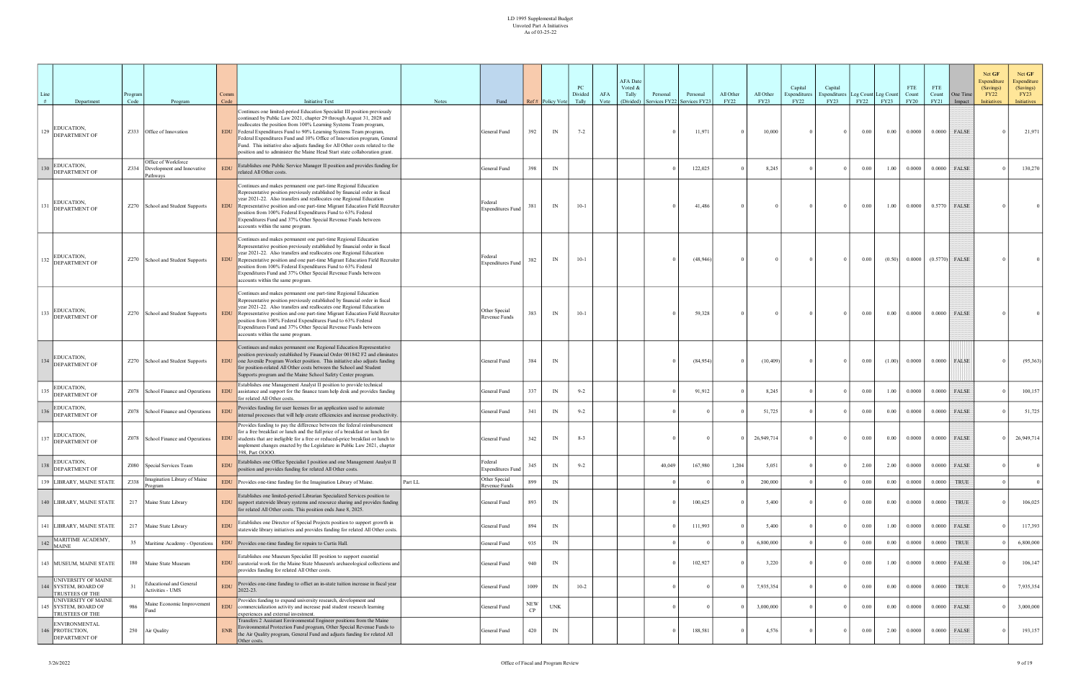| Line<br># | Department                                                           | Program<br>Code | Program                                                            | Comm<br>Code                | <b>Initiative Text</b>                                                                                                                                                                                                                                                                                                                                                                                                                                                                                                              | <b>Notes</b> | Fund                                |                  | Ref# Policy Vote | PC<br>Divided<br>Tally | AFA<br>Vote | <b>AFA</b> Date<br>Voted &<br>Tally<br>(Divided) | Personal<br>Services FY22 | Personal<br>Services FY2 | All Other<br><b>FY22</b> | All Other<br>FY23 | Capital<br>Expenditures<br><b>FY22</b> | Capital<br>xpenditures<br><b>FY23</b> | FY22     | Leg Count Leg Count<br>FY23 | <b>FTE</b><br>Count<br><b>FY20</b> | <b>FTE</b><br>Count<br>FY21 | One Time<br>Impact | Net GF<br>Expenditure<br>(Savings)<br><b>FY22</b><br><b>Initiatives</b> | Net GF<br>Expenditure<br>(Savings)<br>FY23<br><b>Initiatives</b> |
|-----------|----------------------------------------------------------------------|-----------------|--------------------------------------------------------------------|-----------------------------|-------------------------------------------------------------------------------------------------------------------------------------------------------------------------------------------------------------------------------------------------------------------------------------------------------------------------------------------------------------------------------------------------------------------------------------------------------------------------------------------------------------------------------------|--------------|-------------------------------------|------------------|------------------|------------------------|-------------|--------------------------------------------------|---------------------------|--------------------------|--------------------------|-------------------|----------------------------------------|---------------------------------------|----------|-----------------------------|------------------------------------|-----------------------------|--------------------|-------------------------------------------------------------------------|------------------------------------------------------------------|
| 129       | EDUCATION,<br>DEPARTMENT OF                                          |                 | Z333 Office of Innovation                                          | <b>EDU</b>                  | Continues one limited-period Education Specialist III position previously<br>continued by Public Law 2021, chapter 29 through August 31, 2028 and<br>reallocates the position from 100% Learning Systems Team program,<br>Federal Expenditures Fund to 90% Learning Systems Team program,<br>Federal Expenditures Fund and 10% Office of Innovation program, General<br>Fund. This initiative also adjusts funding for All Other costs related to the<br>position and to administer the Maine Head Start state collaboration grant. |              | General Fund                        | 392              | IN               | $7 - 2$                |             |                                                  |                           | 11,971                   |                          | 10,000            |                                        | $\Omega$                              | 0.00     | 0.00                        | 0.0000                             | 0.0000                      | FALSE              |                                                                         | 21,971                                                           |
| 30        | EDUCATION,<br>DEPARTMENT OF                                          |                 | Office of Workforce<br>Z334 Development and Innovative<br>Pathways | <b>EDU</b>                  | Establishes one Public Service Manager II position and provides funding for<br>related All Other costs.                                                                                                                                                                                                                                                                                                                                                                                                                             |              | General Fund                        | 398              | IN               |                        |             |                                                  |                           | 122,025                  |                          | 8,245             |                                        | $\Omega$                              | 0.00     | 1.00                        | 0.0000                             | 0.0000                      | <b>FALSE</b>       |                                                                         | 130,270                                                          |
|           | EDUCATION,<br>131 DEPARTMENT OF                                      |                 | Z270 School and Student Supports                                   | <b>EDU</b>                  | Continues and makes permanent one part-time Regional Education<br>Representative position previously established by financial order in fiscal<br>year 2021-22. Also transfers and reallocates one Regional Education<br>Representative position and one part-time Migrant Education Field Recruiter<br>position from 100% Federal Expenditures Fund to 63% Federal<br>Expenditures Fund and 37% Other Special Revenue Funds between<br>accounts within the same program.                                                            |              | Federal<br>Expenditures Fund        | 381              | IN               | $10-1$                 |             |                                                  |                           | 41,486                   |                          |                   |                                        | $\Omega$                              | 0.00     | 1.00                        | 0.0000                             | 0.5770                      | <b>FALSE</b>       |                                                                         |                                                                  |
| 132       | EDUCATION,<br><b>DEPARTMENT OF</b>                                   |                 | Z270 School and Student Supports                                   | <b>EDU</b>                  | Continues and makes permanent one part-time Regional Education<br>Representative position previously established by financial order in fiscal<br>year 2021-22. Also transfers and reallocates one Regional Education<br>Representative position and one part-time Migrant Education Field Recruiter<br>position from 100% Federal Expenditures Fund to 63% Federal<br>Expenditures Fund and 37% Other Special Revenue Funds between<br>accounts within the same program.                                                            |              | Federal<br><b>Expenditures Fund</b> | 382              | IN               | $10-1$                 |             |                                                  |                           | (48, 946)                |                          |                   |                                        |                                       | 0.00     | (0.50)                      | 0.0000                             |                             | $(0.5770)$ FALSE   |                                                                         |                                                                  |
| 33        | EDUCATION,<br><b>DEPARTMENT OF</b>                                   |                 | Z270 School and Student Supports                                   | <b>EDU</b>                  | Continues and makes permanent one part-time Regional Education<br>Representative position previously established by financial order in fiscal<br>year 2021-22. Also transfers and reallocates one Regional Education<br>Representative position and one part-time Migrant Education Field Recruiter<br>position from 100% Federal Expenditures Fund to 63% Federal<br>Expenditures Fund and 37% Other Special Revenue Funds between<br>accounts within the same program.                                                            |              | Other Special<br>Revenue Funds      | 383              | IN               | $10-1$                 |             |                                                  |                           | 59,328                   |                          |                   |                                        |                                       | 0.00     | $0.00\,$                    | 0.0000                             |                             | $0.0000$ FALSE     |                                                                         |                                                                  |
| 34        | EDUCATION,<br>DEPARTMENT OF                                          |                 | Z270 School and Student Supports                                   | <b>EDU</b>                  | Continues and makes permanent one Regional Education Representative<br>position previously established by Financial Order 001842 F2 and eliminates<br>one Juvenile Program Worker position. This initiative also adjusts funding<br>for position-related All Other costs between the School and Student<br>Supports program and the Maine School Safety Center program.                                                                                                                                                             |              | General Fund                        | 384              | IN               |                        |             |                                                  |                           | (84,954)                 |                          | (10, 409)         |                                        |                                       | 0.00     | (1.00)                      | 0.0000                             | 0.0000                      | <b>FALSE</b>       |                                                                         | (95,363)                                                         |
| 35        | EDUCATION,<br>DEPARTMENT OF                                          |                 | Z078 School Finance and Operations                                 | <b>EDU</b>                  | Establishes one Management Analyst II position to provide technical<br>assistance and support for the finance team help desk and provides funding<br>for related All Other costs.                                                                                                                                                                                                                                                                                                                                                   |              | General Fund                        | 337              | IN               | $9 - 2$                |             |                                                  |                           | 91,912                   |                          | 8,245             |                                        | $\theta$                              | 0.00     | 1.00                        | 0.0000                             | 0.0000                      | FALSE              |                                                                         | 100,157                                                          |
|           | EDUCATION,<br>DEPARTMENT OF                                          |                 | Z078 School Finance and Operations                                 | <b>EDU</b>                  | Provides funding for user licenses for an application used to automate<br>internal processes that will help create efficiencies and increase productivity.                                                                                                                                                                                                                                                                                                                                                                          |              | General Fund                        | 341              | IN               | $9 - 2$                |             |                                                  |                           |                          |                          | 51,725            |                                        | $\Omega$                              | 0.00     | 0.00                        | 0.0000                             | 0.0000                      | FALSE              |                                                                         | 51,725                                                           |
|           | EDUCATION,<br>137 DEPARTMENT OF                                      |                 | Z078 School Finance and Operations                                 | <b>EDU</b>                  | Provides funding to pay the difference between the federal reimbursement<br>for a free breakfast or lunch and the full price of a breakfast or lunch for<br>students that are ineligible for a free or reduced-price breakfast or lunch to<br>implement changes enacted by the Legislature in Public Law 2021, chapter<br>398. Part OOOO.                                                                                                                                                                                           |              | General Fund                        | 342              | IN               | $8-3$                  |             |                                                  |                           |                          |                          | 26,949,714        |                                        | $\Omega$                              | $0.00\,$ | 0.00                        | 0.0000                             | 0.0000                      | FALSE              |                                                                         | 26,949,714                                                       |
| 138       | EDUCATION,<br><b>DEPARTMENT OF</b>                                   |                 | Z080 Special Services Team                                         | <b>EDU</b>                  | Establishes one Office Specialist I position and one Management Analyst II<br>position and provides funding for related All Other costs.                                                                                                                                                                                                                                                                                                                                                                                            |              | Federal<br><b>Expenditures Fund</b> | 345              | IN               | $9 - 2$                |             |                                                  | 40,049                    | 167,980                  | 1,204                    | 5,051             |                                        | $\Omega$                              | 2.00     | 2.00                        | 0.0000                             |                             | $0.0000$ FALSE     |                                                                         | $\Omega$                                                         |
|           | 139 LIBRARY, MAINE STATE                                             | Z338            | Imagination Library of Maine<br>Program                            | $\mathop{\rm EDU}\nolimits$ | Provides one-time funding for the Imagination Library of Maine.                                                                                                                                                                                                                                                                                                                                                                                                                                                                     | Part LL      | Other Special<br>Revenue Funds      | 899              | IN               |                        |             |                                                  |                           |                          |                          | 200,000           |                                        |                                       | 0.00     | 0.00                        | 0.0000                             | 0.0000                      | <b>TRUE</b>        |                                                                         | $\Omega$                                                         |
|           | 140 LIBRARY, MAINE STATE                                             |                 | 217 Maine State Library                                            | <b>EDU</b>                  | Establishes one limited-period Librarian Specialized Services position to<br>support statewide library systems and resource sharing and provides funding<br>for related All Other costs. This position ends June 8, 2025.                                                                                                                                                                                                                                                                                                           |              | General Fund                        | 893              | IN               |                        |             |                                                  |                           | 100,625                  |                          | 5,400             |                                        | $\theta$                              | $0.00\,$ | 0.00                        | 0.0000                             | 0.0000                      | <b>TRUE</b>        |                                                                         | 106,025                                                          |
|           | <b>41 LIBRARY, MAINE STATE</b>                                       |                 | 217 Maine State Library                                            | <b>EDU</b>                  | Establishes one Director of Special Projects position to support growth in<br>statewide library initiatives and provides funding for related All Other costs.                                                                                                                                                                                                                                                                                                                                                                       |              | General Fund                        | 894              | IN               |                        |             |                                                  |                           | 111,993                  |                          | 5,400             |                                        |                                       | 0.00     | 1.00                        | 0.0000                             | 0.0000                      | FALSE              |                                                                         | 117,393                                                          |
|           | $142$ MARITIME ACADEMY,<br><b>MAINE</b>                              | 35              | Maritime Academy - Operations                                      | $\mathop{\rm EDU}\nolimits$ | Provides one-time funding for repairs to Curtis Hall.                                                                                                                                                                                                                                                                                                                                                                                                                                                                               |              | General Fund                        | 935              | IN               |                        |             |                                                  |                           |                          |                          | 6,800,000         |                                        |                                       | 0.00     | 0.00                        | 0.0000                             | 0.0000                      | TRUE               |                                                                         | 6,800,000                                                        |
|           | 143 MUSEUM, MAINE STATE                                              |                 | 180 Maine State Museum                                             | ${\rm EDU}$                 | Establishes one Museum Specialist III position to support essential<br>curatorial work for the Maine State Museum's archaeological collections and<br>provides funding for related All Other costs.                                                                                                                                                                                                                                                                                                                                 |              | General Fund                        | 940              | IN               |                        |             |                                                  |                           | 102,927                  |                          | 3,220             |                                        | $\Omega$                              | $0.00\,$ | 1.00                        | 0.0000                             |                             | $0.0000$ FALSE     |                                                                         | 106,147                                                          |
|           | UNIVERSITY OF MAINE<br>44 SYSTEM, BOARD OF<br><b>TRUSTEES OF THE</b> | 31              | <b>Educational and General</b><br>Activities - UMS                 | <b>EDU</b>                  | Provides one-time funding to offset an in-state tuition increase in fiscal year<br>2022-23.                                                                                                                                                                                                                                                                                                                                                                                                                                         |              | General Fund                        | 1009             | IN               | $10-2$                 |             |                                                  |                           |                          |                          | 7,935,354         |                                        | $\Omega$                              | 0.00     | 0.00                        | 0.0000                             | 0.0000                      | TRUE               |                                                                         | 7,935,354                                                        |
|           | UNIVERSITY OF MAINE<br>145 SYSTEM, BOARD OF<br>TRUSTEES OF THE       | 986             | Maine Economic Improvement<br>Fund                                 | <b>EDU</b>                  | Provides funding to expand university research, development and<br>commercialization activity and increase paid student research learning<br>experiences and external investment.                                                                                                                                                                                                                                                                                                                                                   |              | General Fund                        | NEW<br><b>CF</b> | <b>UNK</b>       |                        |             |                                                  |                           |                          |                          | 3,000,000         |                                        | $\Omega$                              | $0.00\,$ | 0.00                        | 0.0000                             |                             | $0.0000$ FALSE     |                                                                         | 3,000,000                                                        |
|           | <b>ENVIRONMENTAL</b><br>46 PROTECTION,<br><b>DEPARTMENT OF</b>       |                 | 250 Air Quality                                                    | <b>ENR</b>                  | Transfers 2 Assistant Environmental Engineer positions from the Maine<br>Environmental Protection Fund program, Other Special Revenue Funds to<br>the Air Quality program, General Fund and adjusts funding for related All<br>Other costs.                                                                                                                                                                                                                                                                                         |              | General Fund                        | 420              | IN               |                        |             |                                                  |                           | 188,581                  |                          | 4,576             |                                        | $\Omega$                              | $0.00\,$ | 2.00                        | 0.0000                             | 0.0000                      | FALSE              |                                                                         | 193,157                                                          |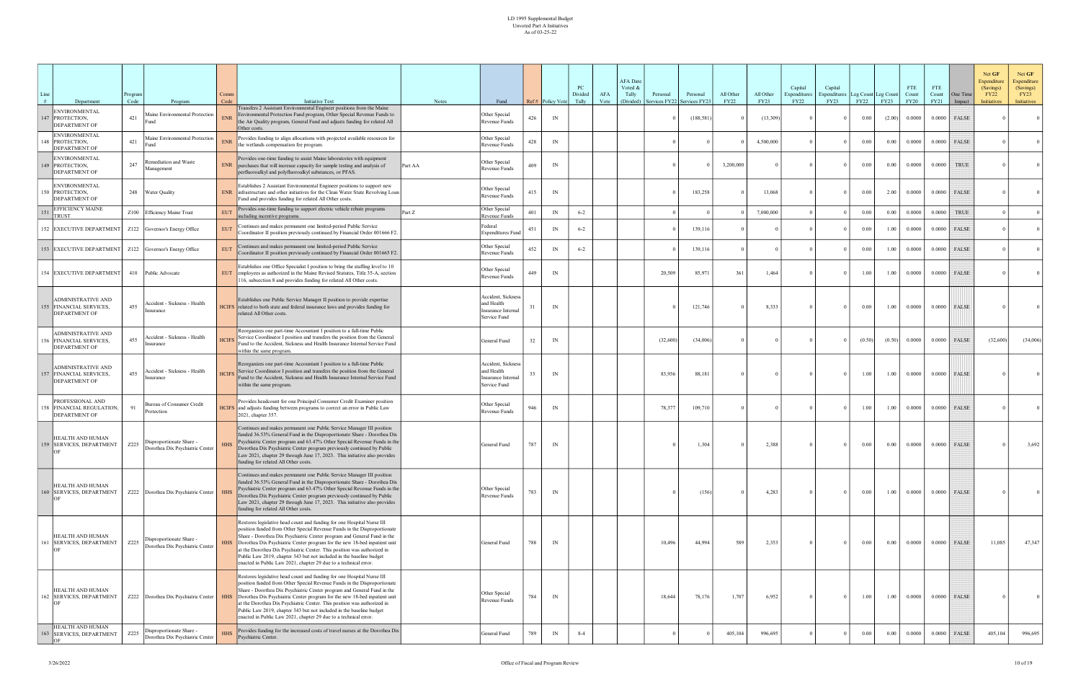| #  | Department                                                                   | Program<br>Code | Program                                                     | Comm<br>Code | <b>Initiative Text</b>                                                                                                                                                                                                                                                                                                                                                                                                                                                                                                            | <b>Notes</b> | Fund                                                                   |     | Ref# Policy Vote | PC<br>Divided<br>Tally | AFA<br>Vote | <b>AFA</b> Date<br>Voted &<br>Tally<br>(Divided) | Personal<br>ervices FY22 | Personal<br>Services FY2. | All Other<br><b>FY22</b> | All Other<br><b>FY23</b> | Capital<br>Expenditures<br><b>FY22</b> | Capital<br><b>Expenditures</b><br>FY23 | Leg Count Leg Count<br>FY22 | <b>FY23</b> | <b>FTE</b><br>Count<br><b>FY20</b> | <b>FTE</b><br>Count<br>FY21 | One Time<br>Impact | Net GF<br>Expenditure<br>(Savings)<br><b>FY22</b><br><b>Initiatives</b> | Net GF<br><b>Expenditure</b><br>(Savings)<br>FY23<br><b>Initiatives</b> |
|----|------------------------------------------------------------------------------|-----------------|-------------------------------------------------------------|--------------|-----------------------------------------------------------------------------------------------------------------------------------------------------------------------------------------------------------------------------------------------------------------------------------------------------------------------------------------------------------------------------------------------------------------------------------------------------------------------------------------------------------------------------------|--------------|------------------------------------------------------------------------|-----|------------------|------------------------|-------------|--------------------------------------------------|--------------------------|---------------------------|--------------------------|--------------------------|----------------------------------------|----------------------------------------|-----------------------------|-------------|------------------------------------|-----------------------------|--------------------|-------------------------------------------------------------------------|-------------------------------------------------------------------------|
|    | <b>ENVIRONMENTAL</b><br>47 PROTECTION,<br><b>DEPARTMENT OF</b>               | 421             | Maine Environmental Protection<br>Fund                      | <b>ENR</b>   | Transfers 2 Assistant Environmental Engineer positions from the Maine<br>Environmental Protection Fund program, Other Special Revenue Funds to<br>the Air Quality program, General Fund and adjusts funding for related All<br>Other costs.                                                                                                                                                                                                                                                                                       |              | Other Special<br>Revenue Funds                                         | 426 | IN               |                        |             |                                                  |                          | (188, 581)                |                          | (13,309)                 |                                        | - 0                                    | 0.00                        | (2.00)      | 0.0000                             | 0.0000                      | <b>FALSE</b>       |                                                                         | 0 <sup>1</sup>                                                          |
|    | ENVIRONMENTAL<br>48 PROTECTION,<br><b>DEPARTMENT OF</b>                      | 421             | Maine Environmental Protection                              | <b>ENR</b>   | Provides funding to align allocations with projected available resources for<br>the wetlands compensation fee program.                                                                                                                                                                                                                                                                                                                                                                                                            |              | Other Special<br>Revenue Funds                                         | 428 | IN               |                        |             |                                                  |                          |                           |                          | 4,500,000                |                                        | $\Omega$                               | 0.00                        | 0.00        | 0.0000                             | 0.0000                      | FALSE              |                                                                         | $\Omega$                                                                |
|    | <b>ENVIRONMENTAL</b><br>49 PROTECTION,<br><b>DEPARTMENT OF</b>               | 247             | Remediation and Waste<br>Management                         | <b>ENR</b>   | Provides one-time funding to assist Maine laboratories with equipment<br>purchases that will increase capacity for sample testing and analysis of<br>perfluoroalkyl and polyfluoroalkyl substances, or PFAS.                                                                                                                                                                                                                                                                                                                      | Part AA      | Other Special<br>Revenue Funds                                         | 409 | IN               |                        |             |                                                  |                          |                           | 3,200,000                |                          |                                        |                                        | 0.00                        | 0.00        | 0.0000                             | 0.0000                      | <b>TRUE</b>        |                                                                         |                                                                         |
|    | <b>ENVIRONMENTAL</b><br>50 PROTECTION,<br><b>DEPARTMENT OF</b>               |                 | 248 Water Quality                                           | <b>ENR</b>   | Establishes 2 Assistant Environmental Engineer positions to support new<br>infrastructure and other initiatives for the Clean Water State Revolving Loan<br>Fund and provides funding for related All Other costs.                                                                                                                                                                                                                                                                                                                |              | Other Special<br>Revenue Funds                                         | 415 | IN               |                        |             |                                                  |                          | 183,258                   |                          | 13,068                   |                                        | $\theta$                               | 0.00                        | 2.00        | 0.0000                             | 0.0000                      | <b>FALSE</b>       |                                                                         |                                                                         |
| 51 | <b>EFFICIENCY MAINE</b><br><b>TRUST</b>                                      |                 | Z100 Efficiency Maine Trust                                 | <b>EUT</b>   | Provides one-time funding to support electric vehicle rebate programs<br>including incentive programs.                                                                                                                                                                                                                                                                                                                                                                                                                            | Part Z       | Other Special<br>Revenue Funds                                         | 401 | IN               | $6 - 2$                |             |                                                  |                          |                           |                          | 7,000,000                |                                        |                                        | 0.00                        | 0.00        | 0.0000                             | 0.0000                      | <b>TRUE</b>        |                                                                         |                                                                         |
|    | 152 EXECUTIVE DEPARTMENT                                                     |                 | Z122 Governor's Energy Office                               | <b>EUT</b>   | Continues and makes permanent one limited-period Public Service<br>Coordinator II position previously continued by Financial Order 001666 F2.                                                                                                                                                                                                                                                                                                                                                                                     |              | Federal<br><b>Expenditures Fund</b>                                    | 451 | IN               | $6 - 2$                |             |                                                  |                          | 139,116                   |                          |                          |                                        |                                        | 0.00                        | 1.00        | 0.0000                             | 0.0000                      | FALSE              |                                                                         |                                                                         |
|    | 153 EXECUTIVE DEPARTMENT   Z122 Governor's Energy Office                     |                 |                                                             | <b>EUT</b>   | Continues and makes permanent one limited-period Public Service<br>Coordinator II position previously continued by Financial Order 001665 F2.                                                                                                                                                                                                                                                                                                                                                                                     |              | Other Special<br>Revenue Funds                                         | 452 | IN               | $6 - 2$                |             |                                                  |                          | 139,116                   |                          |                          |                                        |                                        | 0.00                        | 1.00        | 0.0000                             | 0.0000                      | FALSE              |                                                                         |                                                                         |
|    | 154 EXECUTIVE DEPARTMENT                                                     |                 | 410 Public Advocate                                         | <b>EUT</b>   | Establishes one Office Specialist I position to bring the staffing level to 10<br>employees as authorized in the Maine Revised Statutes, Title 35-A, section<br>116, subsection 8 and provides funding for related All Other costs.                                                                                                                                                                                                                                                                                               |              | Other Special<br>Revenue Funds                                         | 449 | IN               |                        |             |                                                  | 20,509                   | 85,971                    | 361                      | 1,464                    |                                        | $\Omega$                               | 1.00                        | 1.00        | 0.0000                             | 0.0000                      | <b>FALSE</b>       |                                                                         |                                                                         |
|    | <b>ADMINISTRATIVE AND</b><br>155 FINANCIAL SERVICES,<br><b>DEPARTMENT OF</b> | 455             | Accident - Sickness - Health<br>Insurance                   |              | Establishes one Public Service Manager II position to provide expertise<br>HCIFS related to both state and federal insurance laws and provides funding for<br>related All Other costs.                                                                                                                                                                                                                                                                                                                                            |              | Accident, Sickness<br>and Health<br>Insurance Internal<br>Service Fund |     | IN               |                        |             |                                                  |                          | 121,746                   |                          | 8,333                    |                                        | $\Omega$                               | $0.00\,$                    | 1.00        | 0.0000                             | 0.0000                      | FALSE              |                                                                         |                                                                         |
|    | ADMINISTRATIVE AND<br>FINANCIAL SERVICES,<br><b>DEPARTMENT OF</b>            | 455             | Accident - Sickness - Health<br>Insurance                   | <b>HCIFS</b> | Reorganizes one part-time Accountant I position to a full-time Public<br>Service Coordinator I position and transfers the position from the General<br>Fund to the Accident, Sickness and Health Insurance Internal Service Fund<br>within the same program.                                                                                                                                                                                                                                                                      |              | General Fund                                                           | 32  | IN               |                        |             |                                                  | (32,600)                 | (34,006)                  |                          |                          |                                        |                                        | (0.50)                      | (0.50)      | 0.0000                             | 0.0000                      | FALSE              | (32,600)                                                                | (34,006)                                                                |
|    | <b>ADMINISTRATIVE AND</b><br>57 FINANCIAL SERVICES,<br><b>DEPARTMENT OF</b>  | 455             | Accident - Sickness - Health<br>nsurance                    | <b>HCIFS</b> | Reorganizes one part-time Accountant I position to a full-time Public<br>Service Coordinator I position and transfers the position from the General<br>Fund to the Accident, Sickness and Health Insurance Internal Service Fund<br>within the same program.                                                                                                                                                                                                                                                                      |              | Accident, Sickness<br>and Health<br>Insurance Internal<br>Service Fund |     | IN               |                        |             |                                                  | 83,936                   | 88,181                    |                          |                          |                                        |                                        | 1.00                        | 1.00        | 0.0000                             | 0.0000                      | FALSE              |                                                                         |                                                                         |
|    | PROFESSIONAL AND<br>58 FINANCIAL REGULATION,<br>DEPARTMENT OF                | 91              | Bureau of Consumer Credit<br>Protection                     |              | Provides headcount for one Principal Consumer Credit Examiner position<br>HCIFS and adjusts funding between programs to correct an error in Public Law<br>2021, chapter 357.                                                                                                                                                                                                                                                                                                                                                      |              | Other Special<br>Revenue Funds                                         | 946 | IN               |                        |             |                                                  | 78,377                   | 109,710                   |                          |                          |                                        |                                        | 1.00                        | 1.00        | 0.0000                             | 0.0000                      | FALSE              |                                                                         |                                                                         |
|    | HEALTH AND HUMAN<br>159 SERVICES, DEPARTMENT                                 | Z225            | Disproportionate Share -<br>Dorothea Dix Psychiatric Center | <b>HHS</b>   | Continues and makes permanent one Public Service Manager III position<br>funded 36.53% General Fund in the Disproportionate Share - Dorothea Dix<br>Psychiatric Center program and 63.47% Other Special Revenue Funds in the<br>Dorothea Dix Psychiatric Center program previously continued by Public<br>Law 2021, chapter 29 through June 17, 2023. This initiative also provides<br>funding for related All Other costs.                                                                                                       |              | General Fund                                                           | 787 | IN               |                        |             |                                                  |                          | 1,304                     |                          | 2,388                    |                                        | $\Omega$                               | $0.00\,$                    | 0.00        | 0.0000                             | 0.0000                      | <b>FALSE</b>       |                                                                         | 3,692                                                                   |
|    | HEALTH AND HUMAN<br>160 SERVICES, DEPARTMENT                                 |                 | Z222 Dorothea Dix Psychiatric Center HHS                    |              | Continues and makes permanent one Public Service Manager III position<br>funded 36.53% General Fund in the Disproportionate Share - Dorothea Dix<br>Psychiatric Center program and 63.47% Other Special Revenue Funds in the<br>Dorothea Dix Psychiatric Center program previously continued by Public<br>Law 2021, chapter 29 through June 17, 2023. This initiative also provides<br>funding for related All Other costs.                                                                                                       |              | Other Special<br>Revenue Funds                                         | 783 | IN               |                        |             |                                                  |                          | (156)                     |                          | 4,283                    |                                        | $\Omega$                               | $0.00\,$                    | 1.00        | 0.0000                             | 0.0000                      | FALSE              |                                                                         |                                                                         |
|    | HEALTH AND HUMAN<br>161 SERVICES, DEPARTMENT                                 | Z225            | Disproportionate Share -<br>Dorothea Dix Psychiatric Center | <b>HHS</b>   | Restores legislative head count and funding for one Hospital Nurse III<br>position funded from Other Special Revenue Funds in the Disproportionate<br>Share - Dorothea Dix Psychiatric Center program and General Fund in the<br>Dorothea Dix Psychiatric Center program for the new 18-bed inpatient unit<br>at the Dorothea Dix Psychiatric Center. This position was authorized in<br>Public Law 2019, chapter 343 but not included in the baseline budget<br>enacted in Public Law 2021, chapter 29 due to a technical error. |              | General Fund                                                           | 788 | IN               |                        |             |                                                  | 10,496                   | 44,994                    | 589                      | 2,353                    |                                        | $\overline{0}$                         | 0.00                        | 0.00        | 0.0000                             |                             | $0.0000$ FALSE     | 11,085                                                                  | 47,347                                                                  |
|    | HEALTH AND HUMAN<br>162 SERVICES, DEPARTMENT                                 |                 | Z222   Dorothea Dix Psychiatric Center   HHS                |              | Restores legislative head count and funding for one Hospital Nurse III<br>position funded from Other Special Revenue Funds in the Disproportionate<br>Share - Dorothea Dix Psychiatric Center program and General Fund in the<br>Dorothea Dix Psychiatric Center program for the new 18-bed inpatient unit<br>at the Dorothea Dix Psychiatric Center. This position was authorized in<br>Public Law 2019, chapter 343 but not included in the baseline budget<br>enacted in Public Law 2021, chapter 29 due to a technical error. |              | Other Special<br>Revenue Funds                                         | 784 | IN               |                        |             |                                                  | 18,644                   | 78,176                    | 1,707                    | 6,952                    |                                        | $\Omega$                               | 1.00                        | 1.00        | 0.0000                             |                             | $0.0000$ FALSE     |                                                                         |                                                                         |
|    | HEALTH AND HUMAN<br>163 SERVICES, DEPARTMENT                                 | Z225            | Disproportionate Share -<br>Dorothea Dix Psychiatric Center | <b>HHS</b>   | Provides funding for the increased costs of travel nurses at the Dorothea Dix<br>Psychiatric Center.                                                                                                                                                                                                                                                                                                                                                                                                                              |              | General Fund                                                           | 789 | IN               | $8 - 4$                |             |                                                  |                          |                           | 405,104                  | 996,695                  |                                        | $\Omega$                               | $0.00\,$                    | 0.00        | 0.0000                             | 0.0000                      | <b>FALSE</b>       | 405,104                                                                 | 996,695                                                                 |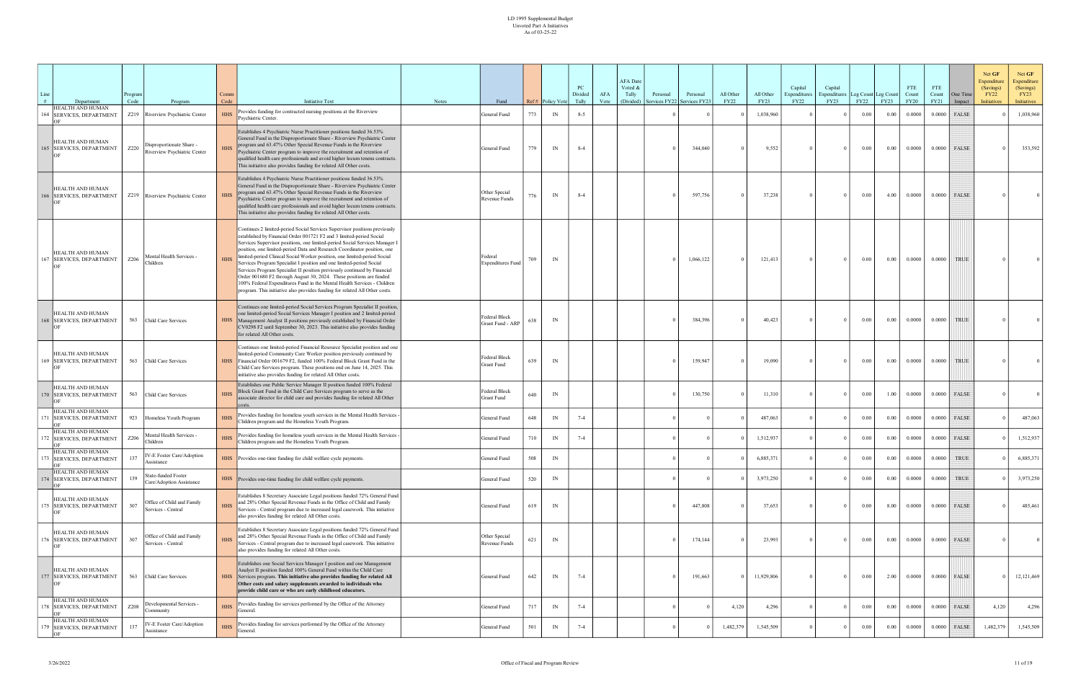| Line | Department                                          | Program<br>Code<br>Program                                       | Comm<br>Code<br><b>Initiative Text</b><br>Notes                                                                                                                                                                                                                                                                                                                                                                                                                                                                                                                                                                                                                                                                                                                                                | Fund                                |     | Ref# Policy Vote                        | PC<br>Divided<br>Tally | AFA<br>Vote | <b>AFA</b> Date<br>Voted &<br>Tally<br>(Divided) | Personal<br>Services FY22 | Personal<br>Services FY23 | All Other<br><b>FY22</b> | All Other<br><b>FY23</b> | Capital<br>Expenditures<br><b>FY22</b> | Capital<br>xpenditures<br>FY23 | FY22     | Leg Count Leg Count<br>FY23 | <b>FTE</b><br>Count<br><b>FY20</b> | <b>FTE</b><br>Count<br>FY21 | One Time<br>Impact | Net GF<br>Expenditure<br>(Savings)<br><b>FY22</b><br><b>Initiatives</b> | Net GF<br>Expenditure<br>(Savings)<br>FY23<br>Initiatives |
|------|-----------------------------------------------------|------------------------------------------------------------------|------------------------------------------------------------------------------------------------------------------------------------------------------------------------------------------------------------------------------------------------------------------------------------------------------------------------------------------------------------------------------------------------------------------------------------------------------------------------------------------------------------------------------------------------------------------------------------------------------------------------------------------------------------------------------------------------------------------------------------------------------------------------------------------------|-------------------------------------|-----|-----------------------------------------|------------------------|-------------|--------------------------------------------------|---------------------------|---------------------------|--------------------------|--------------------------|----------------------------------------|--------------------------------|----------|-----------------------------|------------------------------------|-----------------------------|--------------------|-------------------------------------------------------------------------|-----------------------------------------------------------|
|      | <b>IEALTH AND HUMAN</b><br>164 SERVICES, DEPARTMENT | Z219 Riverview Psychiatric Center                                | Provides funding for contracted nursing positions at the Riverview<br><b>HHS</b><br>Psychiatric Center.                                                                                                                                                                                                                                                                                                                                                                                                                                                                                                                                                                                                                                                                                        | General Fund                        | 773 | IN                                      | $8 - 5$                |             |                                                  |                           |                           |                          | 1,038,960                |                                        | $\Omega$                       | $0.00\,$ | 0.00                        | 0.0000                             |                             | $0.0000$ FALSE     |                                                                         | 1,038,960                                                 |
|      | <b>IEALTH AND HUMAN</b><br>165 SERVICES, DEPARTMENT | Disproportionate Share -<br>Z220<br>Riverview Psychiatric Center | Establishes 4 Psychiatric Nurse Practitioner positions funded 36.53%<br>General Fund in the Disproportionate Share - Riverview Psychiatric Center<br>program and 63.47% Other Special Revenue Funds in the Riverview<br><b>HHS</b><br>Psychiatric Center program to improve the recruitment and retention of<br>qualified health care professionals and avoid higher locum tenens contracts.<br>This initiative also provides funding for related All Other costs.                                                                                                                                                                                                                                                                                                                             | General Fund                        | 779 | IN                                      | $8 - 4$                |             |                                                  |                           | 344,040                   |                          | 9,552                    |                                        | $\Omega$                       | 0.00     | 0.00                        | 0.0000                             | 0.0000                      | FALSE              |                                                                         | 353,592                                                   |
|      | <b>IEALTH AND HUMAN</b><br>166 SERVICES, DEPARTMENT | Z219 Riverview Psychiatric Center                                | Establishes 4 Psychiatric Nurse Practitioner positions funded 36.53%<br>General Fund in the Disproportionate Share - Riverview Psychiatric Center<br>program and 63.47% Other Special Revenue Funds in the Riverview<br><b>HHS</b><br>Psychiatric Center program to improve the recruitment and retention of<br>qualified health care professionals and avoid higher locum tenens contracts.<br>This initiative also provides funding for related All Other costs.                                                                                                                                                                                                                                                                                                                             | Other Special<br>Revenue Funds      | 776 | IN                                      | $8 - 4$                |             |                                                  |                           | 597,756                   |                          | 37,238                   |                                        | $\Omega$                       | $0.00\,$ | 4.00                        | 0.0000                             | 0.0000                      | <b>FALSE</b>       |                                                                         |                                                           |
|      | <b>IEALTH AND HUMAN</b><br>167 SERVICES, DEPARTMENT | Mental Health Services -<br>Z206<br>Children                     | Continues 2 limited-period Social Services Supervisor positions previously<br>established by Financial Order 001721 F2 and 3 limited-period Social<br>Services Supervisor positions, one limited-period Social Services Manager I<br>position, one limited-period Data and Research Coordinator position, one<br>limited-period Clinical Social Worker position, one limited-period Social<br><b>HHS</b><br>Services Program Specialist I position and one limited-period Social<br>Services Program Specialist II position previously continued by Financial<br>Order 001680 F2 through August 30, 2024. These positions are funded<br>100% Federal Expenditures Fund in the Mental Health Services - Children<br>program. This initiative also provides funding for related All Other costs. | Federal<br><b>Expenditures Fund</b> | 709 | IN                                      |                        |             |                                                  |                           | 1,066,122                 |                          | 121,413                  |                                        | $\Omega$                       | $0.00\,$ | 0.00                        | 0.0000                             | 0.0000                      | <b>TRUE</b>        |                                                                         |                                                           |
|      | <b>IEALTH AND HUMAN</b><br>168 SERVICES, DEPARTMENT | 563<br>Child Care Services                                       | Continues one limited-period Social Services Program Specialist II position,<br>one limited-period Social Services Manager I position and 2 limited-period<br><b>HHS</b><br>Management Analyst II positions previously established by Financial Order<br>CV0298 F2 until September 30, 2023. This initiative also provides funding<br>for related All Other costs.                                                                                                                                                                                                                                                                                                                                                                                                                             | Federal Block<br>Grant Fund - ARP   | 638 | $\ensuremath{\text{IN}}$                |                        |             |                                                  |                           | 384,396                   |                          | 40,423                   |                                        | $\Omega$                       | $0.00\,$ | 0.00                        | 0.0000                             | 0.0000                      | <b>TRUE</b>        |                                                                         |                                                           |
|      | <b>IEALTH AND HUMAN</b><br>169 SERVICES, DEPARTMENT | 563<br>Child Care Services                                       | Continues one limited-period Financial Resource Specialist position and one<br>limited-period Community Care Worker position previously continued by<br>Financial Order 001679 F2, funded 100% Federal Block Grant Fund in the<br><b>HHS</b><br>Child Care Services program. These positions end on June 14, 2025. This<br>initiative also provides funding for related All Other costs.                                                                                                                                                                                                                                                                                                                                                                                                       | Federal Block<br>Grant Fund         | 639 | IN                                      |                        |             |                                                  |                           | 159,947                   |                          | 19,090                   |                                        | $\Omega$                       | 0.00     | 0.00                        | 0.0000                             | 0.0000                      | <b>TRUE</b>        |                                                                         |                                                           |
|      | <b>IEALTH AND HUMAN</b><br>170 SERVICES, DEPARTMENT | 563<br>Child Care Services                                       | Establishes one Public Service Manager II position funded 100% Federal<br>Block Grant Fund in the Child Care Services program to serve as the<br><b>HHS</b><br>associate director for child care and provides funding for related All Other                                                                                                                                                                                                                                                                                                                                                                                                                                                                                                                                                    | Federal Block<br><b>Grant Fund</b>  | 640 | IN                                      |                        |             |                                                  |                           | 130,750                   |                          | 11,310                   |                                        | $\Omega$                       | $0.00\,$ | 1.00                        | 0.0000                             |                             | $0.0000$ FALSE     |                                                                         |                                                           |
|      | IEALTH AND HUMAN<br>171 SERVICES, DEPARTMENT        | 923 Homeless Youth Program                                       | Provides funding for homeless youth services in the Mental Health Services -<br><b>HHS</b><br>Children program and the Homeless Youth Program.                                                                                                                                                                                                                                                                                                                                                                                                                                                                                                                                                                                                                                                 | General Fund                        | 648 | IN                                      | $7 - 4$                |             |                                                  |                           |                           |                          | 487,063                  |                                        | $\Omega$                       | $0.00\,$ | 0.00                        | 0.0000                             |                             | $0.0000$ FALSE     |                                                                         | 487,063                                                   |
|      | <b>IEALTH AND HUMAN</b><br>172 SERVICES, DEPARTMENT | Mental Health Services -<br>Z206<br>Children                     | Provides funding for homeless youth services in the Mental Health Services -<br><b>HHS</b><br>Children program and the Homeless Youth Program.                                                                                                                                                                                                                                                                                                                                                                                                                                                                                                                                                                                                                                                 | General Fund                        | 710 | IN                                      | $7 - 4$                |             |                                                  |                           |                           |                          | 1,512,937                |                                        | $\Omega$                       | $0.00\,$ | 0.00                        | 0.0000                             | 0.0000                      | FALSE              |                                                                         | 1,512,937                                                 |
|      | <b>HEALTH AND HUMAN</b><br>SERVICES, DEPARTMENT     | IV-E Foster Care/Adoption<br>137<br>Assistance                   | <b>HHS</b><br>Provides one-time funding for child welfare cycle payments.                                                                                                                                                                                                                                                                                                                                                                                                                                                                                                                                                                                                                                                                                                                      | General Fund                        | 508 | IN                                      |                        |             |                                                  |                           |                           |                          | 6.885.371                |                                        |                                | 0.00     | 0.00                        | 0.0000                             | 0.0000                      | <b>TRUE</b>        |                                                                         | 6,885,371                                                 |
|      | HEALTH AND HUMAN<br>74 SERVICES, DEPARTMENT         | State-funded Foster<br>139<br>Care/Adoption Assistance           | HHS Provides one-time funding for child welfare cycle payments.                                                                                                                                                                                                                                                                                                                                                                                                                                                                                                                                                                                                                                                                                                                                | General Fund                        | 520 | $\ensuremath{\text{IN}}$                |                        |             |                                                  |                           |                           |                          | 3,973,250                |                                        |                                | $0.00\,$ | 0.00                        | 0.0000                             | 0.0000                      | TRUE               |                                                                         | 3,973,250                                                 |
|      | HEALTH AND HUMAN<br>175 SERVICES, DEPARTMENT        | Office of Child and Family<br>307<br>Services - Central          | Establishes 8 Secretary Associate Legal positions funded 72% General Fund<br>and 28% Other Special Revenue Funds in the Office of Child and Family<br><b>HHS</b><br>Services - Central program due to increased legal casework. This initiative<br>also provides funding for related All Other costs.                                                                                                                                                                                                                                                                                                                                                                                                                                                                                          | General Fund                        | 619 | $\ensuremath{\text{IN}}$                |                        |             |                                                  |                           | 447,808                   |                          | 37,653                   |                                        | $\Omega$                       | $0.00\,$ | 8.00                        | 0.0000                             |                             | $0.0000$ FALSE     |                                                                         | 485,461                                                   |
|      | <b>IEALTH AND HUMAN</b><br>176 SERVICES, DEPARTMENT | Office of Child and Family<br>307<br>Services - Central          | Establishes 8 Secretary Associate Legal positions funded 72% General Fund<br>and 28% Other Special Revenue Funds in the Office of Child and Family<br><b>HHS</b><br>Services - Central program due to increased legal casework. This initiative<br>also provides funding for related All Other costs.                                                                                                                                                                                                                                                                                                                                                                                                                                                                                          | Other Special<br>Revenue Funds      | 621 | IN                                      |                        |             |                                                  |                           | 174,144                   |                          | 23,993                   |                                        | $\Omega$                       | 0.00     | 0.00                        | 0.0000                             | 0.0000                      | <b>FALSE</b>       |                                                                         | $\Omega$                                                  |
|      | <b>IEALTH AND HUMAN</b><br>177 SERVICES, DEPARTMENT | 563<br>Child Care Services                                       | Establishes one Social Services Manager I position and one Management<br>Analyst II position funded 100% General Fund within the Child Care<br><b>HHS</b><br>Services program. This initiative also provides funding for related All<br>Other costs and salary supplements awarded to individuals who<br>provide child care or who are early childhood educators.                                                                                                                                                                                                                                                                                                                                                                                                                              | General Fund                        | 642 | IN                                      | $7 - 4$                |             |                                                  |                           | 191,663                   |                          | 11,929,806               |                                        | $\Omega$                       | $0.00\,$ | 2.00                        | 0.0000                             |                             | $0.0000$ FALSE     |                                                                         | 12,121,469                                                |
|      | HEALTH AND HUMAN<br>178 SERVICES, DEPARTMENT        | Developmental Services -<br>Z208<br>ommunity                     | Provides funding for services performed by the Office of the Attorney<br><b>HHS</b><br>General.                                                                                                                                                                                                                                                                                                                                                                                                                                                                                                                                                                                                                                                                                                | General Fund                        | 717 | IN                                      | $7 - 4$                |             |                                                  |                           |                           | 4,120                    | 4,296                    |                                        | $\Omega$                       | $0.00\,$ | 0.00                        | 0.0000                             | 0.0000                      | FALSE              | 4,120                                                                   | 4,296                                                     |
|      | HEALTH AND HUMAN<br>79 SERVICES, DEPARTMENT         | IV-E Foster Care/Adoption<br>137<br>Assistance                   | Provides funding for services performed by the Office of the Attorney<br><b>HHS</b><br>General.                                                                                                                                                                                                                                                                                                                                                                                                                                                                                                                                                                                                                                                                                                | General Fund                        | 501 | $\ensuremath{\mathop{\rm IN}\nolimits}$ | $7 - 4$                |             |                                                  |                           |                           | 1,482,379                | 1,545,509                |                                        | $\Omega$                       | $0.00\,$ | 0.00                        | 0.0000                             | 0.0000                      | FALSE              | 1,482,379                                                               | 1,545,509                                                 |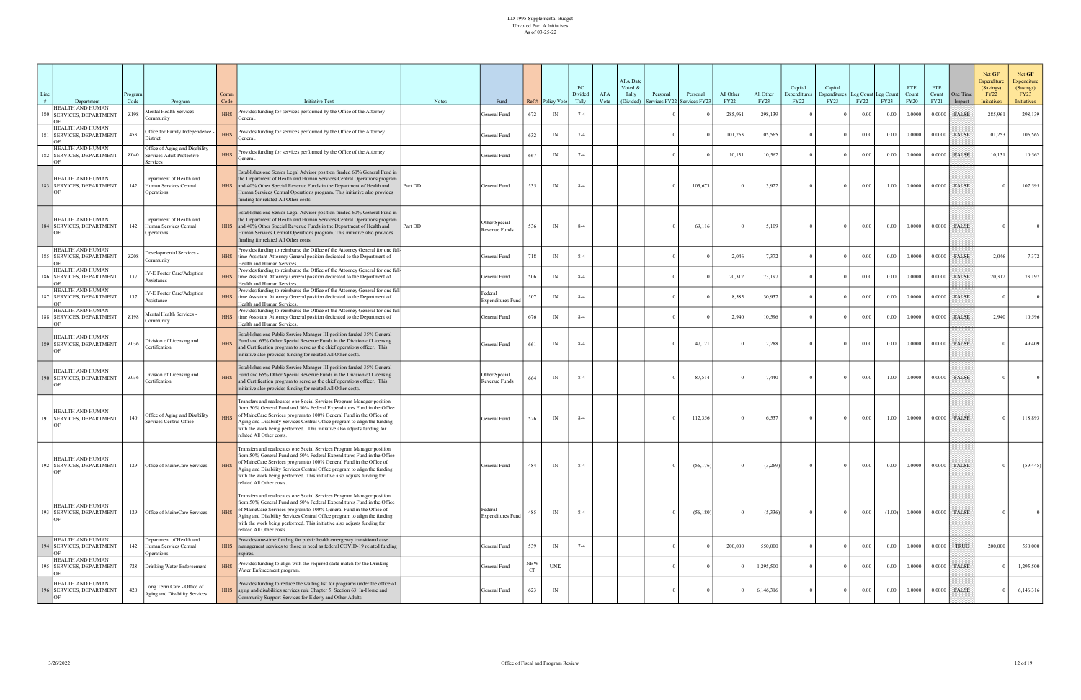| Line  |                                                                   | rogram?      |                                                                         | Comm               |                                                                                                                                                                                                                                                                                                                                                                                                            |              |                                     |                         |                          | PC<br>Divided    | AFA  | <b>AFA</b> Date<br>Voted &<br>Tally | Personal      | Personal     | All Other              | All Other              | Capital<br>Expenditures | Capital<br>xpenditures | Leg Count Leg Count |                     | <b>FTE</b><br>Count   | <b>FTE</b><br>Count | One Time        | Net GF<br>Expenditure<br>(Savings)<br><b>FY22</b> | Net GF<br><b>Expenditure</b><br>(Savings)<br>FY23 |
|-------|-------------------------------------------------------------------|--------------|-------------------------------------------------------------------------|--------------------|------------------------------------------------------------------------------------------------------------------------------------------------------------------------------------------------------------------------------------------------------------------------------------------------------------------------------------------------------------------------------------------------------------|--------------|-------------------------------------|-------------------------|--------------------------|------------------|------|-------------------------------------|---------------|--------------|------------------------|------------------------|-------------------------|------------------------|---------------------|---------------------|-----------------------|---------------------|-----------------|---------------------------------------------------|---------------------------------------------------|
|       | Department<br><b>IEALTH AND HUMAN</b><br>180 SERVICES, DEPARTMENT | Code<br>Z198 | Program<br>Mental Health Services -<br>ommunitv                         | Code<br><b>HHS</b> | <b>Initiative Text</b><br>Provides funding for services performed by the Office of the Attorney<br>General.                                                                                                                                                                                                                                                                                                | <b>Notes</b> | Fund<br>General Fund                | 672                     | Ref# Policy Vote<br>IN   | Tally<br>$7 - 4$ | Vote | (Divided)                           | Services FY22 | Services FY2 | <b>FY22</b><br>285,961 | <b>FY23</b><br>298,139 | <b>FY22</b>             | FY23<br>$\Omega$       | FY22<br>$0.00\,$    | <b>FY23</b><br>0.00 | <b>FY20</b><br>0.0000 | FY21<br>0.0000      | Impact<br>FALSE | <b>Initiatives</b><br>285,961                     | Initiatives<br>298,139                            |
|       | HEALTH AND HUMAN<br><b>SERVICES, DEPARTMENT</b>                   | 453          | Office for Family Independence<br>District                              | <b>HHS</b>         | Provides funding for services performed by the Office of the Attorney<br>General.                                                                                                                                                                                                                                                                                                                          |              | General Fund                        | 632                     | IN                       | $7 - 4$          |      |                                     |               |              | 101,253                | 105,565                |                         | $\Omega$               | 0.00                | 0.00                | 0.0000                |                     | $0.0000$ FALSE  | 101,253                                           | 105,565                                           |
| 182 I | HEALTH AND HUMAN<br><b>SERVICES, DEPARTMENT</b>                   | Z040         | Office of Aging and Disability<br>Services Adult Protective<br>Services | <b>HHS</b>         | Provides funding for services performed by the Office of the Attorney<br>General.                                                                                                                                                                                                                                                                                                                          |              | General Fund                        | 667                     | IN                       | $7 - 4$          |      |                                     |               |              | 10,131                 | 10,562                 |                         |                        | 0.00                | 0.00                | 0.0000                | 0.0000              | FALSE           | 10,131                                            | 10,562                                            |
|       | <b>IEALTH AND HUMAN</b><br>183 SERVICES, DEPARTMENT               | 142          | Department of Health and<br>Human Services Central<br>Operations        | <b>HHS</b>         | Establishes one Senior Legal Advisor position funded 60% General Fund in<br>the Department of Health and Human Services Central Operations program<br>and 40% Other Special Revenue Funds in the Department of Health and<br>Human Services Central Operations program. This initiative also provides<br>funding for related All Other costs.                                                              | Part DD      | General Fund                        | 535                     | IN                       | $8 - 4$          |      |                                     |               | 103,673      |                        | 3,922                  |                         | $\Omega$               | 0.00                | 1.00                | 0.0000                | 0.0000              | <b>FALSE</b>    |                                                   | 107,595                                           |
|       | <b>IEALTH AND HUMAN</b><br>184 SERVICES, DEPARTMENT               | 142          | Department of Health and<br>Human Services Central<br>Operations        | <b>HHS</b>         | Establishes one Senior Legal Advisor position funded 60% General Fund in<br>the Department of Health and Human Services Central Operations program<br>and 40% Other Special Revenue Funds in the Department of Health and<br>Human Services Central Operations program. This initiative also provides<br>funding for related All Other costs.                                                              | Part DD      | Other Special<br>Revenue Funds      | 536                     | IN                       | $8-4$            |      |                                     |               | 69,116       |                        | 5,109                  |                         | $\Omega$               | $0.00\,$            | 0.00                | 0.0000                | 0.0000              | FALSE           |                                                   |                                                   |
|       | HEALTH AND HUMAN<br>185   SERVICES, DEPARTMENT                    | Z208         | Developmental Services -<br>Community                                   | <b>HHS</b>         | Provides funding to reimburse the Office of the Attorney General for one full-<br>time Assistant Attorney General position dedicated to the Department of<br>Health and Human Services.                                                                                                                                                                                                                    |              | General Fund                        | 718                     | IN                       | $8-4$            |      |                                     |               |              | 2,046                  | 7,372                  |                         |                        | 0.00                | 0.00                | 0.0000                | 0.0000              | FALSE           | 2,046                                             | 7,372                                             |
|       | <b>IEALTH AND HUMAN</b><br><b>SERVICES, DEPARTMENT</b>            | 137          | IV-E Foster Care/Adoption<br>Assistance                                 | <b>HHS</b>         | Provides funding to reimburse the Office of the Attorney General for one full-<br>time Assistant Attorney General position dedicated to the Department of<br>Health and Human Services.                                                                                                                                                                                                                    |              | General Fund                        | 506                     | IN                       | $8 - 4$          |      |                                     |               |              | 20,312                 | 73,197                 |                         | $^{\circ}$             | 0.00                | 0.00                | 0.0000                | 0.0000              | FALSE           | 20,312                                            | 73,197                                            |
|       | HEALTH AND HUMAN<br>187 SERVICES, DEPARTMENT                      | 137          | IV-E Foster Care/Adoption<br>Assistance                                 | <b>HHS</b>         | Provides funding to reimburse the Office of the Attorney General for one full-<br>time Assistant Attorney General position dedicated to the Department of<br>Health and Human Services.                                                                                                                                                                                                                    |              | Federal<br><b>Expenditures Fund</b> | 507                     | IN                       | $8 - 4$          |      |                                     |               |              | 8,585                  | 30,937                 |                         | $\Omega$               | 0.00                | 0.00                | 0.0000                | 0.0000              | FALSE           |                                                   |                                                   |
|       | HEALTH AND HUMAN<br>188 SERVICES, DEPARTMENT                      | Z198         | Mental Health Services -<br>ommunity                                    | <b>HHS</b>         | Provides funding to reimburse the Office of the Attorney General for one full-<br>time Assistant Attorney General position dedicated to the Department of<br>Health and Human Services.                                                                                                                                                                                                                    |              | General Fund                        | 676                     | IN                       | $8 - 4$          |      |                                     |               |              | 2,940                  | 10,596                 |                         | $\Omega$               | 0.00                | 0.00                | 0.0000                | 0.0000              | FALSE           | 2.940                                             | 10,596                                            |
|       | <b>IEALTH AND HUMAN</b><br>189 SERVICES, DEPARTMENT               | Z036         | Division of Licensing and<br>Certification                              | <b>HHS</b>         | Establishes one Public Service Manager III position funded 35% General<br>Fund and 65% Other Special Revenue Funds in the Division of Licensing<br>and Certification program to serve as the chief operations officer. This<br>initiative also provides funding for related All Other costs.                                                                                                               |              | General Fund                        | 661                     | IN                       | $8 - 4$          |      |                                     |               | 47,121       |                        | 2,288                  |                         | $\Omega$               | 0.00                | 0.00                | 0.0000                | 0.0000              | FALSE           |                                                   | 49,409                                            |
|       | <b>IEALTH AND HUMAN</b><br>190 SERVICES, DEPARTMENT               | Z036         | Division of Licensing and<br>Certification                              | <b>HHS</b>         | Establishes one Public Service Manager III position funded 35% General<br>Fund and 65% Other Special Revenue Funds in the Division of Licensing<br>and Certification program to serve as the chief operations officer. This<br>initiative also provides funding for related All Other costs.                                                                                                               |              | Other Special<br>Revenue Funds      | 664                     | $\ensuremath{\text{IN}}$ | $8 - 4$          |      |                                     |               | 87,514       |                        | 7,440                  |                         | $\Omega$               | 0.00                | 1.00                | 0.0000                | 0.0000              | FALSE           |                                                   |                                                   |
|       | <b>IEALTH AND HUMAN</b><br>191 SERVICES, DEPARTMENT               | 140          | Office of Aging and Disability<br>Services Central Office               | <b>HHS</b>         | Transfers and reallocates one Social Services Program Manager position<br>from 50% General Fund and 50% Federal Expenditures Fund in the Office<br>of MaineCare Services program to 100% General Fund in the Office of<br>Aging and Disability Services Central Office program to align the funding<br>with the work being performed. This initiative also adjusts funding for<br>related All Other costs. |              | General Fund                        | 526                     | IN                       | $8 - 4$          |      |                                     |               | 112,356      |                        | 6,537                  |                         | $\Omega$               | 0.00                | 1.00                | 0.0000                | 0.0000              | FALSE           |                                                   | 118,893                                           |
|       | <b>HEALTH AND HUMAN</b><br>192 SERVICES, DEPARTMENT               |              | 129 Office of MaineCare Services                                        | <b>HHS</b>         | Transfers and reallocates one Social Services Program Manager position<br>from 50% General Fund and 50% Federal Expenditures Fund in the Office<br>of MaineCare Services program to 100% General Fund in the Office of<br>Aging and Disability Services Central Office program to align the funding<br>with the work being performed. This initiative also adjusts funding for<br>related All Other costs. |              | General Fund                        | 484                     | IN                       | $8 - 4$          |      |                                     |               | (56, 176)    |                        | (3,269)                |                         | $\Omega$               | $0.00\,$            | 0.00                | 0.0000                |                     | $0.0000$ FALSE  |                                                   | (59, 445)                                         |
|       | <b>IEALTH AND HUMAN</b><br>193 SERVICES, DEPARTMENT               |              | 129 Office of MaineCare Services                                        | <b>HHS</b>         | Transfers and reallocates one Social Services Program Manager position<br>from 50% General Fund and 50% Federal Expenditures Fund in the Office<br>of MaineCare Services program to 100% General Fund in the Office of<br>Aging and Disability Services Central Office program to align the funding<br>with the work being performed. This initiative also adjusts funding for<br>related All Other costs. |              | Federal<br><b>Expenditures Fund</b> | 485                     | IN                       | $8 - 4$          |      |                                     |               | (56, 180)    |                        | (5,336)                |                         | $\bf{0}$               | $0.00\,$            | (1.00)              | 0.0000                |                     | $0.0000$ FALSE  |                                                   | $\overline{0}$                                    |
|       | HEALTH AND HUMAN<br>194 SERVICES, DEPARTMENT                      | 142          | Department of Health and<br>Human Services Central<br>Operations        | <b>HHS</b>         | Provides one-time funding for public health emergency transitional case<br>management services to those in need as federal COVID-19 related funding<br>expires.                                                                                                                                                                                                                                            |              | General Fund                        | 539                     | IN                       | $7 - 4$          |      |                                     |               |              | 200,000                | 550,000                |                         | $\Omega$               | 0.00                | 0.00                | 0.0000                | 0.0000              | TRUE            | 200,000                                           | 550,000                                           |
|       | IEALTH AND HUMAN<br>195 SERVICES, DEPARTMENT                      |              | 728 Drinking Water Enforcement                                          | <b>HHS</b>         | Provides funding to align with the required state match for the Drinking<br>Water Enforcement program.                                                                                                                                                                                                                                                                                                     |              | General Fund                        | <b>NEW</b><br><b>CP</b> | <b>UNK</b>               |                  |      |                                     |               |              |                        | 1,295,500              |                         | $\Omega$               | $0.00\,$            | 0.00                | 0.0000                | 0.0000              | FALSE           |                                                   | 1,295,500                                         |
|       | IEALTH AND HUMAN<br><b>SERVICES, DEPARTMENT</b>                   | 420          | Long Term Care - Office of<br>Aging and Disability Services             | <b>HHS</b>         | Provides funding to reduce the waiting list for programs under the office of<br>aging and disabilities services rule Chapter 5, Section 63, In-Home and<br>Community Support Services for Elderly and Other Adults.                                                                                                                                                                                        |              | General Fund                        | 623                     | $\ensuremath{\text{IN}}$ |                  |      |                                     |               |              |                        | 6,146,316              |                         |                        | 0.00                | 0.00                | 0.0000                | 0.0000              | FALSE           |                                                   | 6,146,316                                         |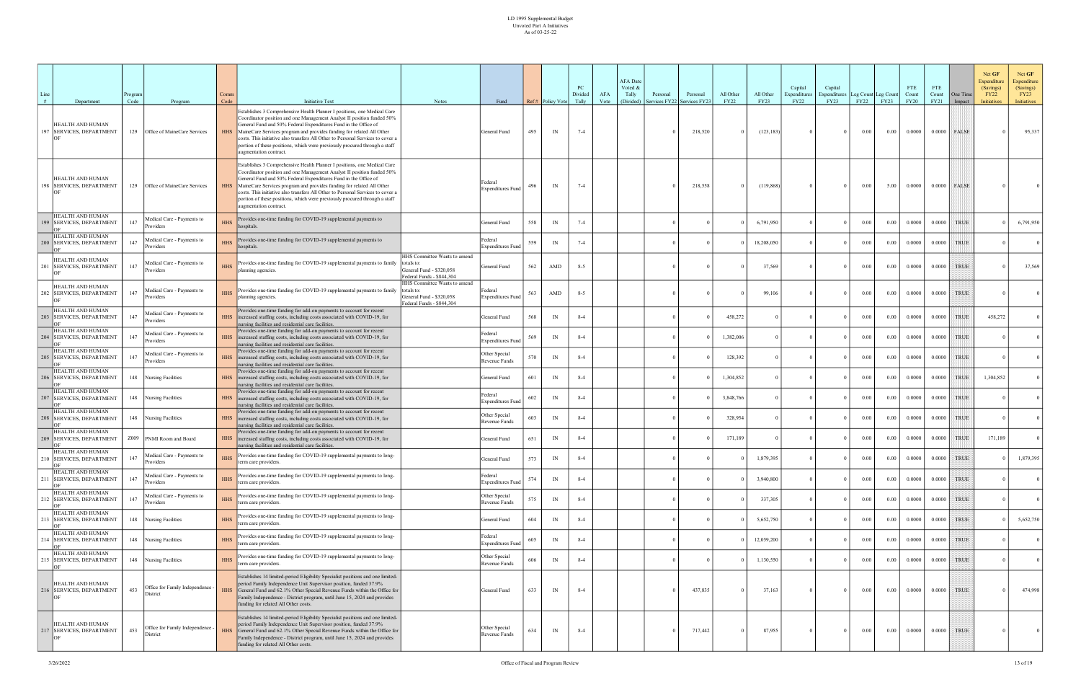| Line<br># | Department                                          | rogram<br>Code | Program                                      | Comm<br>Code | <b>Initiative Text</b>                                                                                                                                                                                                                                                                                                                                                                                                                                                                    | <b>Notes</b>                                                                                        | Fund                                |     | Ref# Policy Vote         | PC<br>Divided<br>Tally | AFA<br>Vote | <b>AFA</b> Date<br>Voted &<br>Tally<br>(Divided) | Personal<br>ervices FY22 | Personal<br>Services FY23 | All Other<br><b>FY22</b> | All Other<br>FY23 | Capital<br>Expenditures<br><b>FY22</b> | Capital<br><b>Expenditures</b><br>FY23 | <b>FY22</b> | Leg Count Leg Count<br>FY23 | <b>FTE</b><br>Count<br><b>FY20</b> | <b>FTE</b><br>Count<br><b>FY21</b> | One Time<br>Impact | Net GF<br>Net GF<br>Expenditure<br>Expenditure<br>(Savings)<br>(Savings)<br><b>FY22</b><br>FY23<br><b>Initiatives</b><br>Initiatives |
|-----------|-----------------------------------------------------|----------------|----------------------------------------------|--------------|-------------------------------------------------------------------------------------------------------------------------------------------------------------------------------------------------------------------------------------------------------------------------------------------------------------------------------------------------------------------------------------------------------------------------------------------------------------------------------------------|-----------------------------------------------------------------------------------------------------|-------------------------------------|-----|--------------------------|------------------------|-------------|--------------------------------------------------|--------------------------|---------------------------|--------------------------|-------------------|----------------------------------------|----------------------------------------|-------------|-----------------------------|------------------------------------|------------------------------------|--------------------|--------------------------------------------------------------------------------------------------------------------------------------|
|           | HEALTH AND HUMAN<br>197 SERVICES, DEPARTMENT        |                | 129 Office of MaineCare Services             | <b>HHS</b>   | Establishes 3 Comprehensive Health Planner I positions, one Medical Care<br>Coordinator position and one Management Analyst II position funded 50%<br>General Fund and 50% Federal Expenditures Fund in the Office of<br>MaineCare Services program and provides funding for related All Other<br>costs. This initiative also transfers All Other to Personal Services to cover a<br>portion of these positions, which were previously procured through a staff<br>ugmentation contract.  |                                                                                                     | General Fund                        | 495 | IN                       | $7 - 4$                |             |                                                  |                          | 218,520                   |                          | (123, 183)        |                                        | $\Omega$                               | 0.00        | 0.00                        | 0.0000                             | 0.0000                             | FALSE              | 95,337                                                                                                                               |
|           | <b>HEALTH AND HUMAN</b><br>198 SERVICES, DEPARTMENT |                | 129 Office of MaineCare Services             | <b>HHS</b>   | Establishes 3 Comprehensive Health Planner I positions, one Medical Care<br>Coordinator position and one Management Analyst II position funded 50%<br>General Fund and 50% Federal Expenditures Fund in the Office of<br>MaineCare Services program and provides funding for related All Other<br>costs. This initiative also transfers All Other to Personal Services to cover a<br>portion of these positions, which were previously procured through a staff<br>augmentation contract. |                                                                                                     | Federal<br><b>Expenditures Fund</b> | 496 | IN                       | $7 - 4$                |             |                                                  |                          | 218,558                   |                          | (119, 868)        |                                        | $\Omega$                               | 0.00        | 5.00                        | 0.0000                             | 0.0000                             | FALSE              |                                                                                                                                      |
|           | HEALTH AND HUMAN<br>99 SERVICES, DEPARTMENT         | 147            | Medical Care - Payments to<br>Providers      | <b>HHS</b>   | Provides one-time funding for COVID-19 supplemental payments to<br>hospitals.                                                                                                                                                                                                                                                                                                                                                                                                             |                                                                                                     | General Fund                        | 558 | IN                       | $7 - 4$                |             |                                                  |                          |                           |                          | 6,791,950         |                                        |                                        | 0.00        | 0.00                        | 0.0000                             | 0.0000                             | <b>TRUE</b>        | 6,791,950                                                                                                                            |
|           | HEALTH AND HUMAN<br>200 SERVICES, DEPARTMENT        | 147            | Medical Care - Payments to<br>Providers      | <b>HHS</b>   | Provides one-time funding for COVID-19 supplemental payments to<br>hospitals.                                                                                                                                                                                                                                                                                                                                                                                                             |                                                                                                     | Federal<br><b>Expenditures Fund</b> | 559 | IN                       | $7 - 4$                |             |                                                  |                          |                           |                          | 18,208,050        |                                        | $\Omega$                               | 0.00        | 0.00                        | 0.0000                             | 0.0000                             | <b>TRUE</b>        |                                                                                                                                      |
|           | HEALTH AND HUMAN<br><b>SERVICES, DEPARTMENT</b>     | 147            | Medical Care - Payments to<br>Providers      | <b>HHS</b>   | Provides one-time funding for COVID-19 supplemental payments to family<br>planning agencies.                                                                                                                                                                                                                                                                                                                                                                                              | HHS Committee Wants to amend<br>General Fund - \$320,058<br>Federal Funds - \$844,304               | General Fund                        | 562 | AMD                      | $8 - 5$                |             |                                                  |                          |                           |                          | 37,569            |                                        |                                        | 0.00        | 0.00                        | 0.0000                             | 0.0000                             | <b>TRUE</b>        | 37,569                                                                                                                               |
|           | HEALTH AND HUMAN<br>202 SERVICES, DEPARTMENT        | 147            | Medical Care - Payments to<br>Providers      | <b>HHS</b>   | Provides one-time funding for COVID-19 supplemental payments to family<br>planning agencies.                                                                                                                                                                                                                                                                                                                                                                                              | HHS Committee Wants to amend<br>Itotals to<br>General Fund - \$320,058<br>Federal Funds - \$844,304 | Federal<br><b>Expenditures Fund</b> | 563 | AMD                      | $8 - 5$                |             |                                                  |                          |                           |                          | 99,106            |                                        | $\Omega$                               | $0.00\,$    | 0.00                        | 0.0000                             | 0.0000                             | TRUE               |                                                                                                                                      |
|           | HEALTH AND HUMAN<br>203 SERVICES, DEPARTMENT        | 147            | Medical Care - Payments to<br>Providers      | <b>HHS</b>   | Provides one-time funding for add-on payments to account for recent<br>increased staffing costs, including costs associated with COVID-19, for<br>nursing facilities and residential care facilities.                                                                                                                                                                                                                                                                                     |                                                                                                     | General Fund                        | 568 | IN                       | $8 - 4$                |             |                                                  |                          |                           | 458,272                  |                   |                                        | $\overline{0}$                         | 0.00        | 0.00                        | 0.0000                             | 0.0000                             | <b>TRUE</b>        | 458,272                                                                                                                              |
|           | HEALTH AND HUMAN<br>204 SERVICES, DEPARTMENT        | 147            | Medical Care - Payments to<br>Providers      | <b>HHS</b>   | Provides one-time funding for add-on payments to account for recent<br>increased staffing costs, including costs associated with COVID-19, for<br>nursing facilities and residential care facilities.                                                                                                                                                                                                                                                                                     |                                                                                                     | Federal<br><b>Expenditures Fund</b> | 569 | IN                       | $8 - 4$                |             |                                                  |                          |                           | 1,382,006                |                   |                                        | $\Omega$                               | 0.00        | 0.00                        | 0.0000                             | 0.0000                             | <b>TRUE</b>        |                                                                                                                                      |
|           | HEALTH AND HUMAN<br>205 SERVICES, DEPARTMENT        | 147            | Medical Care - Payments to<br>Providers      | <b>HHS</b>   | Provides one-time funding for add-on payments to account for recent<br>increased staffing costs, including costs associated with COVID-19, for<br>nursing facilities and residential care facilities.                                                                                                                                                                                                                                                                                     |                                                                                                     | Other Special<br>Revenue Funds      | 570 | IN                       | $8 - 4$                |             |                                                  |                          |                           | 128,392                  |                   |                                        | $\Omega$                               | 0.00        | 0.00                        | 0.0000                             | 0.0000                             | TRUE               |                                                                                                                                      |
|           | HEALTH AND HUMAN<br>206 SERVICES, DEPARTMENT        |                | 148 Nursing Facilities                       | <b>HHS</b>   | Provides one-time funding for add-on payments to account for recent<br>increased staffing costs, including costs associated with COVID-19, for<br>nursing facilities and residential care facilities.                                                                                                                                                                                                                                                                                     |                                                                                                     | General Fund                        | 601 | IN                       | $8 - 4$                |             |                                                  |                          |                           | 1,304,852                |                   |                                        |                                        | 0.00        | 0.00                        | 0.0000                             | 0.0000                             | <b>TRUE</b>        | 1,304,852                                                                                                                            |
|           | HEALTH AND HUMAN<br>207 SERVICES, DEPARTMENT        |                | 148 Nursing Facilities                       | <b>HHS</b>   | Provides one-time funding for add-on payments to account for recent<br>increased staffing costs, including costs associated with COVID-19, for<br>nursing facilities and residential care facilities.                                                                                                                                                                                                                                                                                     |                                                                                                     | Federal<br><b>Expenditures Fund</b> | 602 | $\mathbb{N}$             | $8 - 4$                |             |                                                  |                          |                           | 3,848,766                |                   |                                        |                                        | 0.00        | 0.00                        | 0.0000                             | 0.0000                             | TRUE               |                                                                                                                                      |
|           | HEALTH AND HUMAN<br>208 SERVICES, DEPARTMENT        |                | 148 Nursing Facilities                       | <b>HHS</b>   | Provides one-time funding for add-on payments to account for recent<br>increased staffing costs, including costs associated with COVID-19, for<br>nursing facilities and residential care facilities.                                                                                                                                                                                                                                                                                     |                                                                                                     | Other Special<br>Revenue Funds      | 603 | IN                       | $8 - 4$                |             |                                                  |                          |                           | 328,954                  |                   |                                        | $\overline{0}$                         | 0.00        | 0.00                        | 0.0000                             | 0.0000                             | TRUE               |                                                                                                                                      |
|           | HEALTH AND HUMAN<br>209 SERVICES, DEPARTMENT        |                | Z009 PNMI Room and Board                     | <b>HHS</b>   | Provides one-time funding for add-on payments to account for recent<br>increased staffing costs, including costs associated with COVID-19, for<br>nursing facilities and residential care facilities.                                                                                                                                                                                                                                                                                     |                                                                                                     | General Fund                        | 651 | IN                       | $8 - 4$                |             |                                                  |                          |                           | 171,189                  |                   |                                        | $\Omega$                               | 0.00        | 0.00                        | 0.0000                             | 0.0000                             | <b>TRUE</b>        | 171,189                                                                                                                              |
|           | HEALTH AND HUMAN<br>SERVICES, DEPARTMENT            | 147            | Medical Care - Payments to<br>Providers      | <b>HHS</b>   | Provides one-time funding for COVID-19 supplemental payments to long-<br>term care providers.                                                                                                                                                                                                                                                                                                                                                                                             |                                                                                                     | eneral Fund                         | 573 | IN                       | $8 - 4$                |             |                                                  |                          |                           |                          | 1,879,395         |                                        |                                        | 0.00        | 0.00                        | 0.0000                             | 0.0000                             | <b>TRUE</b>        | 1,879,395                                                                                                                            |
|           | HEALTH AND HUMAN<br>211 SERVICES, DEPARTMENT        | 147            | Medical Care - Payments to<br>Providers      | <b>HHS</b>   | Provides one-time funding for COVID-19 supplemental payments to long-<br>term care providers.                                                                                                                                                                                                                                                                                                                                                                                             |                                                                                                     | Federal<br><b>Expenditures Fund</b> | 574 | IN                       | $8 - 4$                |             |                                                  |                          |                           |                          | 3,940,800         |                                        | $\Omega$                               | $0.00\,$    | 0.00                        | 0.0000                             | 0.0000                             | TRUE               | $\overline{0}$                                                                                                                       |
|           | HEALTH AND HUMAN<br>212 SERVICES, DEPARTMENT        | 147            | Medical Care - Payments to<br>Providers      | <b>HHS</b>   | Provides one-time funding for COVID-19 supplemental payments to long-<br>term care providers.                                                                                                                                                                                                                                                                                                                                                                                             |                                                                                                     | Other Special<br>Revenue Funds      | 575 | $\ensuremath{\text{IN}}$ | $8 - 4$                |             |                                                  |                          |                           |                          | 337,305           |                                        |                                        | 0.00        | 0.00                        | 0.0000                             | 0.0000                             | <b>TRUE</b>        | $\overline{0}$                                                                                                                       |
|           | HEALTH AND HUMAN<br>213 SERVICES, DEPARTMENT        |                | 148 Nursing Facilities                       | <b>HHS</b>   | Provides one-time funding for COVID-19 supplemental payments to long-<br>term care providers.                                                                                                                                                                                                                                                                                                                                                                                             |                                                                                                     | General Fund                        | 604 | IN                       | $8 - 4$                |             |                                                  |                          |                           |                          | 5,652,750         |                                        |                                        | 0.00        | 0.00                        | 0.0000                             | 0.0000                             | <b>TRUE</b>        | 5,652,750                                                                                                                            |
|           | HEALTH AND HUMAN<br>214 SERVICES, DEPARTMENT        |                | 148 Nursing Facilities                       | <b>HHS</b>   | Provides one-time funding for COVID-19 supplemental payments to long-<br>term care providers.                                                                                                                                                                                                                                                                                                                                                                                             |                                                                                                     | Federal<br><b>Expenditures Fund</b> | 605 | IN                       | $8 - 4$                |             |                                                  |                          |                           |                          | 12,059,200        |                                        | $\Omega$                               | $0.00\,$    | 0.00                        | 0.0000                             | 0.0000                             | TRUE               | 0 <sup>1</sup>                                                                                                                       |
|           | HEALTH AND HUMAN<br>215 SERVICES, DEPARTMENT        |                | 148 Nursing Facilities                       | <b>HHS</b>   | Provides one-time funding for COVID-19 supplemental payments to long-<br>term care providers.                                                                                                                                                                                                                                                                                                                                                                                             |                                                                                                     | Other Special<br>Revenue Funds      | 606 | IN                       | $8 - 4$                |             |                                                  |                          |                           |                          | 1,130,550         |                                        | $\Omega$                               | 0.00        | 0.00                        | 0.0000                             | 0.0000                             | <b>TRUE</b>        | $\overline{0}$                                                                                                                       |
|           | HEALTH AND HUMAN<br>216 SERVICES, DEPARTMENT        | 453            | Office for Family Independence -<br>District | <b>HHS</b>   | Establishes 14 limited-period Eligibility Specialist positions and one limited-<br>period Family Independence Unit Supervisor position, funded 37.9%<br>General Fund and 62.1% Other Special Revenue Funds within the Office for<br>Family Independence - District program, until June 15, 2024 and provides<br>funding for related All Other costs.                                                                                                                                      |                                                                                                     | General Fund                        | 633 | IN                       | $8 - 4$                |             |                                                  |                          | 437,835                   |                          | 37,163            |                                        | $\Omega$                               | $0.00\,$    | 0.00                        | 0.0000                             | 0.0000                             | <b>TRUE</b>        | 474,998                                                                                                                              |
|           | HEALTH AND HUMAN<br>217 SERVICES, DEPARTMENT        | 453            | Office for Family Independence -<br>District | <b>HHS</b>   | Establishes 14 limited-period Eligibility Specialist positions and one limited-<br>period Family Independence Unit Supervisor position, funded 37.9%<br>General Fund and 62.1% Other Special Revenue Funds within the Office for<br>Family Independence - District program, until June 15, 2024 and provides<br>funding for related All Other costs.                                                                                                                                      |                                                                                                     | Other Special<br>Revenue Funds      | 634 | IN                       | $8 - 4$                |             |                                                  |                          | 717,442                   |                          | 87,955            |                                        | $\overline{0}$                         | $0.00\,$    | $0.00\,$                    | 0.0000                             | 0.0000                             | <b>TRUE</b>        | $\vert$ 0                                                                                                                            |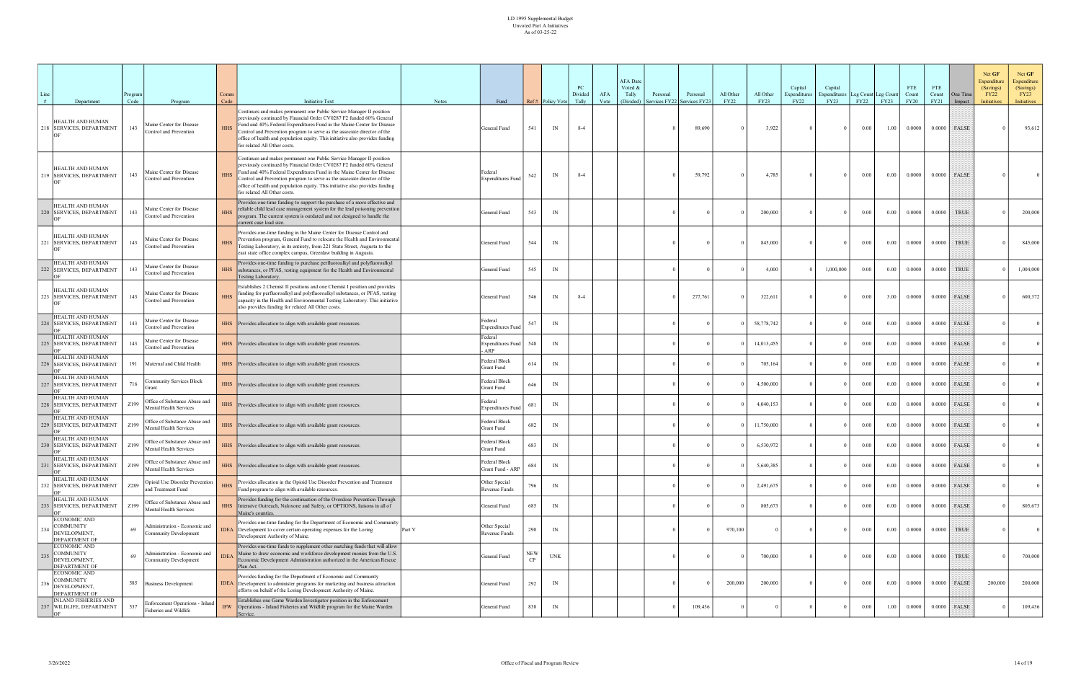| Line |                                                                          | rogram<br>Code |                                                               | Comm<br>Code | <b>Initiative Text</b>                                                                                                                                                                                                                                                                                                                                                                                              | Notes  | Fund                                       |                   | Ref# Policy Vote | PC<br>Divided<br>Tally | AFA<br>Vote | <b>AFA</b> Date<br>Voted &<br>Tally<br>Personal<br>(Divided)<br>ervices FY22 | Personal<br>Services FY23 | All Other<br><b>FY22</b> | All Other<br><b>FY23</b> | Capital<br>Expenditures<br><b>FY22</b> | Capital<br><b>Expenditures</b><br>FY23 | Leg Count Leg Count<br>FY22 | FY23     | <b>FTE</b><br>Count<br><b>FY20</b> | <b>FTE</b><br>Count<br>FY21 | One Time<br>Impact | Net GF<br>Net GF<br>Expenditure<br>Expenditure<br>(Savings)<br>(Savings)<br><b>FY22</b><br>FY23<br>Initiatives<br>Initiatives |
|------|--------------------------------------------------------------------------|----------------|---------------------------------------------------------------|--------------|---------------------------------------------------------------------------------------------------------------------------------------------------------------------------------------------------------------------------------------------------------------------------------------------------------------------------------------------------------------------------------------------------------------------|--------|--------------------------------------------|-------------------|------------------|------------------------|-------------|------------------------------------------------------------------------------|---------------------------|--------------------------|--------------------------|----------------------------------------|----------------------------------------|-----------------------------|----------|------------------------------------|-----------------------------|--------------------|-------------------------------------------------------------------------------------------------------------------------------|
|      | Department<br>HEALTH AND HUMAN<br>218 SERVICES, DEPARTMENT               | 143            | Program<br>Maine Center for Disease<br>Control and Prevention | <b>HHS</b>   | Continues and makes permanent one Public Service Manager II position<br>previously continued by Financial Order CV0287 F2 funded 60% General<br>Fund and 40% Federal Expenditures Fund in the Maine Center for Disease<br>Control and Prevention program to serve as the associate director of the<br>office of health and population equity. This initiative also provides funding<br>for related All Other costs. |        | General Fund                               | 541               | IN               | $8 - 4$                |             |                                                                              | 89,690                    |                          | 3,922                    |                                        | $\theta$                               | 0.00                        | 1.00     | 0.0000                             | 0.0000                      | FALSE              | 93,612                                                                                                                        |
|      | HEALTH AND HUMAN<br>219 SERVICES, DEPARTMENT                             | 143            | Maine Center for Disease<br>Control and Prevention            | <b>HHS</b>   | Continues and makes permanent one Public Service Manager II position<br>previously continued by Financial Order CV0287 F2 funded 60% General<br>Fund and 40% Federal Expenditures Fund in the Maine Center for Disease<br>Control and Prevention program to serve as the associate director of the<br>office of health and population equity. This initiative also provides funding<br>for related All Other costs. |        | Federal<br><b>Expenditures Fund</b>        | 542               | IN               | $8 - 4$                |             |                                                                              | 59,792                    |                          | 4,785                    |                                        | $\Omega$                               | $0.00\,$                    | 0.00     | 0.0000                             | 0.0000                      | FALSE              |                                                                                                                               |
|      | HEALTH AND HUMAN<br>220 SERVICES, DEPARTMENT                             | 143            | Maine Center for Disease<br>Control and Prevention            | <b>HHS</b>   | Provides one-time funding to support the purchase of a more effective and<br>reliable child lead case management system for the lead poisoning prevention<br>program. The current system is outdated and not designed to handle the<br>current case load size.                                                                                                                                                      |        | General Fund                               | 543               | IN               |                        |             |                                                                              |                           |                          | 200,000                  |                                        | $\Omega$                               | 0.00                        | 0.00     | 0.0000                             | 0.0000                      | <b>TRUE</b>        | 200,000                                                                                                                       |
|      | HEALTH AND HUMAN<br>221 SERVICES, DEPARTMENT                             | 143            | Maine Center for Disease<br>Control and Prevention            | <b>HHS</b>   | Provides one-time funding in the Maine Center for Disease Control and<br>Prevention program, General Fund to relocate the Health and Environmental<br>Testing Laboratory, in its entirety, from 221 State Street, Augusta to the<br>east state office complex campus, Greenlaw building in Augusta.                                                                                                                 |        | General Fund                               | 544               | IN               |                        |             |                                                                              |                           |                          | 845,000                  |                                        | $\Omega$                               | $0.00\,$                    | 0.00     | 0.0000                             | 0.0000                      | <b>TRUE</b>        | 845,000                                                                                                                       |
|      | HEALTH AND HUMAN<br>222 SERVICES, DEPARTMENT                             | 143            | Maine Center for Disease<br>Control and Prevention            | <b>HHS</b>   | Provides one-time funding to purchase perfluoroalkyl and polyfluoroalkyl<br>substances, or PFAS, testing equipment for the Health and Environmental<br>Testing Laboratory.                                                                                                                                                                                                                                          |        | General Fund                               | 545               | IN               |                        |             |                                                                              |                           |                          | 4,000                    |                                        | 1,000,000                              | 0.00                        | 0.00     | 0.0000                             | 0.0000                      | <b>TRUE</b>        | 1,004,000                                                                                                                     |
|      | HEALTH AND HUMAN<br>223 SERVICES, DEPARTMENT                             | 143            | Maine Center for Disease<br>Control and Prevention            | <b>HHS</b>   | Establishes 2 Chemist II positions and one Chemist I position and provides<br>funding for perfluoroalkyl and polyfluoroalkyl substances, or PFAS, testing<br>capacity in the Health and Environmental Testing Laboratory. This initiative<br>also provides funding for related All Other costs.                                                                                                                     |        | General Fund                               | 546               | IN               | $8 - 4$                |             |                                                                              | 277,761                   |                          | 322,611                  |                                        | $\theta$                               | 0.00                        | 3.00     | 0.0000                             | 0.0000                      | <b>FALSE</b>       | 600,372                                                                                                                       |
|      | HEALTH AND HUMAN<br>224 SERVICES, DEPARTMENT                             | 143            | Maine Center for Disease<br>Control and Prevention            |              | HHS Provides allocation to align with available grant resources.                                                                                                                                                                                                                                                                                                                                                    |        | Federal<br><b>Expenditures Fund</b>        | 547               | IN               |                        |             |                                                                              |                           |                          | 58,778,742               |                                        | $\Omega$                               | $0.00\,$                    | 0.00     | 0.0000                             | 0.0000                      | FALSE              |                                                                                                                               |
|      | HEALTH AND HUMAN<br>225 SERVICES, DEPARTMENT                             | 143            | Maine Center for Disease<br>Control and Prevention            |              | HHS Provides allocation to align with available grant resources.                                                                                                                                                                                                                                                                                                                                                    |        | Federal<br><b>Expenditures Fund</b><br>ARP | 548               | IN               |                        |             |                                                                              |                           |                          | 14,013,455               |                                        | $\Omega$                               | 0.00                        | 0.00     | 0.0000                             | 0.0000                      | <b>FALSE</b>       |                                                                                                                               |
|      | HEALTH AND HUMAN<br>226   SERVICES, DEPARTMENT                           |                | 191 Maternal and Child Health                                 |              | HHS Provides allocation to align with available grant resources.                                                                                                                                                                                                                                                                                                                                                    |        | Federal Block<br><b>Grant Fund</b>         |                   | IN               |                        |             |                                                                              |                           |                          | 705,164                  |                                        | $\Omega$                               | 0.00                        | 0.00     | 0.0000                             | 0.0000                      | FALSE              |                                                                                                                               |
|      | HEALTH AND HUMAN<br>227   SERVICES, DEPARTMENT                           | 716            | Community Services Block<br>Grant                             |              | HHS Provides allocation to align with available grant resources.                                                                                                                                                                                                                                                                                                                                                    |        | Federal Block<br><b>Grant Fund</b>         | 646               | IN               |                        |             |                                                                              |                           |                          | 4,500,000                |                                        |                                        | 0.00                        | 0.00     | 0.0000                             | 0.0000                      | FALSE              |                                                                                                                               |
|      | HEALTH AND HUMAN<br>228 SERVICES, DEPARTMENT                             | Z199           | Office of Substance Abuse and<br>Mental Health Services       |              | HHS Provides allocation to align with available grant resources.                                                                                                                                                                                                                                                                                                                                                    |        | Federal<br><b>Expenditures Fund</b>        | 681               | IN               |                        |             |                                                                              |                           |                          | 4,040,153                |                                        |                                        | 0.00                        | 0.00     | 0.0000                             | 0.0000                      | FALSE              |                                                                                                                               |
|      | HEALTH AND HUMAN<br>229 SERVICES, DEPARTMENT                             | Z199           | Office of Substance Abuse and<br>Mental Health Services       |              | HHS Provides allocation to align with available grant resources.                                                                                                                                                                                                                                                                                                                                                    |        | Federal Block<br><b>Grant Fund</b>         | 682               | IN               |                        |             |                                                                              |                           |                          | 11,750,000               |                                        | $\theta$                               | 0.00                        | 0.00     | 0.0000                             | 0.0000                      | <b>FALSE</b>       |                                                                                                                               |
|      | HEALTH AND HUMAN<br>230 SERVICES, DEPARTMENT                             | Z199           | Office of Substance Abuse and<br>Aental Health Services       |              | HHS Provides allocation to align with available grant resources.                                                                                                                                                                                                                                                                                                                                                    |        | Federal Block<br><b>Grant Fund</b>         | 683               | IN               |                        |             |                                                                              |                           |                          | 6,530,972                |                                        | $\Omega$                               | 0.00                        | 0.00     | 0.0000                             | 0.0000                      | <b>FALSE</b>       |                                                                                                                               |
|      | HEALTH AND HUMAN<br>231 SERVICES, DEPARTMENT                             | Z199           | Office of Substance Abuse and<br>Mental Health Services       | <b>HHS</b>   | Provides allocation to align with available grant resources.                                                                                                                                                                                                                                                                                                                                                        |        | Federal Block<br>Grant Fund - ARP          | 684               | IN               |                        |             |                                                                              |                           |                          | 5,640,385                |                                        | $\overline{0}$                         | $0.00\,$                    | $0.00\,$ | 0.0000                             |                             | $0.0000$ FALSE     | $\vert 0 \vert$                                                                                                               |
|      | HEALTH AND HUMAN<br>232 SERVICES, DEPARTMENT                             | Z289           | Opioid Use Disorder Prevention<br>and Treatment Fund          | <b>HHS</b>   | Provides allocation in the Opioid Use Disorder Prevention and Treatment<br>Fund program to align with available resources.                                                                                                                                                                                                                                                                                          |        | Other Special<br>Revenue Funds             |                   | IN               |                        |             |                                                                              |                           |                          | 2,491,675                |                                        | $\Omega$                               | $0.00\,$                    | 0.00     | 0.0000                             |                             | $0.0000$ FALSE     | $\overline{0}$                                                                                                                |
|      | HEALTH AND HUMAN<br>233 SERVICES, DEPARTMENT                             | Z199           | Office of Substance Abuse and<br>Mental Health Services       | <b>HHS</b>   | Provides funding for the continuation of the Overdose Prevention Through<br>Intensive Outreach, Naloxone and Safety, or OPTIONS, liaisons in all of<br>Maine's counties.                                                                                                                                                                                                                                            |        | General Fund                               | 685               | IN               |                        |             |                                                                              |                           |                          | 805,673                  |                                        |                                        | 0.00                        | 0.00     | 0.0000                             |                             | $0.0000$ FALSE     | 805,673                                                                                                                       |
| 234  | ECONOMIC AND<br><b>COMMUNITY</b><br>DEVELOPMENT,<br><b>DEPARTMENT OF</b> | 69             | Administration - Economic and<br>Community Development        |              | Provides one-time funding for the Department of Economic and Community<br><b>IDEA</b> Development to cover certain operating expenses for the Loring<br>Development Authority of Maine.                                                                                                                                                                                                                             | Part V | Other Special<br>Revenue Funds             | 290               | IN               |                        |             |                                                                              |                           | 970,100                  |                          |                                        | $\Omega$                               | $0.00\,$                    | 0.00     | 0.0000                             | 0.0000                      | <b>TRUE</b>        | $\overline{0}$                                                                                                                |
| 235  | ECONOMIC AND<br><b>COMMUNITY</b><br>DEVELOPMENT,<br><b>DEPARTMENT OF</b> | 69             | Administration - Economic and<br><b>Community Development</b> | <b>IDEA</b>  | Provides one-time funds to supplement other matching funds that will allow<br>Maine to draw economic and workforce development monies from the U.S.<br>Economic Development Administration authorized in the American Rescue<br>Plan Act.                                                                                                                                                                           |        | General Fund                               | <b>NEW</b><br>CP. | <b>UNK</b>       |                        |             |                                                                              |                           |                          | 700,000                  |                                        | $\theta$                               | $0.00\,$                    | 0.00     | 0.0000                             | 0.0000                      | <b>TRUE</b>        | 700,000                                                                                                                       |
| 236  | ECONOMIC AND<br><b>COMMUNITY</b><br>DEVELOPMENT,<br>DEPARTMENT OF        |                | 585 Business Development                                      | <b>IDEA</b>  | Provides funding for the Department of Economic and Community<br>Development to administer programs for marketing and business attraction<br>efforts on behalf of the Loring Development Authority of Maine.                                                                                                                                                                                                        |        | General Fund                               | 292               | IN               |                        |             |                                                                              |                           | 200,000                  | 200,000                  |                                        | $\Omega$                               | $0.00\,$                    | 0.00     | 0.0000                             | 0.0000                      | FALSE              | 200,000<br>200,000                                                                                                            |
|      | INLAND FISHERIES AND<br>237 WILDLIFE, DEPARTMENT                         | 537            | Enforcement Operations - Inland<br>Fisheries and Wildlife     | <b>IFW</b>   | Establishes one Game Warden Investigator position in the Enforcement<br>Operations - Inland Fisheries and Wildlife program for the Maine Warden<br>Service.                                                                                                                                                                                                                                                         |        | General Fund                               | 838               | IN               |                        |             |                                                                              | 109,436                   |                          |                          |                                        | $\Omega$                               | $0.00\,$                    | 1.00     | 0.0000                             | 0.0000                      | FALSE              | 109,436                                                                                                                       |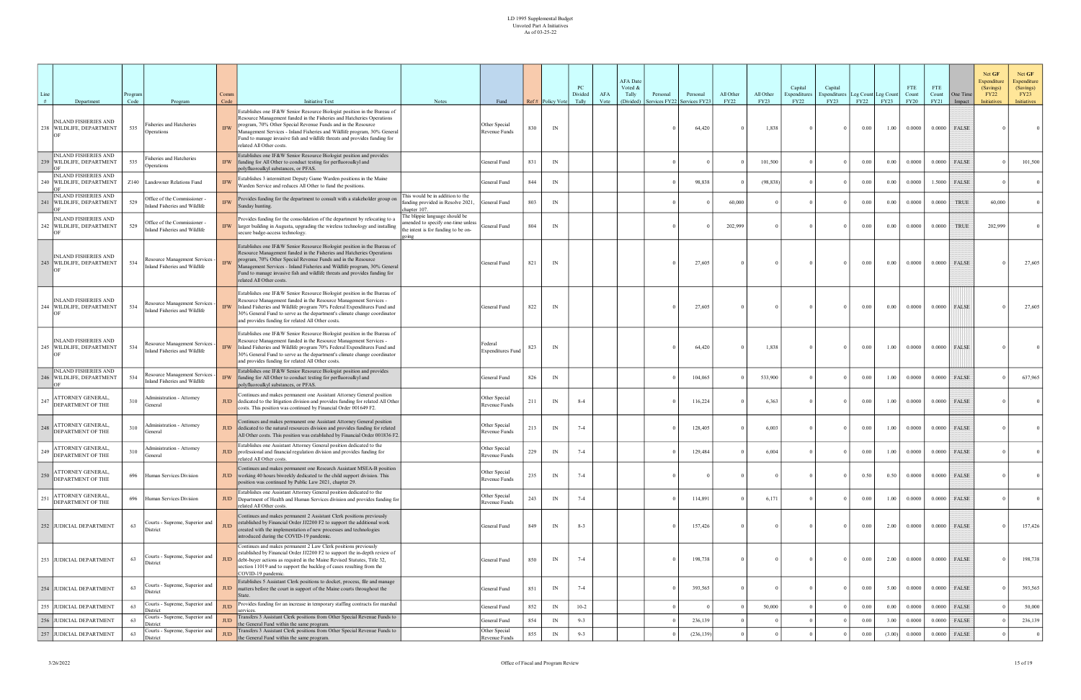| Line |                                                                       | rogram      |                                                                                    | Comm                             |                                                                                                                                                                                                                                                                                                                                                                                                                                   |                                                                                                           |                                        |     |                        | PC<br>Divided | AFA  | <b>AFA</b> Date<br>Voted &<br>Tally | Personal     | Personal                | All Other   | All Other            | Capital<br>Expenditures | Capital<br>xpenditures |                  | Leg Count Leg Count | <b>FTE</b><br>Count   | <b>FTE</b><br>Count | One Time                 | Net GF<br>Expenditure<br>(Savings)<br><b>FY22</b> | Net GF<br><b>Expenditure</b><br>(Savings)<br>FY23 |
|------|-----------------------------------------------------------------------|-------------|------------------------------------------------------------------------------------|----------------------------------|-----------------------------------------------------------------------------------------------------------------------------------------------------------------------------------------------------------------------------------------------------------------------------------------------------------------------------------------------------------------------------------------------------------------------------------|-----------------------------------------------------------------------------------------------------------|----------------------------------------|-----|------------------------|---------------|------|-------------------------------------|--------------|-------------------------|-------------|----------------------|-------------------------|------------------------|------------------|---------------------|-----------------------|---------------------|--------------------------|---------------------------------------------------|---------------------------------------------------|
| #    | Department<br><b>INLAND FISHERIES AND</b><br>238 WILDLIFE, DEPARTMENT | Code<br>535 | Program<br>Fisheries and Hatcheries<br>Operations                                  | Code<br><b>IFW</b>               | <b>Initiative Text</b><br>Establishes one IF&W Senior Resource Biologist position in the Bureau of<br>Resource Management funded in the Fisheries and Hatcheries Operations<br>program, 70% Other Special Revenue Funds and in the Resource<br>Management Services - Inland Fisheries and Wildlife program, 30% General<br>Fund to manage invasive fish and wildlife threats and provides funding for<br>related All Other costs. | Notes                                                                                                     | Fund<br>Other Special<br>Revenue Funds | 830 | Ref# Policy Vote<br>IN | Tally         | Vote | (Divided)                           | ervices FY22 | Services FY23<br>64,420 | <b>FY22</b> | <b>FY23</b><br>1,838 | <b>FY22</b>             | FY23<br>$\Omega$       | FY22<br>$0.00\,$ | FY23<br>1.00        | <b>FY20</b><br>0.0000 | FY21                | Impact<br>$0.0000$ FALSE | <b>Initiatives</b>                                | Initiatives                                       |
|      | INLAND FISHERIES AND<br>239 WILDLIFE, DEPARTMENT                      | 535         | Fisheries and Hatcheries<br>Operations                                             | <b>IFW</b>                       | Establishes one IF&W Senior Resource Biologist position and provides<br>funding for All Other to conduct testing for perfluoroalkyl and<br>polyfluoroalkyl substances, or PFAS.                                                                                                                                                                                                                                                   |                                                                                                           | General Fund                           | 831 | IN                     |               |      |                                     |              |                         |             | 101,500              |                         | $\Omega$               | 0.00             | 0.00                | 0.0000                |                     | $0.0000$ FALSE           |                                                   | 101,500                                           |
|      | <b>INLAND FISHERIES AND</b><br>240   WILDLIFE, DEPARTMENT             |             | Z140 Landowner Relations Fund                                                      | <b>IFW</b>                       | Establishes 3 intermittent Deputy Game Warden positions in the Maine<br>Warden Service and reduces All Other to fund the positions.                                                                                                                                                                                                                                                                                               |                                                                                                           | General Fund                           | 844 | IN                     |               |      |                                     |              | 98,838                  |             | (98, 838)            |                         | $\Omega$               | 0.00             | 0.00                | 0.0000                | 1.5000              | <b>FALSE</b>             |                                                   |                                                   |
|      | <b>INLAND FISHERIES AND</b><br>WILDLIFE, DEPARTMENT                   | 529         | Office of the Commissioner -<br>land Fisheries and Wildlife                        | <b>IFW</b>                       | Provides funding for the department to consult with a stakeholder group<br>Sunday hunting.                                                                                                                                                                                                                                                                                                                                        | This would be in addition to the<br>funding provided in Resolve 2021,<br>chapter 107.                     | General Fund                           | 803 | IN                     |               |      |                                     |              |                         | 60,000      |                      |                         |                        | 0.00             | 0.00                | 0.0000                | 0.0000              | <b>TRUE</b>              | 60,000                                            |                                                   |
|      | <b>INLAND FISHERIES AND</b><br>242 WILDLIFE, DEPARTMENT               | 529         | Office of the Commissioner -<br>land Fisheries and Wildlife                        | <b>IFW</b>                       | Provides funding for the consolidation of the department by relocating to a<br>larger building in Augusta, upgrading the wireless technology and installing<br>secure badge-access technology.                                                                                                                                                                                                                                    | The blippie language should be<br>nended to specify one-time unless<br>ne intent is for funding to be on- | General Fund                           | 804 | IN                     |               |      |                                     |              |                         | 202,999     |                      |                         | $\Omega$               | $0.00\,$         | 0.00                | 0.0000                | 0.0000              | <b>TRUE</b>              | 202,999                                           |                                                   |
|      | <b>INLAND FISHERIES AND</b><br>243 WILDLIFE, DEPARTMENT               | 534         | Resource Management Services -<br>land Fisheries and Wildlife                      | <b>IFW</b>                       | Establishes one IF&W Senior Resource Biologist position in the Bureau of<br>Resource Management funded in the Fisheries and Hatcheries Operations<br>program, 70% Other Special Revenue Funds and in the Resource<br>Management Services - Inland Fisheries and Wildlife program, 30% General<br>Fund to manage invasive fish and wildlife threats and provides funding for<br>related All Other costs.                           |                                                                                                           | General Fund                           | 821 | IN                     |               |      |                                     |              | 27,605                  |             |                      |                         | $\Omega$               | $0.00\,$         | 0.00                | 0.0000                | 0.0000              | FALSE                    |                                                   | 27,605                                            |
|      | NLAND FISHERIES AND<br>244 WILDLIFE, DEPARTMENT                       | 534         | Resource Management Services<br>land Fisheries and Wildlife                        | <b>IFW</b>                       | Establishes one IF&W Senior Resource Biologist position in the Bureau of<br>Resource Management funded in the Resource Management Services -<br>Inland Fisheries and Wildlife program 70% Federal Expenditures Fund and<br>30% General Fund to serve as the department's climate change coordinator<br>and provides funding for related All Other costs.                                                                          |                                                                                                           | General Fund                           | 822 | IN                     |               |      |                                     |              | 27,605                  |             |                      |                         | $\theta$               | $0.00\,$         | 0.00                | 0.0000                | 0.0000              | FALSE                    |                                                   | 27,605                                            |
|      | <b>INLAND FISHERIES AND</b><br>245 WILDLIFE, DEPARTMENT               | 534         | Resource Management Services -<br>Inland Fisheries and Wildlife                    | $\ensuremath{\mathsf{IFW}}$      | Establishes one IF&W Senior Resource Biologist position in the Bureau of<br>Resource Management funded in the Resource Management Services -<br>Inland Fisheries and Wildlife program 70% Federal Expenditures Fund and<br>30% General Fund to serve as the department's climate change coordinator<br>and provides funding for related All Other costs.                                                                          |                                                                                                           | Federal<br><b>Expenditures Fund</b>    | 823 | IN                     |               |      |                                     |              | 64,420                  |             | 1,838                |                         | $\Omega$               | $0.00\,$         | 1.00                | 0.0000                |                     | $0.0000$ FALSE           |                                                   |                                                   |
|      | INLAND FISHERIES AND<br>WILDLIFE, DEPARTMENT                          | 534         | Resource Management Services<br>land Fisheries and Wildlife                        | <b>IFW</b>                       | Establishes one IF&W Senior Resource Biologist position and provides<br>funding for All Other to conduct testing for perfluoroalkyl and<br>polyfluoroalkyl substances, or PFAS.                                                                                                                                                                                                                                                   |                                                                                                           | General Fund                           | 826 | IN                     |               |      |                                     |              | 104,065                 |             | 533,900              |                         |                        | 0.00             | 1.00                | 0.0000                | 0.0000              | FALSE                    |                                                   | 637,965                                           |
| 247  | ATTORNEY GENERAL,<br>DEPARTMENT OF THE                                | 310         | Administration - Attorney<br>General                                               | JUD                              | Continues and makes permanent one Assistant Attorney General position<br>dedicated to the litigation division and provides funding for related All Other<br>costs. This position was continued by Financial Order 001649 F2.                                                                                                                                                                                                      |                                                                                                           | Other Special<br>Revenue Funds         | 211 | IN                     | $8 - 4$       |      |                                     |              | 116,224                 |             | 6,363                |                         | $\Omega$               | $0.00\,$         | 1.00                | 0.0000                | 0.0000              | FALSE                    |                                                   |                                                   |
| 248  | ATTORNEY GENERAL,<br>DEPARTMENT OF THE                                | 310         | Administration - Attorney<br>General                                               | <b>JUD</b>                       | Continues and makes permanent one Assistant Attorney General position<br>dedicated to the natural resources division and provides funding for related<br>All Other costs. This position was established by Financial Order 001836 F2.                                                                                                                                                                                             |                                                                                                           | Other Special<br>Revenue Funds         | 213 | IN                     | $7 - 4$       |      |                                     |              | 128,405                 |             | 6,003                |                         | $\Omega$               | 0.00             | 1.00                | 0.0000                | 0.0000              | <b>FALSE</b>             |                                                   |                                                   |
| 249  | ATTORNEY GENERAL,<br><b>DEPARTMENT OF THE</b>                         | 310         | <b>Administration - Attorney</b><br>General                                        | JUD                              | Establishes one Assistant Attorney General position dedicated to the<br>professional and financial regulation division and provides funding for<br>elated All Other costs.                                                                                                                                                                                                                                                        |                                                                                                           | Other Special<br>Revenue Funds         | 229 | IN                     | $7 - 4$       |      |                                     |              | 129,484                 |             | 6,004                |                         | $\Omega$               | 0.00             | 1.00                | 0.0000                | 0.0000              | <b>FALSE</b>             |                                                   |                                                   |
| 250  | <b>ATTORNEY GENERAL,</b><br>DEPARTMENT OF THE                         |             | 696 Human Services Division                                                        | JUD                              | Continues and makes permanent one Research Assistant MSEA-B position<br>working 40 hours biweekly dedicated to the child support division. This<br>position was continued by Public Law 2021, chapter 29.                                                                                                                                                                                                                         |                                                                                                           | Other Special<br>Revenue Funds         | 235 | IN                     | $7 - 4$       |      |                                     |              |                         |             |                      |                         | $\Omega$               | 0.50             | 0.50                | 0.0000                | 0.0000              | FALSE                    |                                                   | $\overline{0}$                                    |
| 251  | ATTORNEY GENERAL,<br>DEPARTMENT OF THE                                |             | 696 Human Services Division                                                        | JUD                              | Establishes one Assistant Attorney General position dedicated to the<br>Department of Health and Human Services division and provides funding for<br>related All Other costs.                                                                                                                                                                                                                                                     |                                                                                                           | Other Special<br>Revenue Funds         | 243 | IN                     | $7 - 4$       |      |                                     |              | 114,891                 |             | 6,171                |                         | $\Omega$               | 0.00             | 1.00                | 0.0000                | 0.0000              | FALSE                    |                                                   | $\Omega$                                          |
|      | 252 JUDICIAL DEPARTMENT                                               | 63          | Courts - Supreme, Superior and<br>District                                         | $JUD$                            | Continues and makes permanent 2 Assistant Clerk positions previously<br>established by Financial Order JJ2200 F2 to support the additional work<br>created with the implementation of new processes and technologies<br>introduced during the COVID-19 pandemic.                                                                                                                                                                  |                                                                                                           | General Fund                           | 849 | IN                     | $8 - 3$       |      |                                     |              | 157,426                 |             |                      |                         | $\Omega$               | $0.00\,$         | 2.00                | 0.0000                |                     | $0.0000$ FALSE           |                                                   | 157,426                                           |
|      | 253 JUDICIAL DEPARTMENT                                               | 63          | Courts - Supreme, Superior and<br>District                                         | JUD                              | Continues and makes permanent 2 Law Clerk positions previously<br>established by Financial Order JJ2200 F2 to support the in-depth review of<br>debt-buyer actions as required in the Maine Revised Statutes, Title 32,<br>section 11019 and to support the backlog of cases resulting from the<br>COVID-19 pandemic.                                                                                                             |                                                                                                           | General Fund                           | 850 | IN                     | $7 - 4$       |      |                                     |              | 198,738                 |             |                      |                         | $\Omega$               | $0.00\,$         | 2.00                | 0.0000                |                     | $0.0000$ FALSE           |                                                   | 198,738                                           |
|      | 254 JUDICIAL DEPARTMENT                                               | 63          | Courts - Supreme, Superior and<br>District                                         | JUD                              | Establishes 5 Assistant Clerk positions to docket, process, file and manage<br>matters before the court in support of the Maine courts throughout the<br>State.                                                                                                                                                                                                                                                                   |                                                                                                           | General Fund                           | 851 | IN                     | $7 - 4$       |      |                                     |              | 393,565                 |             |                      |                         | $\Omega$               | $0.00\,$         | 5.00                | 0.0000                |                     | $0.0000$ FALSE           |                                                   | 393,565                                           |
|      | 255 JUDICIAL DEPARTMENT                                               | 63          | Courts - Supreme, Superior and<br>District                                         | $\mathbf{J}\mathbf{U}\mathbf{D}$ | Provides funding for an increase in temporary staffing contracts for marshal<br>services.                                                                                                                                                                                                                                                                                                                                         |                                                                                                           | General Fund                           | 852 | IN                     | $10-2$        |      |                                     |              |                         |             | 50,000               |                         |                        | 0.00             | 0.00                | 0.0000                | 0.0000              | FALSE                    |                                                   | 50,000                                            |
|      | 256 JUDICIAL DEPARTMENT                                               | 63          | Courts - Supreme, Superior and<br><i>istrict</i><br>Courts - Supreme, Superior and | <b>JUD</b>                       | Transfers 3 Assistant Clerk positions from Other Special Revenue Funds to<br>the General Fund within the same program.<br>Transfers 3 Assistant Clerk positions from Other Special Revenue Funds to                                                                                                                                                                                                                               |                                                                                                           | General Fund<br>Other Special          | 854 | IN                     | $9 - 3$       |      |                                     |              | 236,139                 |             |                      |                         |                        | 0.00             | 3.00                | 0.0000                | 0.0000              | FALSE                    |                                                   | 236,139                                           |
|      | 257 JUDICIAL DEPARTMENT                                               | 63          | <b>District</b>                                                                    | $\mathbf{J}\mathbf{U}\mathbf{D}$ | the General Fund within the same program.                                                                                                                                                                                                                                                                                                                                                                                         |                                                                                                           | Revenue Funds                          | 855 | IN                     | $9 - 3$       |      |                                     |              | (236, 139)              |             |                      |                         |                        | 0.00             | (3.00)              | 0.0000                | 0.0000              | FALSE                    |                                                   | $\overline{0}$                                    |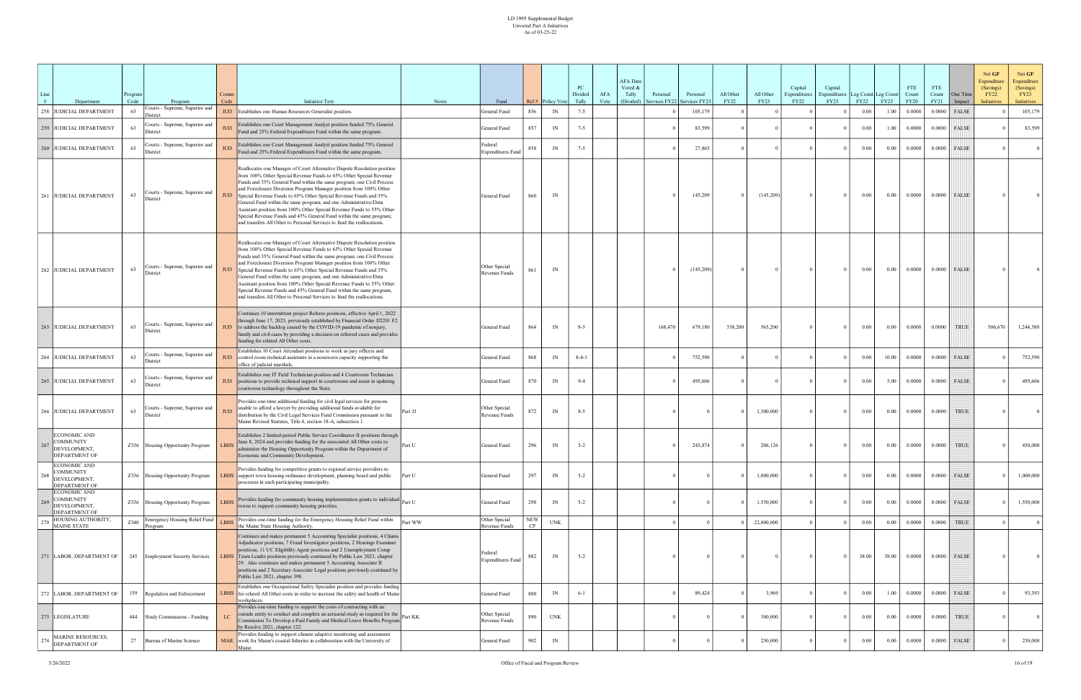| Line |                                                                          | Program    |                                                        | Comm               |                                                                                                                                                                                                                                                                                                                                                                                                                                                                                                                                                                                                                                                                   |         |                                     |                  |                          | PC<br>Divided    | AFA  | <b>AFA</b> Date<br>Voted &<br>Tally | Personal                              | Personal  | All Other   | All Other  | Capital<br>Expenditure: | Capital<br>Expenditures | Leg Count Leg Count |                     | <b>FTE</b><br>Count   | FTE<br>Count          | One Time        | Net GF<br>Net GF<br>Expenditure<br>Expenditure<br>(Savings)<br>(Savings)<br><b>FY22</b><br>FY23 |                |
|------|--------------------------------------------------------------------------|------------|--------------------------------------------------------|--------------------|-------------------------------------------------------------------------------------------------------------------------------------------------------------------------------------------------------------------------------------------------------------------------------------------------------------------------------------------------------------------------------------------------------------------------------------------------------------------------------------------------------------------------------------------------------------------------------------------------------------------------------------------------------------------|---------|-------------------------------------|------------------|--------------------------|------------------|------|-------------------------------------|---------------------------------------|-----------|-------------|------------|-------------------------|-------------------------|---------------------|---------------------|-----------------------|-----------------------|-----------------|-------------------------------------------------------------------------------------------------|----------------|
| #    | Department<br>258 JUDICIAL DEPARTMENT                                    | Code<br>63 | Program<br>Courts - Supreme, Superior and              | Code<br><b>JUD</b> | <b>Initiative Text</b><br>Establishes one Human Resources Generalist position.                                                                                                                                                                                                                                                                                                                                                                                                                                                                                                                                                                                    | Notes   | Fund<br>General Fund                | 856              | Ref# Policy Vote<br>IN   | Tally<br>$7 - 5$ | Vote |                                     | (Divided) Services FY22 Services FY23 | 105,179   | <b>FY22</b> | FY23       | <b>FY22</b>             | FY23                    | FY22<br>0.00        | <b>FY23</b><br>1.00 | <b>FY20</b><br>0.0000 | <b>FY21</b><br>0.0000 | Impact<br>FALSE | <b>Initiatives</b><br>Initiatives<br>105,179                                                    |                |
|      | 259 JUDICIAL DEPARTMENT                                                  | 63         | District<br>Courts - Supreme, Superior and<br>District | <b>JUD</b>         | Establishes one Court Management Analyst position funded 75% General<br>Fund and 25% Federal Expenditures Fund within the same program.                                                                                                                                                                                                                                                                                                                                                                                                                                                                                                                           |         | General Fund                        | 857              | IN                       | $7 - 5$          |      |                                     |                                       | 83,599    |             |            |                         | $\Omega$                | $0.00\,$            | 1.00                | 0.0000                |                       | $0.0000$ FALSE  | 83,599                                                                                          |                |
|      | 260 JUDICIAL DEPARTMENT                                                  | 63         | Courts - Supreme, Superior and<br>District             | <b>JUD</b>         | Establishes one Court Management Analyst position funded 75% General<br>Fund and 25% Federal Expenditures Fund within the same program.                                                                                                                                                                                                                                                                                                                                                                                                                                                                                                                           |         | Federal<br><b>Expenditures Fund</b> |                  | $\ensuremath{\text{IN}}$ | $7 - 5$          |      |                                     |                                       | 27,865    |             |            |                         |                         | 0.00                | 0.00                | 0.0000                | 0.0000                | <b>FALSE</b>    |                                                                                                 |                |
|      | 261 JUDICIAL DEPARTMENT                                                  | 63         | Courts - Supreme, Superior and<br>District             | <b>JUD</b>         | Reallocates one Manager of Court Alternative Dispute Resolution position<br>from 100% Other Special Revenue Funds to 65% Other Special Revenue<br>Funds and 35% General Fund within the same program; one Civil Process<br>and Foreclosure Diversion Program Manager position from 100% Other<br>Special Revenue Funds to 65% Other Special Revenue Funds and 35%<br>General Fund within the same program; and one Administrative/Data<br>Assistant position from 100% Other Special Revenue Funds to 55% Other<br>Special Revenue Funds and 45% General Fund within the same program;<br>and transfers All Other to Personal Services to fund the reallocations. |         | General Fund                        | 860              | IN                       |                  |      |                                     |                                       | 145,209   |             | (145,209)  |                         | $\Omega$                | 0.00                | 0.00                | 0.0000                |                       | $0.0000$ FALSE  |                                                                                                 |                |
|      | 262 JUDICIAL DEPARTMENT                                                  | 63         | Courts - Supreme, Superior and<br>District             | <b>JUD</b>         | Reallocates one Manager of Court Alternative Dispute Resolution position<br>from 100% Other Special Revenue Funds to 65% Other Special Revenue<br>Funds and 35% General Fund within the same program; one Civil Process<br>and Foreclosure Diversion Program Manager position from 100% Other<br>Special Revenue Funds to 65% Other Special Revenue Funds and 35%<br>General Fund within the same program; and one Administrative/Data<br>Assistant position from 100% Other Special Revenue Funds to 55% Other<br>Special Revenue Funds and 45% General Fund within the same program;<br>and transfers All Other to Personal Services to fund the reallocations. |         | Other Special<br>Revenue Funds      | 861              | $\ensuremath{\text{IN}}$ |                  |      |                                     |                                       | (145,209) |             |            |                         | $\Omega$                | 0.00                | 0.00                | 0.0000                | 0.0000                | FALSE           |                                                                                                 |                |
|      | 263 JUDICIAL DEPARTMENT                                                  | 63         | Courts - Supreme, Superior and<br>District             | <b>JUD</b>         | Continues 10 intermittent project Referee positions, effective April 1, 2022<br>through June 17, 2023, previously established by Financial Order JJ2201 F2<br>to address the backlog caused by the COVID-19 pandemic of nonjury,<br>family and civil cases by providing a decision on referred cases and provides<br>funding for related All Other costs.                                                                                                                                                                                                                                                                                                         |         | General Fund                        | 864              | IN                       | $8 - 5$          |      |                                     | 168,470                               | 679,180   | 338,200     | 565,200    |                         | $\Omega$                | 0.00                | $0.00\,$            | 0.0000                | 0.0000                | <b>TRUE</b>     | 1,244,380<br>506,670                                                                            |                |
|      | 264 JUDICIAL DEPARTMENT                                                  | 63         | Courts - Supreme, Superior and<br>District             | JUD                | Establishes 10 Court Attendant positions to work as jury officers and<br>control room technical assistants in a nonsworn capacity supporting the<br>office of judicial marshals.                                                                                                                                                                                                                                                                                                                                                                                                                                                                                  |         | General Fund                        | 868              | IN                       | $8-4-1$          |      |                                     |                                       | 752,590   |             |            |                         | $\overline{0}$          | $0.00\,$            | 10.00               | 0.0000                | 0.0000                | FALSE           | 752,590                                                                                         |                |
|      | 265 JUDICIAL DEPARTMENT                                                  | 63         | Courts - Supreme, Superior and<br>District             | <b>JUD</b>         | Establishes one IT Field Technician position and 4 Courtroom Technician<br>positions to provide technical support in courtrooms and assist in updating<br>courtroom technology throughout the State.                                                                                                                                                                                                                                                                                                                                                                                                                                                              |         | General Fund                        | 870              | IN                       | $9 - 4$          |      |                                     |                                       | 495,606   |             |            |                         | $\Omega$                | 0.00                | 5.00                | 0.0000                | 0.0000                | FALSE           | 495,606                                                                                         |                |
|      | 266 JUDICIAL DEPARTMENT                                                  | 63         | Courts - Supreme, Superior and<br>District             | JUD.               | Provides one-time additional funding for civil legal services for persons<br>unable to afford a lawyer by providing additional funds available for<br>distribution by the Civil Legal Services Fund Commission pursuant to the<br>Maine Revised Statutes, Title 4, section 18-A, subsection 1.                                                                                                                                                                                                                                                                                                                                                                    | Part JJ | Other Special<br>Revenue Funds      | 872              | $\ensuremath{\text{IN}}$ | $8 - 5$          |      |                                     |                                       |           |             | 1,300,000  |                         | $\Omega$                | 0.00                | 0.00                | 0.0000                | 0.0000                | <b>TRUE</b>     |                                                                                                 |                |
| 267  | ECONOMIC AND<br><b>COMMUNITY</b><br>DEVELOPMENT,<br><b>DEPARTMENT OF</b> |            | Z336 Housing Opportunity Program                       | LBHS               | Establishes 2 limited-period Public Service Coordinator II positions through<br>June 8, 2024 and provides funding for the associated All Other costs to<br>administer the Housing Opportunity Program within the Department of<br>Economic and Community Development.                                                                                                                                                                                                                                                                                                                                                                                             | Part U  | General Fund                        | 296              | IN                       | $5 - 2$          |      |                                     |                                       | 243,874   |             | 206,126    |                         |                         | $0.00\,$            | 0.00                | 0.0000                | 0.0000                | <b>TRUE</b>     | 450,000                                                                                         |                |
| 268  | ECONOMIC AND<br>COMMUNITY<br>DEVELOPMENT,<br>DEPARTMENT OF               |            | Z336 Housing Opportunity Program                       | <b>LBHS</b>        | Provides funding for competitive grants to regional service providers to<br>support town housing ordinance development, planning board and public<br>processes in each participating municipality.                                                                                                                                                                                                                                                                                                                                                                                                                                                                | Part U  | General Fund                        | 297              | IN                       | $5 - 2$          |      |                                     |                                       |           |             | 1,000,000  |                         |                         | 0.00                | 0.00                | 0.0000                |                       | $0.0000$ FALSE  | 1,000,000                                                                                       |                |
| 269  | ECONOMIC AND<br><b>COMMUNITY</b><br>DEVELOPMENT,<br><b>DEPARTMENT OF</b> |            | Z336 Housing Opportunity Program                       | <b>LBHS</b>        | Provides funding for community housing implementation grants to individual<br>towns to support community housing priorities.                                                                                                                                                                                                                                                                                                                                                                                                                                                                                                                                      |         | General Fund                        | 298              | IN                       | $5 - 2$          |      |                                     |                                       |           |             | 1,550,000  |                         | $\Omega$                | $0.00\,$            | 0.00                | 0.0000                |                       | $0.0000$ FALSE  | 1,550,000                                                                                       |                |
|      | HOUSING AUTHORITY,<br>MAINE STATE                                        | Z340       | <b>Emergency Housing Relief Fund</b><br>Program        | LBH                | Provides one-time funding for the Emergency Housing Relief Fund within<br>the Maine State Housing Authority.                                                                                                                                                                                                                                                                                                                                                                                                                                                                                                                                                      | Part WW | Other Special<br>Revenue Funds      | <b>NEW</b><br>CP | <b>UNK</b>               |                  |      |                                     |                                       |           |             | 22,000,000 |                         |                         | 0.00                | 0.00                | 0.0000                | 0.0000                | <b>TRUE</b>     |                                                                                                 |                |
|      | 271 LABOR, DEPARTMENT OF                                                 | 245        | <b>Employment Security Services</b>                    | <b>LBHS</b>        | Continues and makes permanent 5 Accounting Specialist positions, 4 Claims<br>Adjudicator positions, 7 Fraud Investigator positions, 2 Hearings Examiner<br>positions, 11 UC Eligibility Agent positions and 2 Unemployment Comp<br>Team Leader positions previously continued by Public Law 2021, chapter<br>29. Also continues and makes permanent 5 Accounting Associate II<br>positions and 2 Secretary Associate Legal positions previously continued by<br>Public Law 2021, chapter 398.                                                                                                                                                                     |         | Federal<br><b>Expenditures Fund</b> | 887              | IN                       | $5 - 2$          |      |                                     |                                       |           |             |            |                         | $\Omega$                | 38.00               | 38.00               | 0.0000                |                       | $0.0000$ FALSE  |                                                                                                 | $\overline{0}$ |
|      | 272 LABOR, DEPARTMENT OF                                                 | 159        | Regulation and Enforcement                             | <b>LBHS</b>        | Establishes one Occupational Safety Specialist position and provides funding<br>for related All Other costs in order to increase the safety and health of Maine<br>workplaces.                                                                                                                                                                                                                                                                                                                                                                                                                                                                                    |         | General Fund                        | 880              | IN                       | $6 - 1$          |      |                                     |                                       | 89,424    |             | 3,969      |                         |                         | 0.00                | 1.00                | 0.0000                |                       | $0.0000$ FALSE  | 93,393                                                                                          |                |
|      | 273 LEGISLATURE                                                          |            | 444 Study Commissions - Funding                        | $_{\rm LC}$        | Provides one-time funding to support the costs of contracting with an<br>outside entity to conduct and complete an actuarial study as required for the part KK<br>Commission To Develop a Paid Family and Medical Leave Benefits Program<br>by Resolve 2021, chapter 122.                                                                                                                                                                                                                                                                                                                                                                                         |         | Other Special<br>Revenue Funds      | 890              | <b>UNK</b>               |                  |      |                                     |                                       |           |             | 300,000    |                         | $\Omega$                | $0.00\,$            | 0.00                | 0.0000                | 0.0000                | <b>TRUE</b>     |                                                                                                 | $\Omega$       |
| 274  | <b>MARINE RESOURCES,</b><br>DEPARTMENT OF                                | 27         | Bureau of Marine Science                               |                    | Provides funding to support climate adaptive monitoring and assessment<br>MAR work for Maine's coastal fisheries in collaboration with the University of<br>Maine.                                                                                                                                                                                                                                                                                                                                                                                                                                                                                                |         | General Fund                        | 902              | IN                       |                  |      |                                     |                                       |           |             | 250,000    |                         | $^{\circ}$              | 0.00                | 0.00                | 0.0000                | 0.0000                | FALSE           | 250,000                                                                                         |                |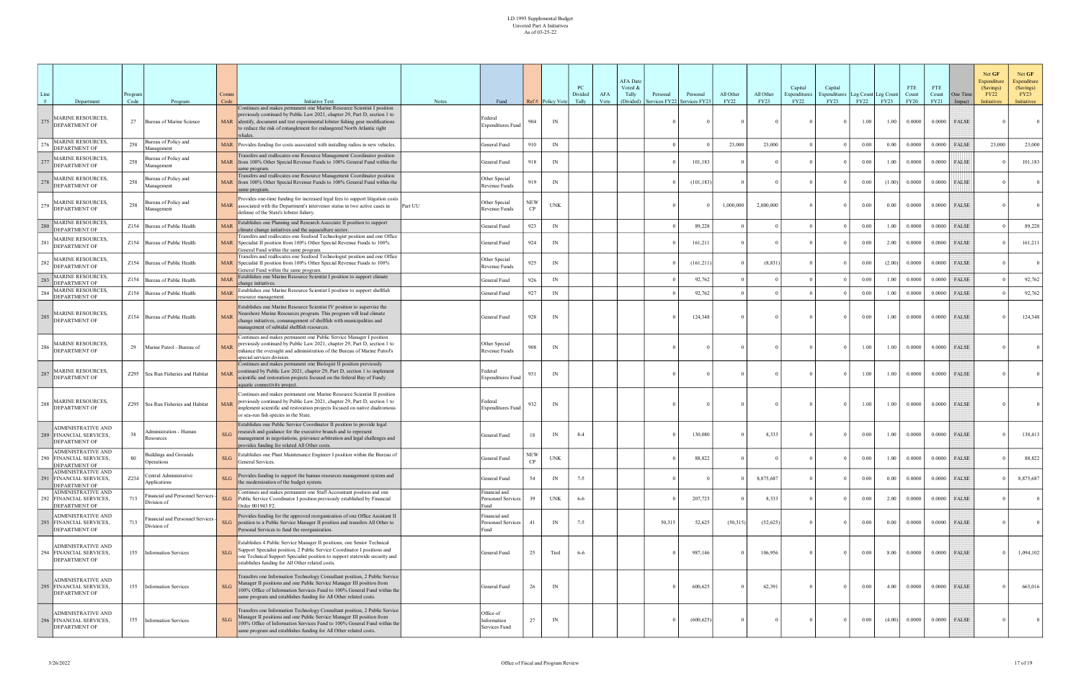| Line<br># |                                                                              | Program<br>Code |                                                   | Comm<br>Code | <b>Initiative Text</b>                                                                                                                                                                                                                                                                                       | <b>Notes</b> | Fund                                        |                  | Ref# Policy Vote | PC<br>Divided<br>Tally | AFA  | <b>AFA</b> Date<br>Voted &<br>Tally<br>Personal<br>Services FY22<br>(Divided) | Personal<br>Services FY2. | All Other<br><b>FY22</b> | All Other<br><b>FY23</b> | Capital<br>Expenditures<br>FY22 | Capital<br>xpenditures<br>FY23 | Leg Count Leg Count<br>FY22 | <b>FY23</b> | <b>FTE</b><br>Count<br><b>FY20</b> | <b>FTE</b><br>Count<br>FY21 | One Time        | Net GF<br>Expenditure<br>(Savings)<br><b>FY22</b> | Net GF<br>Expenditure<br>(Savings)<br>FY23 |
|-----------|------------------------------------------------------------------------------|-----------------|---------------------------------------------------|--------------|--------------------------------------------------------------------------------------------------------------------------------------------------------------------------------------------------------------------------------------------------------------------------------------------------------------|--------------|---------------------------------------------|------------------|------------------|------------------------|------|-------------------------------------------------------------------------------|---------------------------|--------------------------|--------------------------|---------------------------------|--------------------------------|-----------------------------|-------------|------------------------------------|-----------------------------|-----------------|---------------------------------------------------|--------------------------------------------|
|           | Department<br><b>MARINE RESOURCES</b><br>275 DEPARTMENT OF                   | 27              | Program<br>Bureau of Marine Science               | <b>MAR</b>   | Continues and makes permanent one Marine Resource Scientist I position<br>previously continued by Public Law 2021, chapter 29, Part D, section 1 to<br>identify, document and test experimental lobster fishing gear modifications<br>to reduce the risk of entanglement for endangered North Atlantic right |              | Federal<br><b>Expenditures Fund</b>         | 904              | IN               |                        | Vote |                                                                               |                           |                          |                          |                                 |                                | 1.00                        | 1.00        | 0.0000                             | 0.0000                      | Impact<br>FALSE | Initiatives                                       | Initiatives                                |
|           | <b>MARINE RESOURCES.</b><br><b>DEPARTMENT OF</b>                             | 258             | Bureau of Policy and<br>Management                | <b>MAR</b>   | whales.<br>Provides funding for costs associated with installing radios in new vehicles.                                                                                                                                                                                                                     |              | General Fund                                | 910              | IN               |                        |      |                                                                               |                           | 23,000                   | 23,000                   |                                 |                                | 0.00                        | 0.00        | 0.0000                             | 0.0000                      | <b>FALSE</b>    | 23,000                                            | 23,000                                     |
| 277       | <b>MARINE RESOURCES,</b><br>DEPARTMENT OF                                    | 258             | Bureau of Policy and<br>Management                |              | Transfers and reallocates one Resource Management Coordinator position<br>MAR from 100% Other Special Revenue Funds to 100% General Fund within the<br>same program.                                                                                                                                         |              | General Fund                                | 918              | IN               |                        |      |                                                                               | 101,183                   |                          |                          |                                 |                                | 0.00                        | 1.00        | 0.0000                             | 0.0000                      | FALSE           |                                                   | 101,183                                    |
|           | <b>MARINE RESOURCES</b><br><b>DEPARTMENT OF</b>                              | 258             | Bureau of Policy and<br>Management                | <b>MAR</b>   | Transfers and reallocates one Resource Management Coordinator position<br>from 100% Other Special Revenue Funds to 100% General Fund within the<br>same program.                                                                                                                                             |              | Other Special<br>Revenue Funds              | 919              | IN               |                        |      |                                                                               | (101, 183)                |                          |                          |                                 |                                | 0.00                        | (1.00)      | 0.0000                             | 0.0000                      | <b>FALSE</b>    |                                                   |                                            |
| 279       | <b>MARINE RESOURCES,</b><br><b>DEPARTMENT OF</b>                             | 258             | Bureau of Policy and<br>Management                | <b>MAR</b>   | Provides one-time funding for increased legal fees to support litigation costs<br>associated with the Department's intervenor status in two active cases in<br>defense of the State's lobster fishery.                                                                                                       | Part UU      | Other Special<br>Revenue Funds              | NEW<br>CP        | <b>UNK</b>       |                        |      |                                                                               |                           | 1,000,000                | 2,000,000                |                                 | $\Omega$                       | 0.00                        | 0.00        | 0.0000                             | 0.0000                      | <b>FALSE</b>    |                                                   |                                            |
|           | MARINE RESOURCES,<br>DEPARTMENT OF                                           |                 | Z154 Bureau of Public Health                      | <b>MAR</b>   | Establishes one Planning and Research Associate II position to support<br>limate change initiatives and the aquaculture sector.                                                                                                                                                                              |              | General Fund                                | 923              | IN               |                        |      |                                                                               | 89,228                    |                          |                          |                                 |                                | 0.00                        | 1.00        | 0.0000                             | 0.0000                      | <b>FALSE</b>    |                                                   | 89,228                                     |
| 281       | MARINE RESOURCES,<br><b>DEPARTMENT OF</b>                                    |                 | Z154 Bureau of Public Health                      | <b>MAR</b>   | Transfers and reallocates one Seafood Technologist position and one Office<br>Specialist II position from 100% Other Special Revenue Funds to 100%<br>General Fund within the same program.                                                                                                                  |              | General Fund                                | 924              | IN               |                        |      |                                                                               | 161,211                   |                          |                          |                                 | $\Omega$                       | 0.00                        | 2.00        | 0.0000                             | 0.0000                      | FALSE           |                                                   | 161,211                                    |
| 282       | MARINE RESOURCES,<br>DEPARTMENT OF                                           |                 | Z154 Bureau of Public Health                      | <b>MAR</b>   | Transfers and reallocates one Seafood Technologist position and one Office<br>Specialist II position from 100% Other Special Revenue Funds to 100%<br>General Fund within the same program.                                                                                                                  |              | Other Special<br>Revenue Funds              | 925              | IN               |                        |      |                                                                               | (161, 211)                | $\Omega$                 | (8, 831)                 |                                 | $\overline{0}$                 | 0.00                        | (2.00)      | 0.0000                             | 0.0000                      | <b>FALSE</b>    |                                                   | $\Omega$                                   |
|           | <b>MARINE RESOURCES</b><br>DEPARTMENT OF                                     |                 | Z154 Bureau of Public Health                      | <b>MAR</b>   | Establishes one Marine Resource Scientist I position to support climate<br>change initiatives.                                                                                                                                                                                                               |              | General Fund                                | 926              | IN               |                        |      |                                                                               | 92,762                    |                          |                          |                                 |                                | 0.00                        | 1.00        | 0.0000                             | 0.0000                      | <b>FALSE</b>    |                                                   | 92,762                                     |
|           | <b>MARINE RESOURCES.</b><br><b>DEPARTMENT OF</b>                             |                 | Z154 Bureau of Public Health                      | <b>MAR</b>   | Establishes one Marine Resource Scientist I position to support shellfish<br>resource management.                                                                                                                                                                                                            |              | General Fund                                | 927              | IN               |                        |      |                                                                               | 92,762                    |                          |                          |                                 |                                | 0.00                        | 1.00        | 0.0000                             | 0.0000                      | <b>FALSE</b>    |                                                   | 92,762                                     |
| 285       | <b>MARINE RESOURCES</b><br><b>DEPARTMENT OF</b>                              |                 | Z154 Bureau of Public Health                      | <b>MAR</b>   | Establishes one Marine Resource Scientist IV position to supervise the<br>Nearshore Marine Resources program. This program will lead climate<br>change initiatives, comanagement of shellfish with municipalities and<br>management of subtidal shellfish resources.                                         |              | General Fund                                | 928              | IN               |                        |      |                                                                               | 124,348                   |                          |                          |                                 |                                | 0.00                        | 1.00        | 0.0000                             | 0.0000                      | <b>FALSE</b>    |                                                   | 124,348                                    |
| 286       | MARINE RESOURCES,<br><b>DEPARTMENT OF</b>                                    | 29              | Marine Patrol - Bureau of                         | <b>MAR</b>   | Continues and makes permanent one Public Service Manager I position<br>previously continued by Public Law 2021, chapter 29, Part D, section 1 to<br>enhance the oversight and administration of the Bureau of Marine Patrol's<br>special services division.                                                  |              | Other Special<br>Revenue Funds              | 908              | IN               |                        |      |                                                                               |                           |                          |                          |                                 | $\Omega$                       | 1.00                        | 1.00        | 0.0000                             | 0.0000                      | <b>FALSE</b>    |                                                   |                                            |
| 287       | MARINE RESOURCES<br><b>DEPARTMENT OF</b>                                     |                 | Z295 Sea Run Fisheries and Habitat                | <b>MAR</b>   | Continues and makes permanent one Biologist II position previously<br>continued by Public Law 2021, chapter 29, Part D, section 1 to implement<br>scientific and restoration projects focused on the federal Bay of Fundy<br>aquatic connectivity project.                                                   |              | Federal<br><b>Expenditures Fund</b>         | 931              | IN               |                        |      |                                                                               |                           |                          |                          |                                 | $\Omega$                       | 1.00                        | 1.00        | 0.0000                             | 0.0000                      | <b>FALSE</b>    |                                                   |                                            |
| 288       | <b>MARINE RESOURCES,</b><br><b>DEPARTMENT OF</b>                             |                 | Z295   Sea Run Fisheries and Habitat              | <b>MAR</b>   | Continues and makes permanent one Marine Resource Scientist II position<br>previously continued by Public Law 2021, chapter 29, Part D, section 1 to<br>implement scientific and restoration projects focused on native diadromous<br>or sea-run fish species in the State.                                  |              | Federal<br><b>Expenditures Fund</b>         | 932              | IN               |                        |      |                                                                               |                           |                          |                          |                                 |                                | 1.00                        | 1.00        | 0.0000                             | 0.0000                      | FALSE           |                                                   |                                            |
|           | <b>ADMINISTRATIVE AND</b><br>289 FINANCIAL SERVICES,<br>DEPARTMENT OF        | 38              | Administration - Human<br>Resources               | SLG          | Establishes one Public Service Coordinator II position to provide legal<br>research and guidance for the executive branch and to represent<br>management in negotiations, grievance arbitration and legal challenges and<br>provides funding for related All Other costs.                                    |              | General Fund                                | 18               | IN               | $8 - 4$                |      |                                                                               | 130,080                   |                          | 8,333                    |                                 | $\Omega$                       | 0.00                        | 1.00        | 0.0000                             | 0.0000                      | FALSE           |                                                   | 138,413                                    |
| $290$     | <b>ADMINISTRATIVE AND</b><br>FINANCIAL SERVICES,<br>DEPARTMENT OF            | 80              | <b>Buildings and Grounds</b><br>Operations        | <b>SLG</b>   | Establishes one Plant Maintenance Engineer I position within the Bureau of<br>General Services.                                                                                                                                                                                                              |              | General Fund                                | <b>NEW</b><br>CP | <b>UNK</b>       |                        |      |                                                                               | 88.822                    |                          |                          |                                 | $\Omega$                       | $0.00\text{ }$              | 1.00        | 0.0000                             | 0.0000                      | FALSE           |                                                   | 88,822                                     |
|           | <b>ADMINISTRATIVE AND</b><br>FINANCIAL SERVICES,<br><b>DEPARTMENT OF</b>     | Z234            | Central Administrative<br>Applications            | SLG          | Provides funding to support the human resources management system and<br>the modernization of the budget system.                                                                                                                                                                                             |              | General Fund                                | 54               | IN               | $7 - 5$                |      |                                                                               |                           |                          | 8,875,687                |                                 |                                | $0.00\,$                    | 0.00        | 0.0000                             | 0.0000                      | <b>FALSE</b>    |                                                   | 8,875,687                                  |
|           | <b>ADMINISTRATIVE AND</b><br>292 FINANCIAL SERVICES,<br>DEPARTMENT OF        | 713             | Financial and Personnel Services<br>Division of   | SLG          | Continues and makes permanent one Staff Accountant position and one<br>Public Service Coordinator I position previously established by Financial<br>Order 001943 F2.                                                                                                                                         |              | Financial and<br>Personnel Services<br>Fund | 39               | <b>UNK</b>       | $6 - 6$                |      |                                                                               | 207,725                   |                          | 8,333                    |                                 | $\theta$                       | 0.00                        | 2.00        | 0.0000                             | 0.0000                      | FALSE           |                                                   | $\overline{0}$                             |
|           | <b>ADMINISTRATIVE AND</b><br>293 FINANCIAL SERVICES,<br>DEPARTMENT OF        | 713             | Financial and Personnel Services -<br>Division of | SLG          | Provides funding for the approved reorganization of one Office Assistant II<br>position to a Public Service Manager II position and transfers All Other to<br>Personal Services to fund the reorganization.                                                                                                  |              | Financial and<br>Personnel Services<br>Fund |                  | IN               | $7 - 5$                |      | 50,315                                                                        | 52,625                    | (50,315)                 | (52, 625)                |                                 | $\overline{0}$                 | $0.00\,$                    | 0.00        | 0.0000                             | 0.0000                      | FALSE           |                                                   | $\overline{0}$                             |
|           | <b>ADMINISTRATIVE AND</b><br>294 FINANCIAL SERVICES,<br><b>DEPARTMENT OF</b> |                 | 155 Information Services                          | <b>SLG</b>   | Establishes 4 Public Service Manager II positions, one Senior Technical<br>Support Specialist position, 2 Public Service Coordinator I positions and<br>one Technical Support Specialist position to support statewide security and<br>establishes funding for All Other related costs.                      |              | General Fund                                | 25               | Tied             | $6 - 6$                |      |                                                                               | 987,146                   |                          | 106,956                  |                                 | $\theta$                       | 0.00                        | 8.00        | 0.0000                             |                             | $0.0000$ FALSE  |                                                   | 1,094,102                                  |
|           | <b>ADMINISTRATIVE AND</b><br>295 FINANCIAL SERVICES,<br><b>DEPARTMENT OF</b> |                 | 155 Information Services                          | SLG          | Transfers one Information Technology Consultant position, 2 Public Service<br>Manager II positions and one Public Service Manager III position from<br>100% Office of Information Services Fund to 100% General Fund within the<br>same program and establishes funding for All Other related costs.         |              | General Fund                                | 26               | IN               |                        |      |                                                                               | 600,625                   |                          | 62,391                   |                                 | $\overline{0}$                 | $0.00\,$                    | 4.00        | 0.0000                             | 0.0000                      | FALSE           |                                                   | 663,016                                    |
|           | <b>ADMINISTRATIVE AND</b><br>296 FINANCIAL SERVICES,<br><b>DEPARTMENT OF</b> |                 | 155 Information Services                          | SLG          | Transfers one Information Technology Consultant position, 2 Public Service<br>Manager II positions and one Public Service Manager III position from<br>100% Office of Information Services Fund to 100% General Fund within the<br>same program and establishes funding for All Other related costs.         |              | Office of<br>Information<br>Services Fund   | 27               | IN               |                        |      |                                                                               | (600, 625)                |                          |                          |                                 |                                | 0.00                        | (4.00)      | 0.0000                             | 0.0000                      | FALSE           |                                                   | $\vert 0 \vert$                            |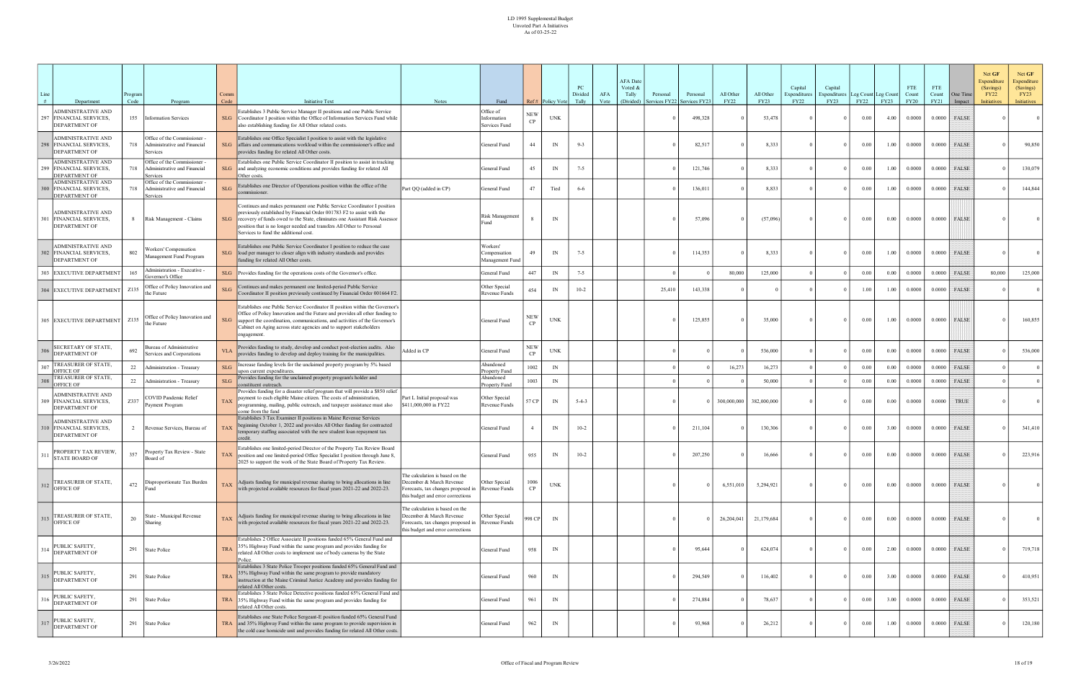| Line | Department                                                                   | rogram<br>Code | Program                                                                  | Comm<br>Code         | <b>Initiative Text</b>                                                                                                                                                                                                                                                                                                                             | <b>Notes</b>                                                                                                                           | Fund                                        |                  | Ref# Policy Vote | PC<br>Divided<br>Tally | AFA<br>Vote | <b>AFA</b> Date<br>Voted &<br>Tally<br>Personal<br>(Divided)<br>ervices FY22 | Personal<br>Services FY2. | All Other<br><b>FY22</b> | All Other<br><b>FY23</b> | Capital<br>Expenditures<br><b>FY22</b> | Capital<br>Expenditures<br>FY23 | Leg Count Leg Count<br>FY22 | <b>FY23</b> | <b>FTE</b><br>Count<br><b>FY20</b> | <b>FTE</b><br>Count<br>FY21 | One Time<br>Impact | Net GF<br>Expenditure<br>(Savings)<br><b>FY22</b><br><b>Initiatives</b> | Net GF<br>Expenditure<br>(Savings)<br>FY23<br>Initiatives |
|------|------------------------------------------------------------------------------|----------------|--------------------------------------------------------------------------|----------------------|----------------------------------------------------------------------------------------------------------------------------------------------------------------------------------------------------------------------------------------------------------------------------------------------------------------------------------------------------|----------------------------------------------------------------------------------------------------------------------------------------|---------------------------------------------|------------------|------------------|------------------------|-------------|------------------------------------------------------------------------------|---------------------------|--------------------------|--------------------------|----------------------------------------|---------------------------------|-----------------------------|-------------|------------------------------------|-----------------------------|--------------------|-------------------------------------------------------------------------|-----------------------------------------------------------|
| 297  | <b>ADMINISTRATIVE AND</b><br>FINANCIAL SERVICES,<br>DEPARTMENT OF            |                | 155 Information Services                                                 | SLG                  | Establishes 3 Public Service Manager II positions and one Public Service<br>Coordinator I position within the Office of Information Services Fund while<br>also establishing funding for All Other related costs.                                                                                                                                  |                                                                                                                                        | Office of<br>Information<br>Services Fund   | <b>NEW</b><br>CP | <b>UNK</b>       |                        |             |                                                                              | 498,328                   |                          | 53,478                   |                                        |                                 | 0.00                        | 4.00        | 0.0000                             | 0.0000                      | FALSE              |                                                                         | 0 <sup>1</sup>                                            |
|      | ADMINISTRATIVE AND<br>298 FINANCIAL SERVICES,<br><b>DEPARTMENT OF</b>        | 718            | Office of the Commissioner -<br>Administrative and Financial<br>Services | SLG                  | Establishes one Office Specialist I position to assist with the legislative<br>affairs and communications workload within the commissioner's office and<br>provides funding for related All Other costs.                                                                                                                                           |                                                                                                                                        | General Fund                                | 44               | IN               | $9 - 3$                |             |                                                                              | 82,517                    |                          | 8,333                    |                                        | $\theta$                        | 0.00                        | 1.00        | 0.0000                             | 0.0000                      | FALSE              |                                                                         | 90,850                                                    |
|      | <b>ADMINISTRATIVE AND</b><br>FINANCIAL SERVICES,<br>DEPARTMENT OF            | 718            | Office of the Commissioner -<br>Administrative and Financial<br>Services | $\operatorname{SLG}$ | Establishes one Public Service Coordinator II position to assist in tracking<br>and analyzing economic conditions and provides funding for related All<br>Other costs.                                                                                                                                                                             |                                                                                                                                        | General Fund                                | 45               | IN               | $7 - 5$                |             |                                                                              | 121,746                   |                          | 8,333                    |                                        | $\Omega$                        | 0.00                        | 1.00        | 0.0000                             | 0.0000                      | FALSE              |                                                                         | 130,079                                                   |
|      | <b>ADMINISTRATIVE AND</b><br><b>300 FINANCIAL SERVICES,</b><br>DEPARTMENT OF | 718            | Office of the Commissioner -<br>Administrative and Financial<br>Services | SLG                  | Establishes one Director of Operations position within the office of the<br>commissioner.                                                                                                                                                                                                                                                          | Part QQ (added in CP)                                                                                                                  | General Fund                                | 47               | Tied             | $6 - 6$                |             |                                                                              | 136,011                   |                          | 8,833                    |                                        | $\Omega$                        | $0.00\,$                    | 1.00        | 0.0000                             | 0.0000                      | <b>FALSE</b>       |                                                                         | 144,844                                                   |
|      | ADMINISTRATIVE AND<br>FINANCIAL SERVICES,<br><b>DEPARTMENT OF</b>            |                | 8 Risk Management - Claims                                               | SLG                  | Continues and makes permanent one Public Service Coordinator I position<br>previously established by Financial Order 001783 F2 to assist with the<br>recovery of funds owed to the State, eliminates one Assistant Risk Assessor<br>position that is no longer needed and transfers All Other to Personal<br>Services to fund the additional cost. |                                                                                                                                        | Risk Management<br>Fund                     |                  | IN               |                        |             |                                                                              | 57,096                    |                          | (57,096)                 |                                        | $\Omega$                        | $0.00\,$                    | 0.00        | 0.0000                             | 0.0000                      | FALSE              |                                                                         |                                                           |
|      | <b>ADMINISTRATIVE AND</b><br>302 FINANCIAL SERVICES,<br>DEPARTMENT OF        | 802            | Workers' Compensation<br>Management Fund Program                         | SLG                  | Establishes one Public Service Coordinator I position to reduce the case<br>load per manager to closer align with industry standards and provides<br>funding for related All Other costs.                                                                                                                                                          |                                                                                                                                        | Workers'<br>Compensation<br>Management Fund | 49               | IN               | $7 - 5$                |             |                                                                              | 114,353                   |                          | 8,333                    |                                        | $\theta$                        | $0.00\,$                    | 1.00        | 0.0000                             | 0.0000                      | FALSE              |                                                                         |                                                           |
|      | 303 EXECUTIVE DEPARTMENT                                                     | 165            | Administration - Executive -<br>Governor's Office                        | SLG                  | Provides funding for the operations costs of the Governor's office.                                                                                                                                                                                                                                                                                |                                                                                                                                        | General Fund                                | 447              | IN               | $7 - 5$                |             |                                                                              |                           | 80,000                   | 125,000                  |                                        |                                 | 0.00                        | 0.00        | 0.0000                             | 0.0000                      | <b>FALSE</b>       | 80,000                                                                  | 125,000                                                   |
|      | 304 EXECUTIVE DEPARTMENT                                                     | Z135           | Office of Policy Innovation and<br>the Future                            | $\operatorname{SLG}$ | Continues and makes permanent one limited-period Public Service<br>Coordinator II position previously continued by Financial Order 001664 F2.                                                                                                                                                                                                      |                                                                                                                                        | Other Special<br>Revenue Funds              | 454              | IN               | $10-2$                 |             | 25,410                                                                       | 143,338                   |                          |                          |                                        | $\Omega$                        | 1.00                        | 1.00        | 0.0000                             | 0.0000                      | FALSE              |                                                                         | $\Omega$                                                  |
|      | 305 EXECUTIVE DEPARTMENT                                                     | Z135           | Office of Policy Innovation and<br>the Future                            | $\operatorname{SLG}$ | Establishes one Public Service Coordinator II position within the Governor's<br>Office of Policy Innovation and the Future and provides all other funding to<br>support the coordination, communications, and activities of the Governor's<br>Cabinet on Aging across state agencies and to support stakeholders<br>engagement.                    |                                                                                                                                        | General Fund                                | NEW<br><b>CP</b> | <b>UNK</b>       |                        |             |                                                                              | 125,855                   |                          | 35,000                   |                                        | $\Omega$                        | $0.00\,$                    | 1.00        | 0.0000                             | 0.0000                      | FALSE              |                                                                         | 160,855                                                   |
|      | SECRETARY OF STATE,<br>DEPARTMENT OF                                         | 692            | Bureau of Administrative<br>Services and Corporations                    | <b>VLA</b>           | Provides funding to study, develop and conduct post-election audits. Also<br>provides funding to develop and deploy training for the municipalities.                                                                                                                                                                                               | Added in CP                                                                                                                            | General Fund                                | <b>NEW</b><br>CP | <b>UNK</b>       |                        |             |                                                                              |                           |                          | 536,000                  |                                        |                                 | 0.00                        | 0.00        | 0.0000                             | 0.0000                      | FALSE              |                                                                         | 536,000                                                   |
|      | TREASURER OF STATE,<br><b>OFFICE OF</b>                                      | 22             | Administration - Treasury                                                | SLG                  | Increase funding levels for the unclaimed property program by 5% based<br>upon current expenditures                                                                                                                                                                                                                                                |                                                                                                                                        | Abandoned<br>Property Fund<br>Abandoned     | 1002             | IN               |                        |             |                                                                              |                           | 16,273                   | 16,273                   |                                        |                                 | 0.00                        | 0.00        | 0.0000                             | 0.0000                      | <b>FALSE</b>       |                                                                         |                                                           |
|      | TREASURER OF STATE,<br><b>OFFICE OF</b>                                      |                | 22   Administration - Treasury                                           | $\operatorname{SLG}$ | Provides funding for the unclaimed property program's holder and<br>constituent outreach.<br>Provides funding for a disaster relief program that will provide a \$850 relief                                                                                                                                                                       |                                                                                                                                        | Property Fund                               | 1003             | IN               |                        |             |                                                                              |                           |                          | 50,000                   |                                        |                                 | 0.00                        | 0.00        | 0.0000                             | 0.0000                      | FALSE              |                                                                         |                                                           |
|      | <b>ADMINISTRATIVE AND</b><br>309 FINANCIAL SERVICES,<br>DEPARTMENT OF        | Z337           | COVID Pandemic Relief<br>Payment Program                                 | <b>TAX</b>           | payment to each eligible Maine citizen. The costs of administration,<br>programming, mailing, public outreach, and taxpayer assistance must also<br>come from the fund                                                                                                                                                                             | Part L Initial proposal was<br>\$411,000,000 in FY22                                                                                   | Other Special<br>Revenue Funds              | 57 CP            | IN               | $5 - 4 - 3$            |             |                                                                              |                           | 300,000,000              | 382,000,000              |                                        | $\Omega$                        | $0.00\,$                    | 0.00        | 0.0000                             | 0.0000                      | <b>TRUE</b>        |                                                                         |                                                           |
|      | <b>ADMINISTRATIVE AND</b><br>10 FINANCIAL SERVICES,<br><b>DEPARTMENT OF</b>  |                | 2 Revenue Services, Bureau of                                            | <b>TAX</b>           | Establishes 3 Tax Examiner II positions in Maine Revenue Services<br>beginning October 1, 2022 and provides All Other funding for contracted<br>temporary staffing associated with the new student loan repayment tax                                                                                                                              |                                                                                                                                        | General Fund                                |                  | IN               | $10-2$                 |             |                                                                              | 211,104                   |                          | 130,306                  |                                        | $\Omega$                        | $0.00\,$                    | 3.00        | 0.0000                             | 0.0000                      | <b>FALSE</b>       |                                                                         | 341,410                                                   |
| 311  | PROPERTY TAX REVIEW,<br>STATE BOARD OF                                       | 357            | Property Tax Review - State<br>Board of                                  |                      | Establishes one limited-period Director of the Property Tax Review Board<br>TAX position and one limited-period Office Specialist I position through June 8,<br>2025 to support the work of the State Board of Property Tax Review.                                                                                                                |                                                                                                                                        | General Fund                                | 955              | IN               | $10-2$                 |             |                                                                              | 207,250                   |                          | 16,666                   |                                        | $\Omega$                        | $0.00\,$                    | 0.00        | 0.0000                             | 0.0000                      | FALSE              |                                                                         | 223,916                                                   |
|      | 312 TREASURER OF STATE,<br>OFFICE OF                                         | 472            | Disproportionate Tax Burden<br>Fund                                      | <b>TAX</b>           | Adjusts funding for municipal revenue sharing to bring allocations in line<br>with projected available resources for fiscal years 2021-22 and 2022-23.                                                                                                                                                                                             | The calculation is based on the<br>December & March Revenue<br>Forecasts, tax changes proposed in<br>this budget and error corrections | Other Special<br>Revenue Funds              | 1006<br>CP       | <b>UNK</b>       |                        |             |                                                                              |                           | 6,551,010                | 5,294,921                |                                        | $\Omega$                        | $0.00\,$                    | 0.00        | 0.0000                             |                             | $0.0000$ FALSE     |                                                                         | $\overline{0}$                                            |
|      | TREASURER OF STATE,<br>$313$ OFFICE OF                                       | 20             | State - Municipal Revenue<br>Sharing                                     | <b>TAX</b>           | Adjusts funding for municipal revenue sharing to bring allocations in line<br>with projected available resources for fiscal years 2021-22 and 2022-23.                                                                                                                                                                                             | The calculation is based on the<br>December & March Revenue<br>Forecasts, tax changes proposed in<br>this budget and error corrections | Other Special<br>Revenue Funds              | 998 CP           | IN               |                        |             |                                                                              |                           | 26,204,041               | 21,179,684               |                                        | $\Omega$                        | 0.00                        | 0.00        | 0.0000                             | 0.0000                      | FALSE              |                                                                         | $\Omega$                                                  |
|      | PUBLIC SAFETY,<br>$314$ DEPARTMENT OF                                        |                | 291 State Police                                                         | <b>TRA</b>           | Establishes 2 Office Associate II positions funded 65% General Fund and<br>35% Highway Fund within the same program and provides funding for<br>related All Other costs to implement use of body cameras by the State<br>Police.                                                                                                                   |                                                                                                                                        | General Fund                                | 958              | IN               |                        |             |                                                                              | 95,644                    |                          | 624,074                  |                                        | $\theta$                        | $0.00\,$                    | 2.00        | 0.0000                             |                             | $0.0000$ FALSE     |                                                                         | 719,718                                                   |
|      | PUBLIC SAFETY,<br>315 DEPARTMENT OF                                          |                | 291 State Police                                                         | <b>TRA</b>           | Establishes 3 State Police Trooper positions funded 65% General Fund and<br>35% Highway Fund within the same program to provide mandatory<br>instruction at the Maine Criminal Justice Academy and provides funding for<br>related All Other costs.                                                                                                |                                                                                                                                        | General Fund                                | 960              | IN               |                        |             |                                                                              | 294,549                   |                          | 116,402                  |                                        | $\overline{0}$                  | $0.00\,$                    | 3.00        | 0.0000                             | 0.0000                      | FALSE              |                                                                         | 410,951                                                   |
|      | PUBLIC SAFETY,<br>$316$ DEPARTMENT OF                                        |                | 291 State Police                                                         | <b>TRA</b>           | Establishes 3 State Police Detective positions funded 65% General Fund and<br>35% Highway Fund within the same program and provides funding for<br>related All Other costs.                                                                                                                                                                        |                                                                                                                                        | General Fund                                | 961              | IN               |                        |             |                                                                              | 274,884                   |                          | 78,637                   |                                        | $\Omega$                        | 0.00                        | 3.00        | 0.0000                             | 0.0000                      | FALSE              |                                                                         | 353,521                                                   |
| 317  | PUBLIC SAFETY,<br><b>DEPARTMENT OF</b>                                       |                | 291 State Police                                                         |                      | Establishes one State Police Sergeant-E position funded 65% General Fund<br>TRA and 35% Highway Fund within the same program to provide supervision in<br>the cold case homicide unit and provides funding for related All Other costs.                                                                                                            |                                                                                                                                        | General Fund                                | 962              | IN               |                        |             |                                                                              | 93,968                    |                          | 26,212                   |                                        | $\mathbf{0}$                    | $0.00\,$                    | 1.00        | 0.0000                             | 0.0000                      | FALSE              |                                                                         | 120,180                                                   |